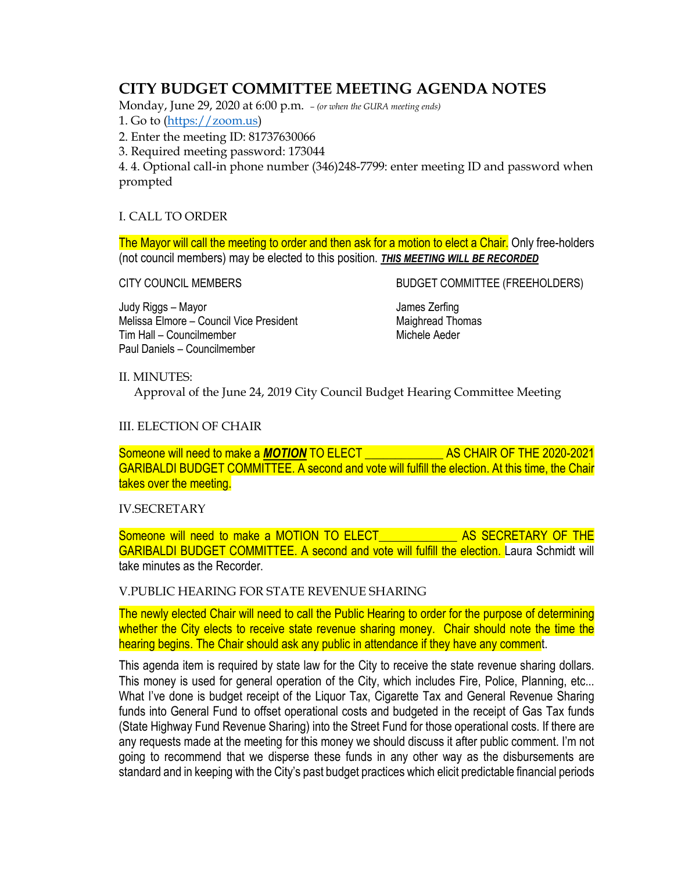# **CITY BUDGET COMMITTEE MEETING AGENDA NOTES**

Monday, June 29, 2020 at 6:00 p.m. *– (or when the GURA meeting ends)*

1. Go to [\(https://zoom.us\)](https://zoom.us/)

2. Enter the meeting ID: 81737630066

3. Required meeting password: 173044

4. 4. Optional call-in phone number (346)248-7799: enter meeting ID and password when prompted

## I. CALL TO ORDER

The Mayor will call the meeting to order and then ask for a motion to elect a Chair. Only free-holders (not council members) may be elected to this position. *THIS MEETING WILL BE RECORDED*

CITY COUNCIL MEMBERS BUDGET COMMITTEE (FREEHOLDERS)

Judy Riggs – Mayor<br>Melissa Elmore – Council Vice President Melissa Elmore – Council Vice President Melissa Elmore – Council Vice President Tim Hall – Councilmember Michele Aeder Paul Daniels – Councilmember

### II. MINUTES:

Approval of the June 24, 2019 City Council Budget Hearing Committee Meeting

## III. ELECTION OF CHAIR

Someone will need to make a *MOTION* TO ELECT \_\_\_\_\_\_\_\_\_\_\_\_\_ AS CHAIR OF THE 2020-2021 GARIBALDI BUDGET COMMITTEE. A second and vote will fulfill the election. At this time, the Chair takes over the meeting.

### IV.SECRETARY

Someone will need to make a MOTION TO ELECT And AS SECRETARY OF THE GARIBALDI BUDGET COMMITTEE. A second and vote will fulfill the election. Laura Schmidt will take minutes as the Recorder.

### V.PUBLIC HEARING FOR STATE REVENUE SHARING

The newly elected Chair will need to call the Public Hearing to order for the purpose of determining whether the City elects to receive state revenue sharing money. Chair should note the time the hearing begins. The Chair should ask any public in attendance if they have any comment.

This agenda item is required by state law for the City to receive the state revenue sharing dollars. This money is used for general operation of the City, which includes Fire, Police, Planning, etc... What I've done is budget receipt of the Liquor Tax, Cigarette Tax and General Revenue Sharing funds into General Fund to offset operational costs and budgeted in the receipt of Gas Tax funds (State Highway Fund Revenue Sharing) into the Street Fund for those operational costs. If there are any requests made at the meeting for this money we should discuss it after public comment. I'm not going to recommend that we disperse these funds in any other way as the disbursements are standard and in keeping with the City's past budget practices which elicit predictable financial periods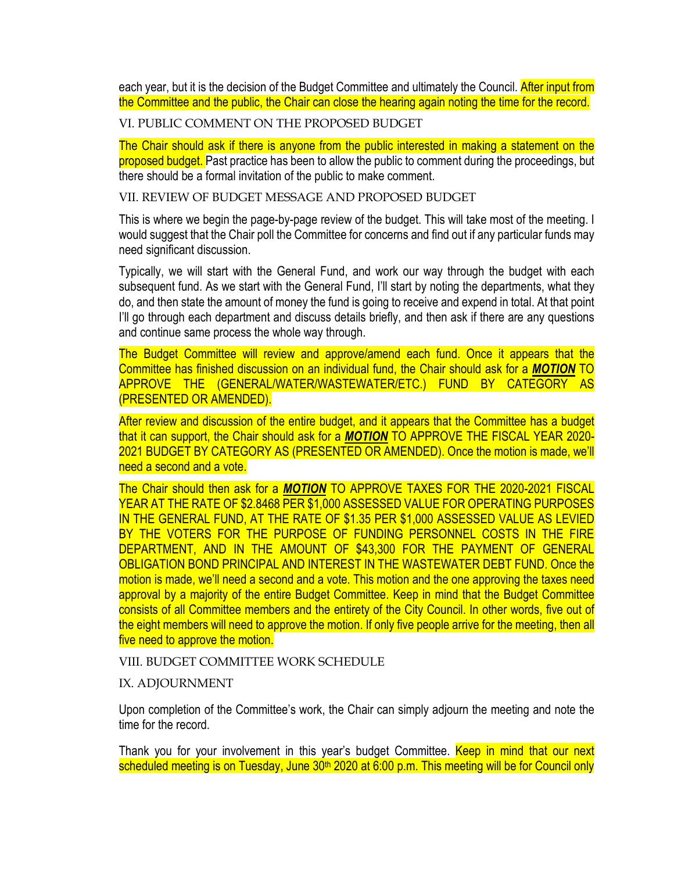each year, but it is the decision of the Budget Committee and ultimately the Council. After input from the Committee and the public, the Chair can close the hearing again noting the time for the record.

VI. PUBLIC COMMENT ON THE PROPOSED BUDGET

The Chair should ask if there is anyone from the public interested in making a statement on the proposed budget. Past practice has been to allow the public to comment during the proceedings, but there should be a formal invitation of the public to make comment.

VII. REVIEW OF BUDGET MESSAGE AND PROPOSED BUDGET

This is where we begin the page-by-page review of the budget. This will take most of the meeting. I would suggest that the Chair poll the Committee for concerns and find out if any particular funds may need significant discussion.

Typically, we will start with the General Fund, and work our way through the budget with each subsequent fund. As we start with the General Fund, I'll start by noting the departments, what they do, and then state the amount of money the fund is going to receive and expend in total. At that point I'll go through each department and discuss details briefly, and then ask if there are any questions and continue same process the whole way through.

The Budget Committee will review and approve/amend each fund. Once it appears that the Committee has finished discussion on an individual fund, the Chair should ask for a *MOTION* TO APPROVE THE (GENERAL/WATER/WASTEWATER/ETC.) FUND BY CATEGORY AS (PRESENTED OR AMENDED).

After review and discussion of the entire budget, and it appears that the Committee has a budget that it can support, the Chair should ask for a *MOTION* TO APPROVE THE FISCAL YEAR 2020- 2021 BUDGET BY CATEGORY AS (PRESENTED OR AMENDED). Once the motion is made, we'll need a second and a vote.

The Chair should then ask for a *MOTION* TO APPROVE TAXES FOR THE 2020-2021 FISCAL YEAR AT THE RATE OF \$2.8468 PER \$1,000 ASSESSED VALUE FOR OPERATING PURPOSES IN THE GENERAL FUND, AT THE RATE OF \$1.35 PER \$1,000 ASSESSED VALUE AS LEVIED BY THE VOTERS FOR THE PURPOSE OF FUNDING PERSONNEL COSTS IN THE FIRE DEPARTMENT, AND IN THE AMOUNT OF \$43,300 FOR THE PAYMENT OF GENERAL OBLIGATION BOND PRINCIPAL AND INTEREST IN THE WASTEWATER DEBT FUND. Once the motion is made, we'll need a second and a vote. This motion and the one approving the taxes need approval by a majority of the entire Budget Committee. Keep in mind that the Budget Committee consists of all Committee members and the entirety of the City Council. In other words, five out of the eight members will need to approve the motion. If only five people arrive for the meeting, then all five need to approve the motion.

VIII. BUDGET COMMITTEE WORK SCHEDULE

IX. ADJOURNMENT

Upon completion of the Committee's work, the Chair can simply adjourn the meeting and note the time for the record.

Thank you for your involvement in this year's budget Committee. Keep in mind that our next scheduled meeting is on Tuesday, June 30<sup>th</sup> 2020 at 6:00 p.m. This meeting will be for Council only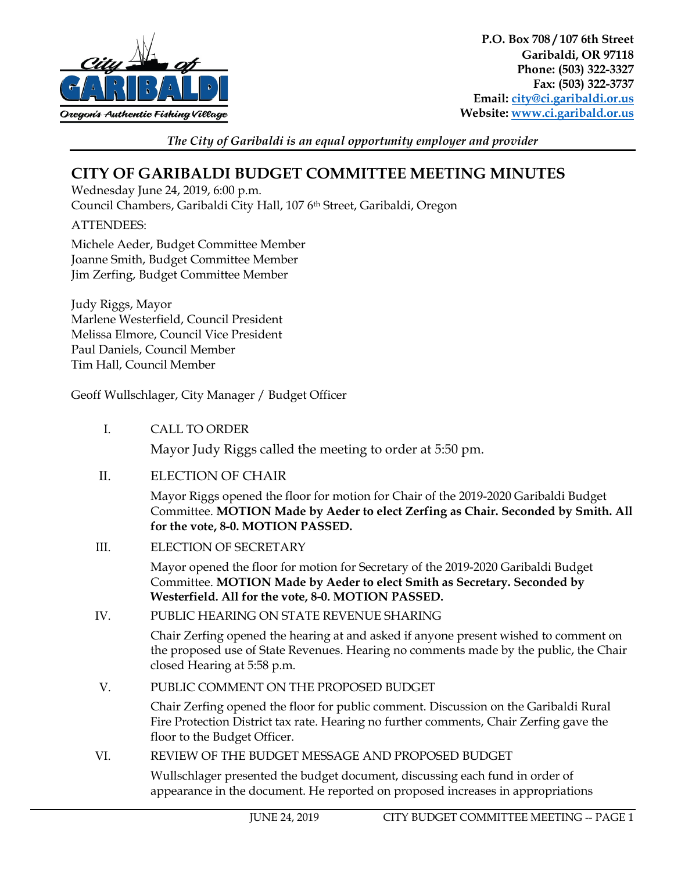

**P.O. Box 708 / 107 6th Street Garibaldi, OR 97118 Phone: (503) 322-3327 Fax: (503) 322-3737 Email: [city@ci.garibaldi.or.us](mailto:city@ci.garibaldi.or.us) Website: [www.ci.garibald.or.us](http://www.ci.garibald.or.us/)**

*The City of Garibaldi is an equal opportunity employer and provider*

# **CITY OF GARIBALDI BUDGET COMMITTEE MEETING MINUTES**

Wednesday June 24, 2019, 6:00 p.m.

Council Chambers, Garibaldi City Hall, 107 6th Street, Garibaldi, Oregon

ATTENDEES:

Michele Aeder, Budget Committee Member Joanne Smith, Budget Committee Member Jim Zerfing, Budget Committee Member

Judy Riggs, Mayor Marlene Westerfield, Council President Melissa Elmore, Council Vice President Paul Daniels, Council Member Tim Hall, Council Member

Geoff Wullschlager, City Manager / Budget Officer

I. CALL TO ORDER

Mayor Judy Riggs called the meeting to order at 5:50 pm.

II. ELECTION OF CHAIR

Mayor Riggs opened the floor for motion for Chair of the 2019-2020 Garibaldi Budget Committee. **MOTION Made by Aeder to elect Zerfing as Chair. Seconded by Smith. All for the vote, 8-0. MOTION PASSED.**

III. ELECTION OF SECRETARY

Mayor opened the floor for motion for Secretary of the 2019-2020 Garibaldi Budget Committee. **MOTION Made by Aeder to elect Smith as Secretary. Seconded by Westerfield. All for the vote, 8-0. MOTION PASSED.** 

IV. PUBLIC HEARING ON STATE REVENUE SHARING

Chair Zerfing opened the hearing at and asked if anyone present wished to comment on the proposed use of State Revenues. Hearing no comments made by the public, the Chair closed Hearing at 5:58 p.m.

V. PUBLIC COMMENT ON THE PROPOSED BUDGET

Chair Zerfing opened the floor for public comment. Discussion on the Garibaldi Rural Fire Protection District tax rate. Hearing no further comments, Chair Zerfing gave the floor to the Budget Officer.

VI. REVIEW OF THE BUDGET MESSAGE AND PROPOSED BUDGET

Wullschlager presented the budget document, discussing each fund in order of appearance in the document. He reported on proposed increases in appropriations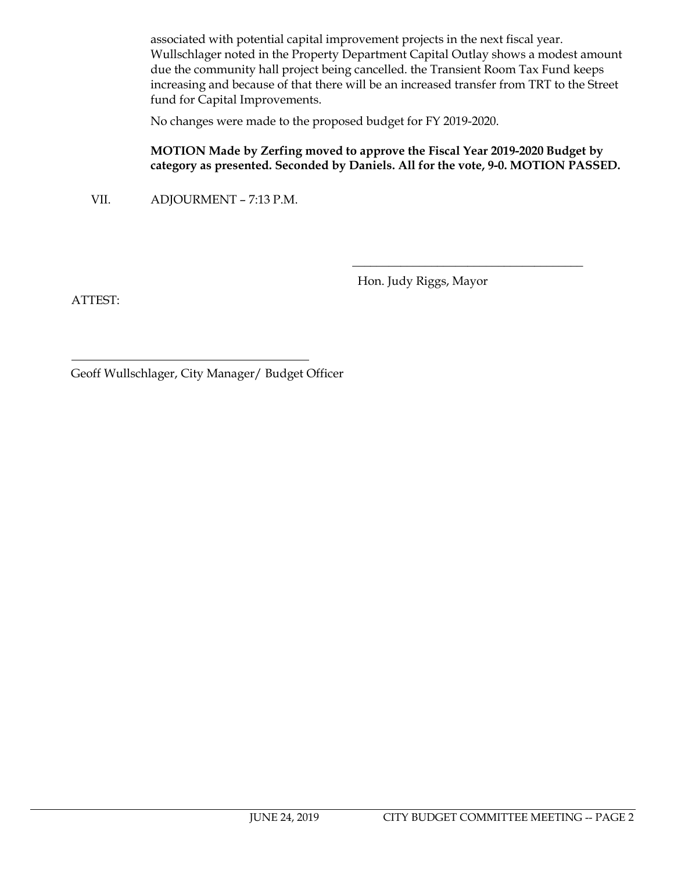associated with potential capital improvement projects in the next fiscal year. Wullschlager noted in the Property Department Capital Outlay shows a modest amount due the community hall project being cancelled. the Transient Room Tax Fund keeps increasing and because of that there will be an increased transfer from TRT to the Street fund for Capital Improvements.

No changes were made to the proposed budget for FY 2019-2020.

## **MOTION Made by Zerfing moved to approve the Fiscal Year 2019-2020 Budget by category as presented. Seconded by Daniels. All for the vote, 9-0. MOTION PASSED.**

VII. ADJOURMENT – 7:13 P.M.

Hon. Judy Riggs, Mayor

\_\_\_\_\_\_\_\_\_\_\_\_\_\_\_\_\_\_\_\_\_\_\_\_\_\_\_\_\_\_\_\_\_\_\_\_\_\_

ATTEST:

Geoff Wullschlager, City Manager/ Budget Officer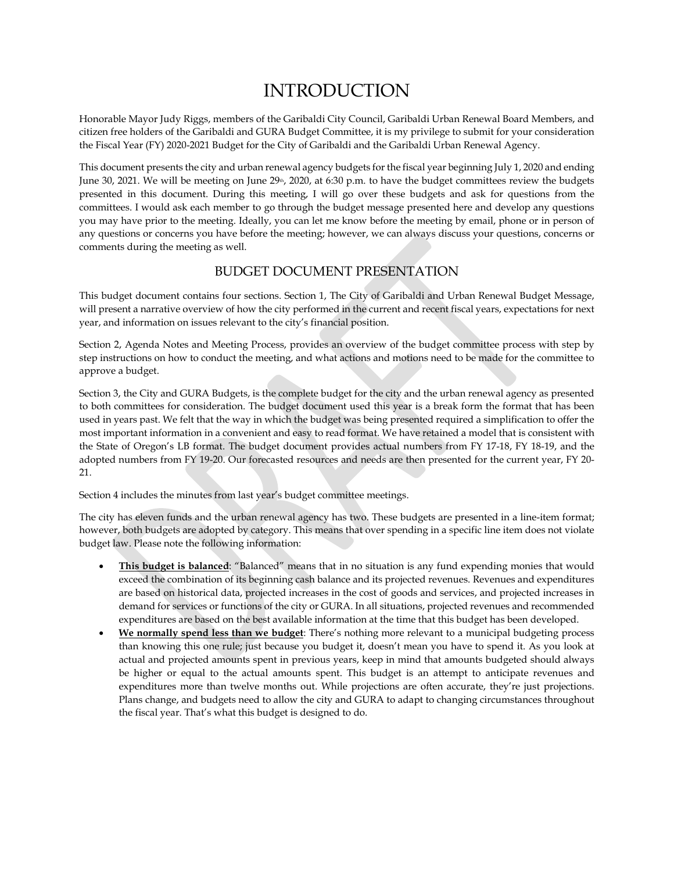# INTRODUCTION

Honorable Mayor Judy Riggs, members of the Garibaldi City Council, Garibaldi Urban Renewal Board Members, and citizen free holders of the Garibaldi and GURA Budget Committee, it is my privilege to submit for your consideration the Fiscal Year (FY) 2020-2021 Budget for the City of Garibaldi and the Garibaldi Urban Renewal Agency.

This document presents the city and urban renewal agency budgets for the fiscal year beginning July 1, 2020 and ending June 30, 2021. We will be meeting on June 29<sup>th</sup>, 2020, at 6:30 p.m. to have the budget committees review the budgets presented in this document. During this meeting, I will go over these budgets and ask for questions from the committees. I would ask each member to go through the budget message presented here and develop any questions you may have prior to the meeting. Ideally, you can let me know before the meeting by email, phone or in person of any questions or concerns you have before the meeting; however, we can always discuss your questions, concerns or comments during the meeting as well.

## BUDGET DOCUMENT PRESENTATION

This budget document contains four sections. Section 1, The City of Garibaldi and Urban Renewal Budget Message, will present a narrative overview of how the city performed in the current and recent fiscal years, expectations for next year, and information on issues relevant to the city's financial position.

Section 2, Agenda Notes and Meeting Process, provides an overview of the budget committee process with step by step instructions on how to conduct the meeting, and what actions and motions need to be made for the committee to approve a budget.

Section 3, the City and GURA Budgets, is the complete budget for the city and the urban renewal agency as presented to both committees for consideration. The budget document used this year is a break form the format that has been used in years past. We felt that the way in which the budget was being presented required a simplification to offer the most important information in a convenient and easy to read format. We have retained a model that is consistent with the State of Oregon's LB format. The budget document provides actual numbers from FY 17-18, FY 18-19, and the adopted numbers from FY 19-20. Our forecasted resources and needs are then presented for the current year, FY 20- 21.

Section 4 includes the minutes from last year's budget committee meetings.

The city has eleven funds and the urban renewal agency has two. These budgets are presented in a line-item format; however, both budgets are adopted by category. This means that over spending in a specific line item does not violate budget law. Please note the following information:

- **This budget is balanced**: "Balanced" means that in no situation is any fund expending monies that would exceed the combination of its beginning cash balance and its projected revenues. Revenues and expenditures are based on historical data, projected increases in the cost of goods and services, and projected increases in demand for services or functions of the city or GURA. In all situations, projected revenues and recommended expenditures are based on the best available information at the time that this budget has been developed.
- **We normally spend less than we budget**: There's nothing more relevant to a municipal budgeting process than knowing this one rule; just because you budget it, doesn't mean you have to spend it. As you look at actual and projected amounts spent in previous years, keep in mind that amounts budgeted should always be higher or equal to the actual amounts spent. This budget is an attempt to anticipate revenues and expenditures more than twelve months out. While projections are often accurate, they're just projections. Plans change, and budgets need to allow the city and GURA to adapt to changing circumstances throughout the fiscal year. That's what this budget is designed to do.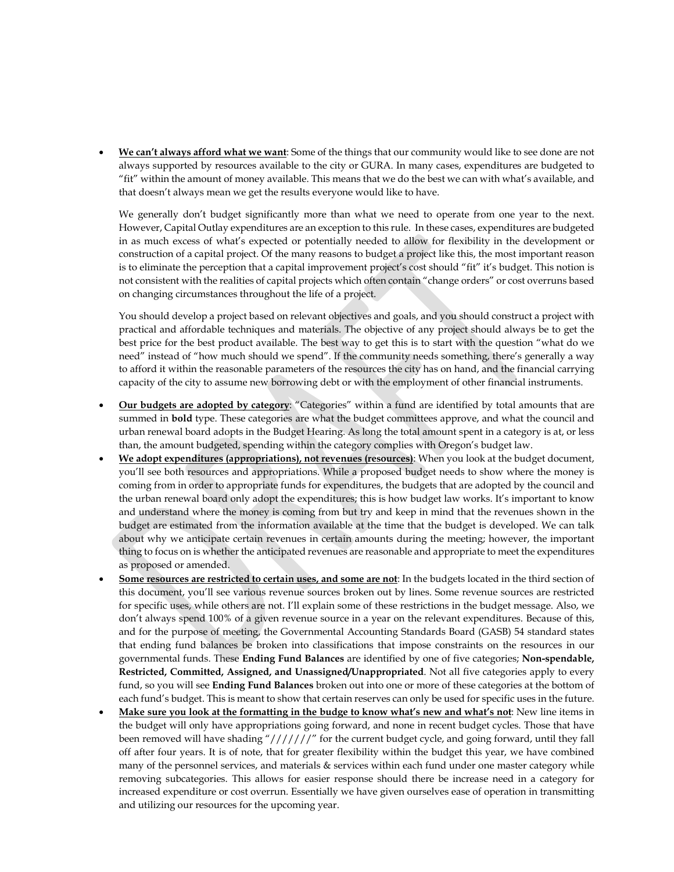• **We can't always afford what we want**: Some of the things that our community would like to see done are not always supported by resources available to the city or GURA. In many cases, expenditures are budgeted to "fit" within the amount of money available. This means that we do the best we can with what's available, and that doesn't always mean we get the results everyone would like to have.

We generally don't budget significantly more than what we need to operate from one year to the next. However, Capital Outlay expenditures are an exception to this rule. In these cases, expenditures are budgeted in as much excess of what's expected or potentially needed to allow for flexibility in the development or construction of a capital project. Of the many reasons to budget a project like this, the most important reason is to eliminate the perception that a capital improvement project's cost should "fit" it's budget. This notion is not consistent with the realities of capital projects which often contain "change orders" or cost overruns based on changing circumstances throughout the life of a project.

You should develop a project based on relevant objectives and goals, and you should construct a project with practical and affordable techniques and materials. The objective of any project should always be to get the best price for the best product available. The best way to get this is to start with the question "what do we need" instead of "how much should we spend". If the community needs something, there's generally a way to afford it within the reasonable parameters of the resources the city has on hand, and the financial carrying capacity of the city to assume new borrowing debt or with the employment of other financial instruments.

- **Our budgets are adopted by category**: "Categories" within a fund are identified by total amounts that are summed in **bold** type. These categories are what the budget committees approve, and what the council and urban renewal board adopts in the Budget Hearing. As long the total amount spent in a category is at, or less than, the amount budgeted, spending within the category complies with Oregon's budget law.
- **We adopt expenditures (appropriations), not revenues (resources)**: When you look at the budget document, you'll see both resources and appropriations. While a proposed budget needs to show where the money is coming from in order to appropriate funds for expenditures, the budgets that are adopted by the council and the urban renewal board only adopt the expenditures; this is how budget law works. It's important to know and understand where the money is coming from but try and keep in mind that the revenues shown in the budget are estimated from the information available at the time that the budget is developed. We can talk about why we anticipate certain revenues in certain amounts during the meeting; however, the important thing to focus on is whether the anticipated revenues are reasonable and appropriate to meet the expenditures as proposed or amended.
- **Some resources are restricted to certain uses, and some are not**: In the budgets located in the third section of this document, you'll see various revenue sources broken out by lines. Some revenue sources are restricted for specific uses, while others are not. I'll explain some of these restrictions in the budget message. Also, we don't always spend 100% of a given revenue source in a year on the relevant expenditures. Because of this, and for the purpose of meeting, the Governmental Accounting Standards Board (GASB) 54 standard states that ending fund balances be broken into classifications that impose constraints on the resources in our governmental funds. These **Ending Fund Balances** are identified by one of five categories; **Non-spendable, Restricted, Committed, Assigned, and Unassigned/Unappropriated**. Not all five categories apply to every fund, so you will see **Ending Fund Balances** broken out into one or more of these categories at the bottom of each fund's budget. This is meant to show that certain reserves can only be used for specific uses in the future.
- **Make sure you look at the formatting in the budge to know what's new and what's not**: New line items in the budget will only have appropriations going forward, and none in recent budget cycles. Those that have been removed will have shading "///////" for the current budget cycle, and going forward, until they fall off after four years. It is of note, that for greater flexibility within the budget this year, we have combined many of the personnel services, and materials & services within each fund under one master category while removing subcategories. This allows for easier response should there be increase need in a category for increased expenditure or cost overrun. Essentially we have given ourselves ease of operation in transmitting and utilizing our resources for the upcoming year.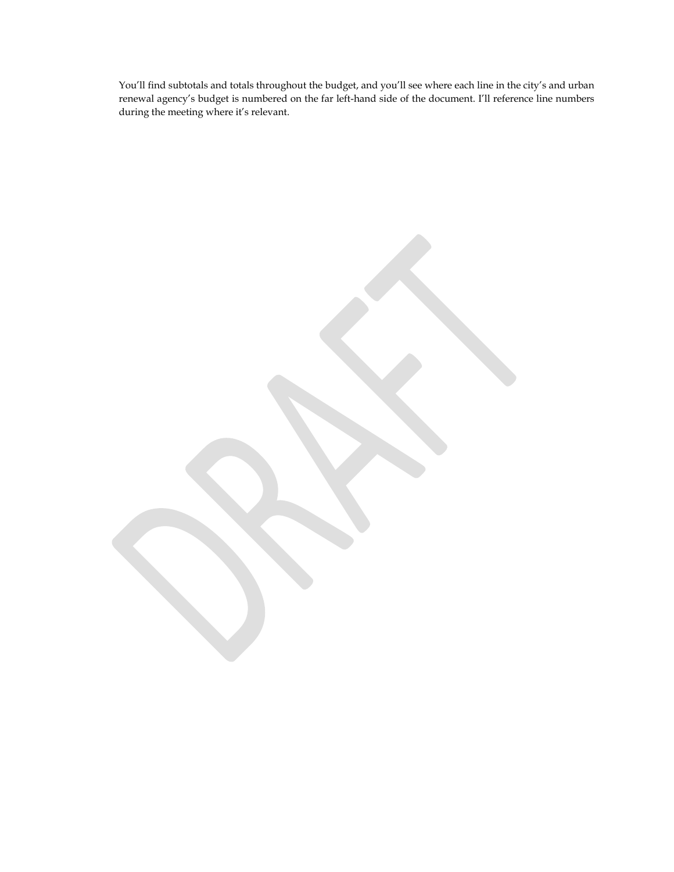You'll find subtotals and totals throughout the budget, and you'll see where each line in the city's and urban renewal agency's budget is numbered on the far left-hand side of the document. I'll reference line numbers during the meeting where it's relevant.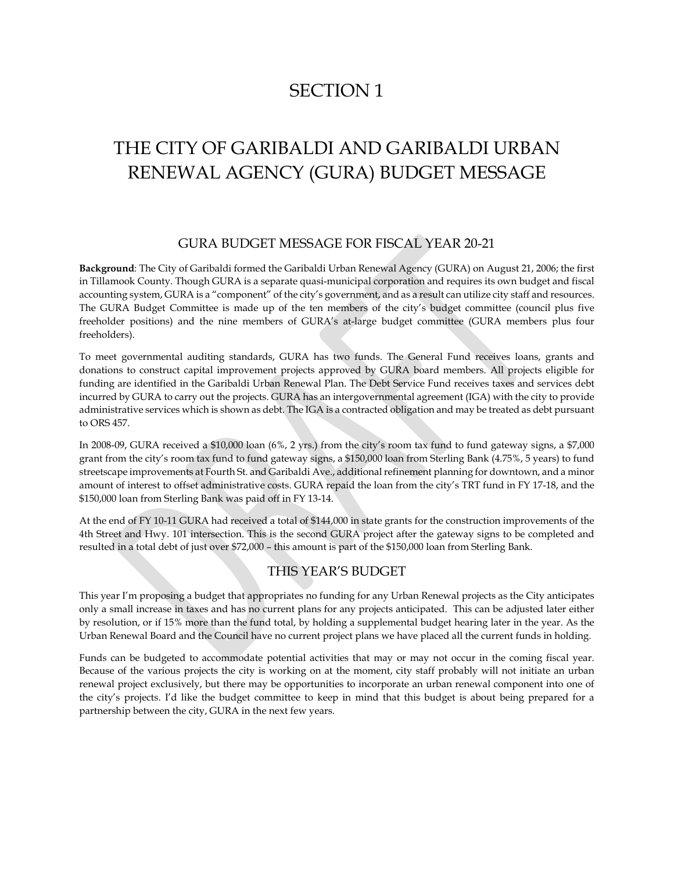# SECTION 1

# THE CITY OF GARIBALDI AND GARIBALDI URBAN RENEWAL AGENCY (GURA) BUDGET MESSAGE

#### GURA BUDGET MESSAGE FOR FISCAL YEAR 20-21

**Background**: The City of Garibaldi formed the Garibaldi Urban Renewal Agency (GURA) on August 21, 2006; the first in Tillamook County. Though GURA is a separate quasi-municipal corporation and requires its own budget and fiscal accounting system, GURA is a "component" of the city's government, and as a result can utilize city staff and resources. The GURA Budget Committee is made up of the ten members of the city's budget committee (council plus five freeholder positions) and the nine members of GURA's at-large budget committee (GURA members plus four freeholders).

To meet governmental auditing standards, GURA has two funds. The General Fund receives loans, grants and donations to construct capital improvement projects approved by GURA board members. All projects eligible for funding are identified in the Garibaldi Urban Renewal Plan. The Debt Service Fund receives taxes and services debt incurred by GURA to carry out the projects. GURA has an intergovernmental agreement (IGA) with the city to provide administrative services which is shown as debt. The IGA is a contracted obligation and may be treated as debt pursuant to ORS 457.

In 2008-09, GURA received a \$10,000 loan (6%, 2 yrs.) from the city's room tax fund to fund gateway signs, a \$7,000 grant from the city's room tax fund to fund gateway signs, a \$150,000 loan from Sterling Bank (4.75%, 5 years) to fund streetscape improvements at Fourth St. and Garibaldi Ave., additional refinement planning for downtown, and a minor amount of interest to offset administrative costs. GURA repaid the loan from the city's TRT fund in FY 17-18, and the \$150,000 loan from Sterling Bank was paid off in FY 13-14.

At the end of FY 10-11 GURA had received a total of \$144,000 in state grants for the construction improvements of the 4th Street and Hwy. 101 intersection. This is the second GURA project after the gateway signs to be completed and resulted in a total debt of just over \$72,000 – this amount is part of the \$150,000 loan from Sterling Bank.

#### THIS YEAR'S BUDGET

This year I'm proposing a budget that appropriates no funding for any Urban Renewal projects as the City anticipates only a small increase in taxes and has no current plans for any projects anticipated. This can be adjusted later either by resolution, or if 15% more than the fund total, by holding a supplemental budget hearing later in the year. As the Urban Renewal Board and the Council have no current project plans we have placed all the current funds in holding.

Funds can be budgeted to accommodate potential activities that may or may not occur in the coming fiscal year. Because of the various projects the city is working on at the moment, city staff probably will not initiate an urban renewal project exclusively, but there may be opportunities to incorporate an urban renewal component into one of the city's projects. I'd like the budget committee to keep in mind that this budget is about being prepared for a partnership between the city, GURA in the next few years.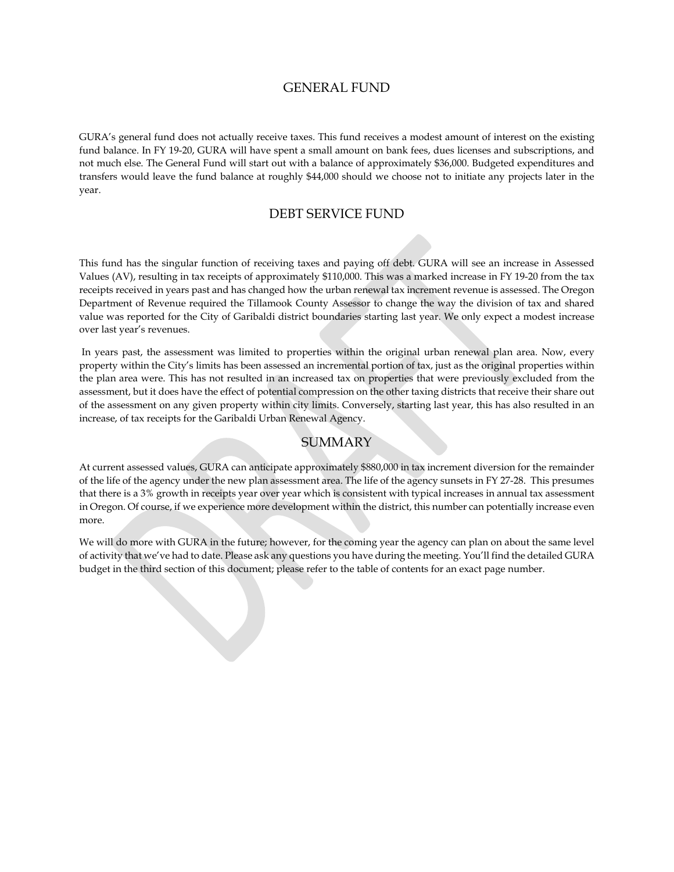#### GENERAL FUND

GURA's general fund does not actually receive taxes. This fund receives a modest amount of interest on the existing fund balance. In FY 19-20, GURA will have spent a small amount on bank fees, dues licenses and subscriptions, and not much else. The General Fund will start out with a balance of approximately \$36,000. Budgeted expenditures and transfers would leave the fund balance at roughly \$44,000 should we choose not to initiate any projects later in the year.

### DEBT SERVICE FUND

This fund has the singular function of receiving taxes and paying off debt. GURA will see an increase in Assessed Values (AV), resulting in tax receipts of approximately \$110,000. This was a marked increase in FY 19-20 from the tax receipts received in years past and has changed how the urban renewal tax increment revenue is assessed. The Oregon Department of Revenue required the Tillamook County Assessor to change the way the division of tax and shared value was reported for the City of Garibaldi district boundaries starting last year. We only expect a modest increase over last year's revenues.

In years past, the assessment was limited to properties within the original urban renewal plan area. Now, every property within the City's limits has been assessed an incremental portion of tax, just as the original properties within the plan area were. This has not resulted in an increased tax on properties that were previously excluded from the assessment, but it does have the effect of potential compression on the other taxing districts that receive their share out of the assessment on any given property within city limits. Conversely, starting last year, this has also resulted in an increase, of tax receipts for the Garibaldi Urban Renewal Agency.

### **SUMMARY**

At current assessed values, GURA can anticipate approximately \$880,000 in tax increment diversion for the remainder of the life of the agency under the new plan assessment area. The life of the agency sunsets in FY 27-28. This presumes that there is a 3% growth in receipts year over year which is consistent with typical increases in annual tax assessment in Oregon. Of course, if we experience more development within the district, this number can potentially increase even more.

We will do more with GURA in the future; however, for the coming year the agency can plan on about the same level of activity that we've had to date. Please ask any questions you have during the meeting. You'll find the detailed GURA budget in the third section of this document; please refer to the table of contents for an exact page number.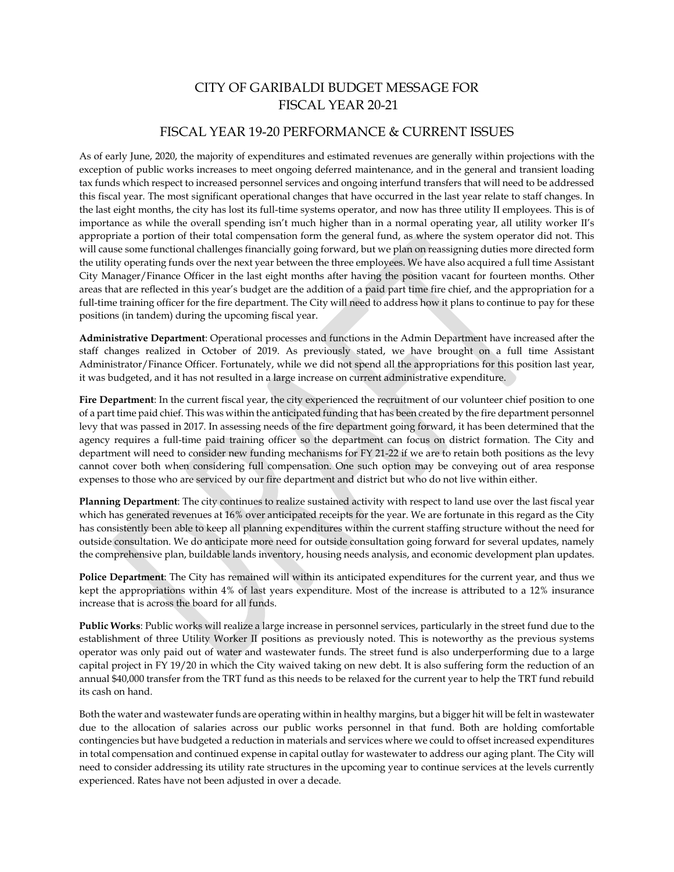# CITY OF GARIBALDI BUDGET MESSAGE FOR FISCAL YEAR 20-21

#### FISCAL YEAR 19-20 PERFORMANCE & CURRENT ISSUES

As of early June, 2020, the majority of expenditures and estimated revenues are generally within projections with the exception of public works increases to meet ongoing deferred maintenance, and in the general and transient loading tax funds which respect to increased personnel services and ongoing interfund transfers that will need to be addressed this fiscal year. The most significant operational changes that have occurred in the last year relate to staff changes. In the last eight months, the city has lost its full-time systems operator, and now has three utility II employees. This is of importance as while the overall spending isn't much higher than in a normal operating year, all utility worker II's appropriate a portion of their total compensation form the general fund, as where the system operator did not. This will cause some functional challenges financially going forward, but we plan on reassigning duties more directed form the utility operating funds over the next year between the three employees. We have also acquired a full time Assistant City Manager/Finance Officer in the last eight months after having the position vacant for fourteen months. Other areas that are reflected in this year's budget are the addition of a paid part time fire chief, and the appropriation for a full-time training officer for the fire department. The City will need to address how it plans to continue to pay for these positions (in tandem) during the upcoming fiscal year.

**Administrative Department**: Operational processes and functions in the Admin Department have increased after the staff changes realized in October of 2019. As previously stated, we have brought on a full time Assistant Administrator/Finance Officer. Fortunately, while we did not spend all the appropriations for this position last year, it was budgeted, and it has not resulted in a large increase on current administrative expenditure.

Fire Department: In the current fiscal year, the city experienced the recruitment of our volunteer chief position to one of a part time paid chief. This was within the anticipated funding that has been created by the fire department personnel levy that was passed in 2017. In assessing needs of the fire department going forward, it has been determined that the agency requires a full-time paid training officer so the department can focus on district formation. The City and department will need to consider new funding mechanisms for FY 21-22 if we are to retain both positions as the levy cannot cover both when considering full compensation. One such option may be conveying out of area response expenses to those who are serviced by our fire department and district but who do not live within either.

**Planning Department**: The city continues to realize sustained activity with respect to land use over the last fiscal year which has generated revenues at 16% over anticipated receipts for the year. We are fortunate in this regard as the City has consistently been able to keep all planning expenditures within the current staffing structure without the need for outside consultation. We do anticipate more need for outside consultation going forward for several updates, namely the comprehensive plan, buildable lands inventory, housing needs analysis, and economic development plan updates.

**Police Department**: The City has remained will within its anticipated expenditures for the current year, and thus we kept the appropriations within 4% of last years expenditure. Most of the increase is attributed to a 12% insurance increase that is across the board for all funds.

**Public Works**: Public works will realize a large increase in personnel services, particularly in the street fund due to the establishment of three Utility Worker II positions as previously noted. This is noteworthy as the previous systems operator was only paid out of water and wastewater funds. The street fund is also underperforming due to a large capital project in FY 19/20 in which the City waived taking on new debt. It is also suffering form the reduction of an annual \$40,000 transfer from the TRT fund as this needs to be relaxed for the current year to help the TRT fund rebuild its cash on hand.

Both the water and wastewater funds are operating within in healthy margins, but a bigger hit will be felt in wastewater due to the allocation of salaries across our public works personnel in that fund. Both are holding comfortable contingencies but have budgeted a reduction in materials and services where we could to offset increased expenditures in total compensation and continued expense in capital outlay for wastewater to address our aging plant. The City will need to consider addressing its utility rate structures in the upcoming year to continue services at the levels currently experienced. Rates have not been adjusted in over a decade.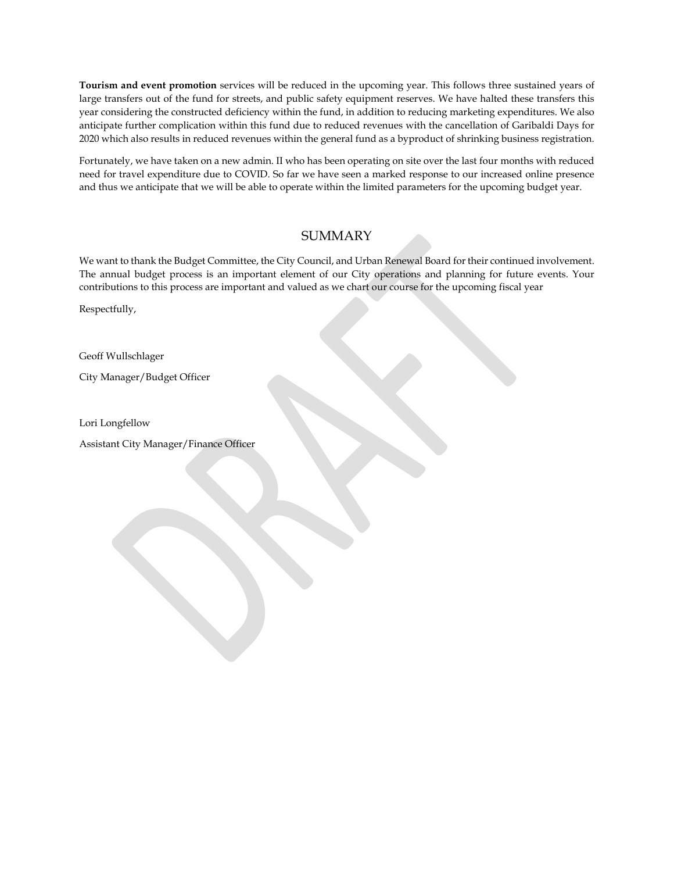**Tourism and event promotion** services will be reduced in the upcoming year. This follows three sustained years of large transfers out of the fund for streets, and public safety equipment reserves. We have halted these transfers this year considering the constructed deficiency within the fund, in addition to reducing marketing expenditures. We also anticipate further complication within this fund due to reduced revenues with the cancellation of Garibaldi Days for 2020 which also results in reduced revenues within the general fund as a byproduct of shrinking business registration.

Fortunately, we have taken on a new admin. II who has been operating on site over the last four months with reduced need for travel expenditure due to COVID. So far we have seen a marked response to our increased online presence and thus we anticipate that we will be able to operate within the limited parameters for the upcoming budget year.

## **SUMMARY**

We want to thank the Budget Committee, the City Council, and Urban Renewal Board for their continued involvement. The annual budget process is an important element of our City operations and planning for future events. Your contributions to this process are important and valued as we chart our course for the upcoming fiscal year

Respectfully,

Geoff Wullschlager

City Manager/Budget Officer

Lori Longfellow

Assistant City Manager/Finance Officer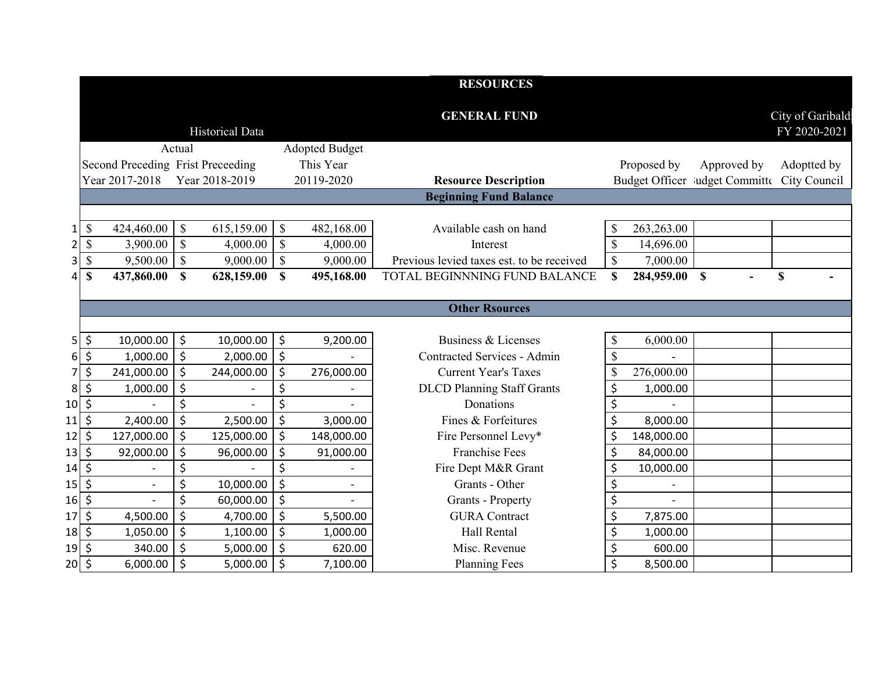|                                 |                         |                                   |                           |                 |                           |                       | <b>RESOURCES</b>                          |                           |             |                                             |                  |
|---------------------------------|-------------------------|-----------------------------------|---------------------------|-----------------|---------------------------|-----------------------|-------------------------------------------|---------------------------|-------------|---------------------------------------------|------------------|
|                                 |                         |                                   |                           |                 |                           |                       | <b>GENERAL FUND</b>                       |                           |             |                                             | City of Garibald |
|                                 |                         |                                   |                           | Historical Data |                           |                       |                                           |                           |             |                                             | FY 2020-2021     |
|                                 |                         |                                   | Actual                    |                 |                           | <b>Adopted Budget</b> |                                           |                           |             |                                             |                  |
|                                 |                         | Second Preceding Frist Preceeding |                           |                 |                           | This Year             |                                           |                           | Proposed by | Approved by                                 | Adoptted by      |
|                                 |                         | Year 2017-2018                    |                           | Year 2018-2019  |                           | 20119-2020            | <b>Resource Description</b>               |                           |             | Budget Officer ludget Committe City Council |                  |
|                                 |                         |                                   |                           |                 |                           |                       | <b>Beginning Fund Balance</b>             |                           |             |                                             |                  |
|                                 |                         |                                   |                           |                 |                           |                       |                                           |                           |             |                                             |                  |
| $\mathbf{1}$                    | $\$$                    | 424,460.00                        | $\mathcal{S}$             | 615,159.00      | $\mathcal{S}$             | 482,168.00            | Available cash on hand                    | \$                        | 263,263.00  |                                             |                  |
| $\overline{2}$                  | \$                      | 3,900.00                          | $\mathcal{S}$             | 4,000.00        | $\mathcal{S}$             | 4,000.00              | Interest                                  | \$                        | 14,696.00   |                                             |                  |
| $\mathbf{3}$                    | $\boldsymbol{\$}$       | 9,500.00                          | $\boldsymbol{\mathsf{S}}$ | 9,000.00        | $\boldsymbol{\mathsf{S}}$ | 9,000.00              | Previous levied taxes est. to be received | $\boldsymbol{\mathsf{S}}$ | 7,000.00    |                                             |                  |
| 4                               | \$                      | 437,860.00                        | $\mathbf S$               | 628,159.00      | $\mathbf S$               | 495,168.00            | TOTAL BEGINNNING FUND BALANCE             | S                         | 284,959.00  | $\mathbf S$                                 | $\mathbf S$      |
|                                 |                         |                                   |                           |                 |                           |                       |                                           |                           |             |                                             |                  |
|                                 |                         |                                   |                           |                 |                           |                       | <b>Other Rsources</b>                     |                           |             |                                             |                  |
|                                 |                         |                                   |                           |                 |                           |                       |                                           |                           |             |                                             |                  |
| 5 <sup>1</sup>                  | \$                      | 10,000.00                         | \$                        | 10,000.00       | $\ddot{\varsigma}$        | 9,200.00              | Business & Licenses                       | \$                        | 6,000.00    |                                             |                  |
|                                 | $6\overline{\smash{5}}$ | 1,000.00                          | \$                        | 2,000.00        | $\zeta$                   |                       | Contracted Services - Admin               | \$                        |             |                                             |                  |
| $\overline{7}$                  | \$                      | 241,000.00                        | \$                        | 244,000.00      | $\zeta$                   | 276,000.00            | <b>Current Year's Taxes</b>               | \$                        | 276,000.00  |                                             |                  |
| 8 <sup>1</sup>                  | \$                      | 1,000.00                          | \$                        |                 | \$                        |                       | <b>DLCD Planning Staff Grants</b>         | \$                        | 1,000.00    |                                             |                  |
| $10\sqrt{5}$                    |                         |                                   | \$                        |                 | \$                        |                       | Donations                                 | \$                        |             |                                             |                  |
| 11                              | $\zeta$                 | 2,400.00                          | \$                        | 2,500.00        | $\zeta$                   | 3,000.00              | Fines & Forfeitures                       | \$                        | 8,000.00    |                                             |                  |
| 12                              | \$                      | 127,000.00                        | \$                        | 125,000.00      | $\zeta$                   | 148,000.00            | Fire Personnel Levy*                      | \$                        | 148,000.00  |                                             |                  |
| $13\overline{\smash{\big)}\,5}$ |                         | 92,000.00                         | \$                        | 96,000.00       | $\zeta$                   | 91,000.00             | <b>Franchise Fees</b>                     | \$                        | 84,000.00   |                                             |                  |
| $14$ \$                         |                         | $\overline{\phantom{a}}$          | \$                        |                 | \$                        |                       | Fire Dept M&R Grant                       | \$                        | 10,000.00   |                                             |                  |
| 15                              | $\zeta$                 | $\overline{a}$                    | \$                        | 10,000.00       | $\zeta$                   | $\blacksquare$        | Grants - Other                            | \$                        |             |                                             |                  |
| $16 \mid \xi$                   |                         |                                   | \$                        | 60,000.00       | $\zeta$                   |                       | <b>Grants - Property</b>                  | \$                        |             |                                             |                  |
| $17\overline{\phantom{0}}$ \$   |                         | 4,500.00                          | \$                        | 4,700.00        | $\zeta$                   | 5,500.00              | <b>GURA</b> Contract                      | \$                        | 7,875.00    |                                             |                  |
| 18 \$                           |                         | 1,050.00                          | \$                        | 1,100.00        | $\zeta$                   | 1,000.00              | Hall Rental                               | \$                        | 1,000.00    |                                             |                  |
| 19                              | $\zeta$                 | 340.00                            | \$                        | 5,000.00        | $\zeta$                   | 620.00                | Misc. Revenue                             | \$                        | 600.00      |                                             |                  |
| $20\overline{\phantom{0}}\xi$   |                         | 6,000.00                          | $\zeta$                   | 5,000.00        | $\zeta$                   | 7,100.00              | <b>Planning Fees</b>                      | $\zeta$                   | 8,500.00    |                                             |                  |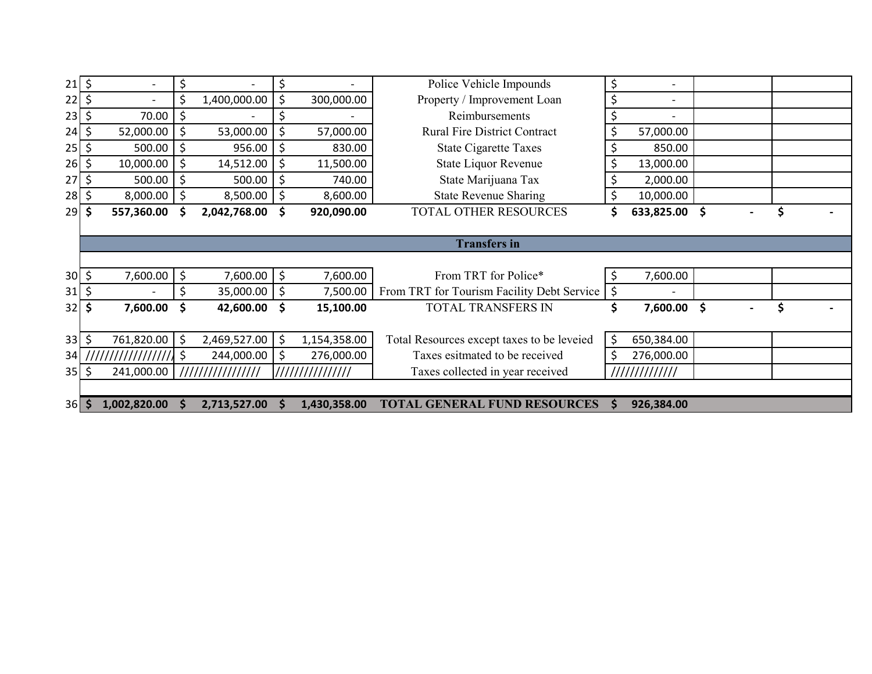| $21$ \$       |      |            |         |                  | \$      |                  | Police Vehicle Impounds                    | \$               |    |    |
|---------------|------|------------|---------|------------------|---------|------------------|--------------------------------------------|------------------|----|----|
| 22            | ' \$ |            |         | 1,400,000.00     | \$      | 300,000.00       | Property / Improvement Loan                | \$               |    |    |
| $23 \mid 5$   |      | 70.00      | \$      |                  |         |                  | Reimbursements                             | \$               |    |    |
| $24$ \$       |      | 52,000.00  | \$      | 53,000.00        | \$      | 57,000.00        | <b>Rural Fire District Contract</b>        | \$<br>57,000.00  |    |    |
| $25 \mid \xi$ |      | 500.00     | $\zeta$ | 956.00           | \$      | 830.00           | <b>State Cigarette Taxes</b>               | \$<br>850.00     |    |    |
| $26$ \$       |      | 10,000.00  | $\zeta$ | $14,512.00$   \$ |         | 11,500.00        | State Liquor Revenue                       | \$<br>13,000.00  |    |    |
| 27            | \$   | 500.00     | $\zeta$ | 500.00           | $\zeta$ | 740.00           | State Marijuana Tax                        | 2,000.00         |    |    |
| $28 \mid 5$   |      | 8,000.00   | $\zeta$ | $8,500.00$ \$    |         | 8,600.00         | <b>State Revenue Sharing</b>               | \$<br>10,000.00  |    |    |
| $29$ \$       |      | 557,360.00 | \$.     | 2,042,768.00     | - \$    | 920,090.00       | <b>TOTAL OTHER RESOURCES</b>               | \$<br>633,825.00 | \$ | \$ |
|               |      |            |         |                  |         |                  |                                            |                  |    |    |
|               |      |            |         |                  |         |                  | <b>Transfers in</b>                        |                  |    |    |
|               |      |            |         |                  |         |                  |                                            |                  |    |    |
| $30 \div$     |      |            |         |                  |         |                  |                                            |                  |    |    |
|               |      | 7,600.00   | \$      | 7,600.00 \$      |         | 7,600.00         | From TRT for Police*                       | \$<br>7,600.00   |    |    |
| $31 \mid 5$   |      |            | \$      | 35,000.00 \$     |         | 7,500.00         | From TRT for Tourism Facility Debt Service | \$               |    |    |
| $32 \mid 5$   |      | 7,600.00   | \$      | 42,600.00 \$     |         | 15,100.00        | TOTAL TRANSFERS IN                         | \$<br>7,600.00   | \$ | \$ |
|               |      |            |         |                  |         |                  |                                            |                  |    |    |
| $33$ \$       |      | 761,820.00 | $\zeta$ | 2,469,527.00 \$  |         | 1,154,358.00     | Total Resources except taxes to be leveied | \$<br>650,384.00 |    |    |
| 34            |      |            |         | 244,000.00       | \$      | 276,000.00       | Taxes esitmated to be received             | 276,000.00       |    |    |
| $35 \mid \xi$ |      | 241,000.00 |         | //////////////// |         | //////////////// | Taxes collected in year received           | /////////////    |    |    |
|               |      |            |         |                  |         |                  |                                            |                  |    |    |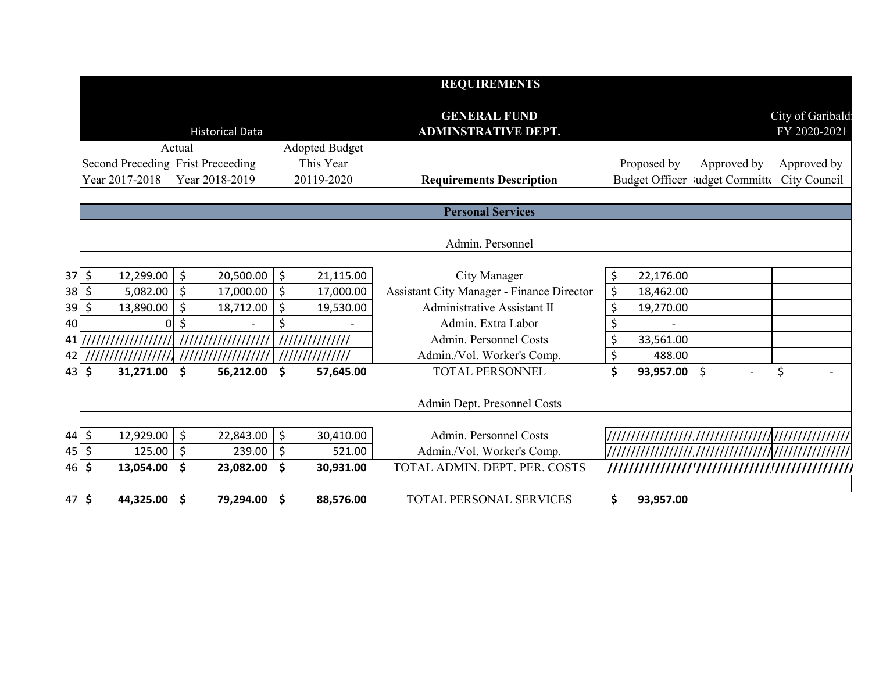|             |                                   |                        |        |                     |                       | <b>REQUIREMENTS</b>                               |                 |                                |                                  |
|-------------|-----------------------------------|------------------------|--------|---------------------|-----------------------|---------------------------------------------------|-----------------|--------------------------------|----------------------------------|
|             |                                   | <b>Historical Data</b> |        |                     |                       | <b>GENERAL FUND</b><br><b>ADMINSTRATIVE DEPT.</b> |                 |                                | City of Garibald<br>FY 2020-2021 |
|             |                                   | Actual                 |        |                     | <b>Adopted Budget</b> |                                                   |                 |                                |                                  |
|             | Second Preceding Frist Preceeding |                        |        |                     | This Year             |                                                   | Proposed by     | Approved by                    | Approved by                      |
|             | Year 2017-2018                    | Year 2018-2019         |        |                     | 20119-2020            | <b>Requirements Description</b>                   |                 | Budget Officer ludget Committe | City Council                     |
|             |                                   |                        |        |                     |                       |                                                   |                 |                                |                                  |
|             |                                   |                        |        |                     |                       | <b>Personal Services</b>                          |                 |                                |                                  |
|             |                                   |                        |        |                     |                       | Admin. Personnel                                  |                 |                                |                                  |
|             |                                   |                        |        |                     |                       |                                                   |                 |                                |                                  |
| $37$ \$     | 12,299.00                         | \$<br>20,500.00        |        | $\zeta$             | 21,115.00             | City Manager                                      | \$<br>22,176.00 |                                |                                  |
| $38 \mid 5$ | 5,082.00                          | \$<br>17,000.00        |        | $\zeta$             | 17,000.00             | <b>Assistant City Manager - Finance Director</b>  | \$<br>18,462.00 |                                |                                  |
| $39$ \$     | 13,890.00                         | \$<br>18,712.00        |        | \$                  | 19,530.00             | Administrative Assistant II                       | \$<br>19,270.00 |                                |                                  |
| 40          | 0                                 | Ś                      |        | \$                  |                       | Admin. Extra Labor                                | \$              |                                |                                  |
| 41 I        |                                   |                        |        | //////////////      |                       | Admin. Personnel Costs                            | \$<br>33,561.00 |                                |                                  |
| 42          |                                   |                        |        | 111111111111111     |                       | Admin./Vol. Worker's Comp.                        | \$<br>488.00    |                                |                                  |
|             | 43 \$<br>31,271.00                | \$<br>56,212.00        |        | \$                  | 57,645.00             | <b>TOTAL PERSONNEL</b>                            | \$<br>93,957.00 | \$                             | \$                               |
|             |                                   |                        |        |                     |                       |                                                   |                 |                                |                                  |
|             |                                   |                        |        |                     |                       | Admin Dept. Presonnel Costs                       |                 |                                |                                  |
|             |                                   |                        |        |                     |                       |                                                   |                 |                                |                                  |
| $44$ \$     | 12,929.00                         | \$<br>22,843.00        |        | $\zeta$             | 30,410.00             | Admin. Personnel Costs                            |                 |                                |                                  |
| 45   \$     | 125.00                            | \$                     | 239.00 | $\ddot{\mathsf{S}}$ | 521.00                | Admin./Vol. Worker's Comp.                        |                 |                                |                                  |
|             | 46 \$<br>13,054.00                | \$<br>23,082.00        |        | \$                  | 30,931.00             | TOTAL ADMIN. DEPT. PER. COSTS                     |                 |                                |                                  |
|             | 47 \$<br>44,325.00 \$             | 79,294.00              |        | \$.                 | 88,576.00             | <b>TOTAL PERSONAL SERVICES</b>                    | \$<br>93,957.00 |                                |                                  |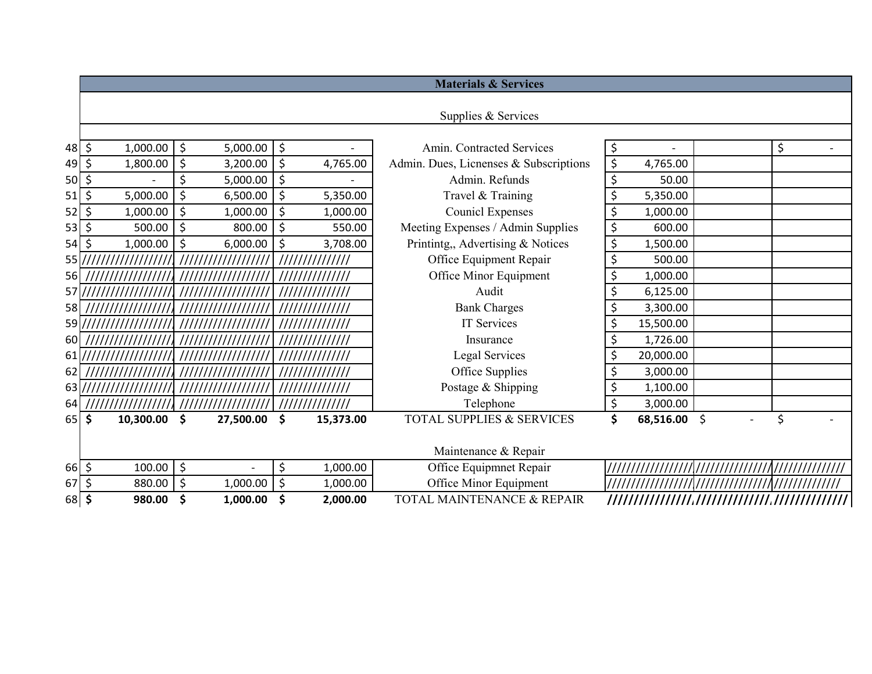|                    |                       |                    |         |                 | <b>Materials &amp; Services</b>        |                 |          |                          |
|--------------------|-----------------------|--------------------|---------|-----------------|----------------------------------------|-----------------|----------|--------------------------|
|                    |                       |                    |         |                 |                                        |                 |          |                          |
|                    |                       |                    |         |                 | Supplies & Services                    |                 |          |                          |
|                    |                       |                    |         |                 |                                        |                 |          |                          |
| 48                 | $\zeta$<br>1,000.00   | \$<br>5,000.00     | $\zeta$ |                 | Amin. Contracted Services              | \$              | \$       | $\overline{\phantom{a}}$ |
| 49                 | \$<br>1,800.00        | \$<br>3,200.00     | $\zeta$ | 4,765.00        | Admin. Dues, Licnenses & Subscriptions | \$<br>4,765.00  |          |                          |
| 50                 | \$                    | \$<br>5,000.00     | \$      |                 | Admin. Refunds                         | \$<br>50.00     |          |                          |
| 51                 | \$<br>5,000.00        | \$<br>6,500.00     | $\zeta$ | 5,350.00        | Travel & Training                      | \$<br>5,350.00  |          |                          |
| $52$ \$            | 1,000.00              | \$<br>1,000.00     | $\zeta$ | 1,000.00        | <b>Counicl Expenses</b>                | \$<br>1,000.00  |          |                          |
| 53                 | \$<br>500.00          | \$<br>800.00       | $\zeta$ | 550.00          | Meeting Expenses / Admin Supplies      | \$<br>600.00    |          |                          |
| 54                 | $\zeta$<br>1,000.00   | \$<br>6,000.00     | \$      | 3,708.00        | Printintg,, Advertising & Notices      | \$<br>1,500.00  |          |                          |
| 55)//              | ///////////////       | ////////////////// |         | //////////////  | Office Equipment Repair                | \$<br>500.00    |          |                          |
| 56                 |                       |                    |         | /////////////// | Office Minor Equipment                 | \$<br>1,000.00  |          |                          |
| $57$ $\frac{1}{1}$ |                       |                    |         |                 | Audit                                  | \$<br>6,125.00  |          |                          |
| 58                 |                       |                    |         |                 | <b>Bank Charges</b>                    | \$<br>3,300.00  |          |                          |
|                    | 59\////////////////// |                    |         | /////////////// | <b>IT Services</b>                     | \$<br>15,500.00 |          |                          |
| 60                 |                       |                    |         |                 | Insurance                              | \$<br>1,726.00  |          |                          |
| 611/               |                       |                    |         | /////////////// | Legal Services                         | \$<br>20,000.00 |          |                          |
| 62                 |                       |                    |         |                 | Office Supplies                        | \$<br>3,000.00  |          |                          |
| $63$ $\frac{1}{2}$ |                       |                    |         | /////////////// | Postage & Shipping                     | \$<br>1,100.00  |          |                          |
| 64                 |                       |                    |         | //////////////  | Telephone                              | \$<br>3,000.00  |          |                          |
| 65                 | \$<br>10,300.00       | \$<br>27,500.00    | \$      | 15,373.00       | TOTAL SUPPLIES & SERVICES              | \$<br>68,516.00 | \$<br>\$ |                          |
|                    |                       |                    |         |                 |                                        |                 |          |                          |
|                    |                       |                    |         |                 | Maintenance & Repair                   |                 |          |                          |
| $66 \div$          | 100.00                | \$                 | \$      | 1,000.00        | Office Equipmnet Repair                |                 |          |                          |
| $67$ \$            | 880.00                | \$<br>1,000.00     | $\zeta$ | 1,000.00        | Office Minor Equipment                 |                 |          |                          |
| 68 \$              | 980.00                | \$<br>1,000.00     | \$      | 2,000.00        | TOTAL MAINTENANCE & REPAIR             | /////////////// |          |                          |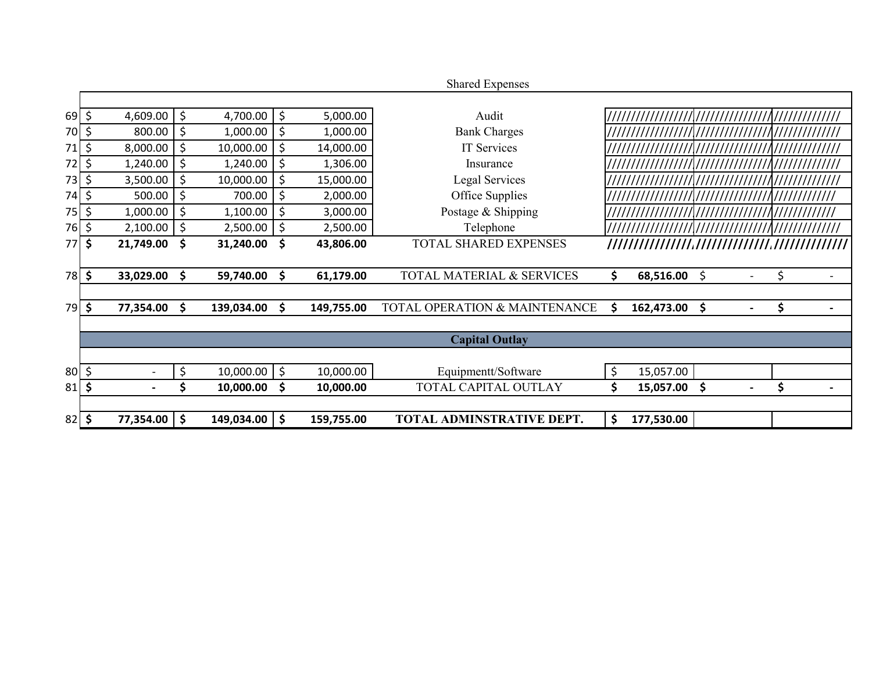|                                       |                     |                          |         |                   |         |            | <b>Shared Expenses</b>        |    |            |    |    |  |
|---------------------------------------|---------------------|--------------------------|---------|-------------------|---------|------------|-------------------------------|----|------------|----|----|--|
|                                       |                     |                          |         |                   |         |            |                               |    |            |    |    |  |
| $69$ \$                               |                     | 4,609.00                 | $\zeta$ | 4,700.00          | $\zeta$ | 5,000.00   | Audit                         |    |            |    |    |  |
| 70 \$                                 |                     | 800.00                   | \$      | 1,000.00          | \$      | 1,000.00   | <b>Bank Charges</b>           |    |            |    |    |  |
| 71                                    | \$                  | 8,000.00                 | $\zeta$ | 10,000.00         | \$      | 14,000.00  | IT Services                   |    |            |    |    |  |
| 72                                    | $\zeta$             | 1,240.00                 | $\zeta$ | 1,240.00          | \$      | 1,306.00   | Insurance                     |    |            |    |    |  |
| $73$ \$                               |                     | 3,500.00                 | $\zeta$ | 10,000.00         | \$      | 15,000.00  | Legal Services                |    |            |    |    |  |
| 74                                    | \$                  | 500.00                   | $\zeta$ | 700.00            | \$      | 2,000.00   | Office Supplies               |    |            |    |    |  |
| $75$ \$                               |                     | 1,000.00                 | \$      | 1,100.00          | \$      | 3,000.00   | Postage & Shipping            |    |            |    |    |  |
| 76 \$                                 |                     | 2,100.00                 | $\zeta$ | 2,500.00          | \$      | 2,500.00   | Telephone                     |    |            |    |    |  |
| 77                                    | \$                  | 21,749.00                | \$      | 31,240.00 \$      |         | 43,806.00  | <b>TOTAL SHARED EXPENSES</b>  |    |            |    |    |  |
|                                       |                     |                          |         |                   |         |            |                               |    |            |    |    |  |
| 78                                    | $\ddot{\bm{\zeta}}$ | 33,029.00                | \$      | 59,740.00         | \$      | 61,179.00  | TOTAL MATERIAL & SERVICES     | \$ | 68,516.00  | \$ | \$ |  |
|                                       |                     |                          |         |                   |         |            |                               |    |            |    |    |  |
| $79$ \$                               |                     | 77,354.00                | \$      | 139,034.00        | \$      | 149,755.00 | TOTAL OPERATION & MAINTENANCE | Ś  | 162,473.00 | \$ | \$ |  |
|                                       |                     |                          |         |                   |         |            |                               |    |            |    |    |  |
|                                       |                     |                          |         |                   |         |            | <b>Capital Outlay</b>         |    |            |    |    |  |
|                                       |                     |                          |         |                   |         |            |                               |    |            |    |    |  |
| $80\overline{\smash{\big\vert}}\,$ \$ |                     | $\overline{\phantom{a}}$ | \$      | $10,000.00$ \$    |         | 10,000.00  | Equipmentt/Software           | \$ | 15,057.00  |    |    |  |
| $81$ \$                               |                     |                          |         | 10,000.00         | \$      | 10,000.00  | <b>TOTAL CAPITAL OUTLAY</b>   | \$ | 15,057.00  | \$ | \$ |  |
|                                       |                     |                          |         |                   |         |            |                               |    |            |    |    |  |
| 82                                    | \$                  | 77,354.00                | \$      | $149,034.00$   \$ |         | 159,755.00 | TOTAL ADMINSTRATIVE DEPT.     | \$ | 177,530.00 |    |    |  |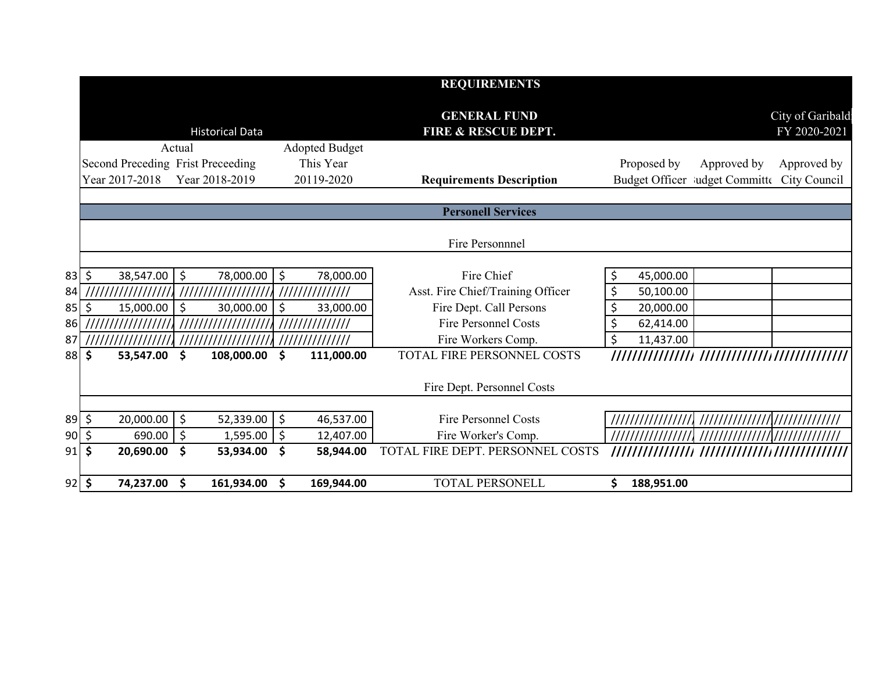|             |                                   |        |                        |                       |            | <b>REQUIREMENTS</b>                                   |                  |                                             |                                  |
|-------------|-----------------------------------|--------|------------------------|-----------------------|------------|-------------------------------------------------------|------------------|---------------------------------------------|----------------------------------|
|             |                                   |        | <b>Historical Data</b> |                       |            | <b>GENERAL FUND</b><br><b>FIRE &amp; RESCUE DEPT.</b> |                  |                                             | City of Garibald<br>FY 2020-2021 |
|             |                                   | Actual |                        | <b>Adopted Budget</b> |            |                                                       |                  |                                             |                                  |
|             | Second Preceding Frist Preceeding |        |                        | This Year             |            |                                                       | Proposed by      | Approved by                                 | Approved by                      |
|             | Year 2017-2018                    |        | Year 2018-2019         | 20119-2020            |            | <b>Requirements Description</b>                       |                  | Budget Officer Judget Committe City Council |                                  |
|             |                                   |        |                        |                       |            |                                                       |                  |                                             |                                  |
|             |                                   |        |                        |                       |            | <b>Personell Services</b>                             |                  |                                             |                                  |
|             |                                   |        |                        |                       |            | Fire Personnnel                                       |                  |                                             |                                  |
|             |                                   |        |                        |                       |            |                                                       |                  |                                             |                                  |
|             | $83 \mid 5$<br>38,547.00          | \$     | 78,000.00              | \$                    | 78,000.00  | Fire Chief                                            | \$<br>45,000.00  |                                             |                                  |
| 84          | '///////////                      |        | ////////////           | ///////////////       |            | Asst. Fire Chief/Training Officer                     | \$<br>50,100.00  |                                             |                                  |
| 85          | \$<br>15,000.00                   | \$     | 30,000.00              | $\zeta$               | 33,000.00  | Fire Dept. Call Persons                               | \$<br>20,000.00  |                                             |                                  |
| 86          | ///////////////                   |        | ///////////////        | //////////////        |            | <b>Fire Personnel Costs</b>                           | \$<br>62,414.00  |                                             |                                  |
| 87          |                                   |        |                        | //////////////        |            | Fire Workers Comp.                                    | \$<br>11,437.00  |                                             |                                  |
|             | $88$ \$<br>53,547.00              | \$     | 108,000.00             | \$                    | 111,000.00 | TOTAL FIRE PERSONNEL COSTS                            | //////////////// | /////////////////////////////               |                                  |
|             |                                   |        |                        |                       |            | Fire Dept. Personnel Costs                            |                  |                                             |                                  |
|             |                                   |        |                        |                       |            |                                                       |                  |                                             |                                  |
| $89 \mid 5$ | 20,000.00                         | \$     | 52,339.00              | \$                    | 46,537.00  | <b>Fire Personnel Costs</b>                           |                  |                                             |                                  |
|             | $90 \mid \xi$<br>690.00           | \$     | 1,595.00               | $\zeta$               | 12,407.00  | Fire Worker's Comp.                                   |                  | ////////////////////////////////            |                                  |
|             | $91$ \$<br>20,690.00              | \$     | 53,934.00              | \$                    | 58,944.00  | TOTAL FIRE DEPT. PERSONNEL COSTS                      |                  |                                             |                                  |
|             | $92 \mid 5$<br>74,237.00          | \$     | 161,934.00             | \$                    | 169,944.00 | <b>TOTAL PERSONELL</b>                                | \$<br>188,951.00 |                                             |                                  |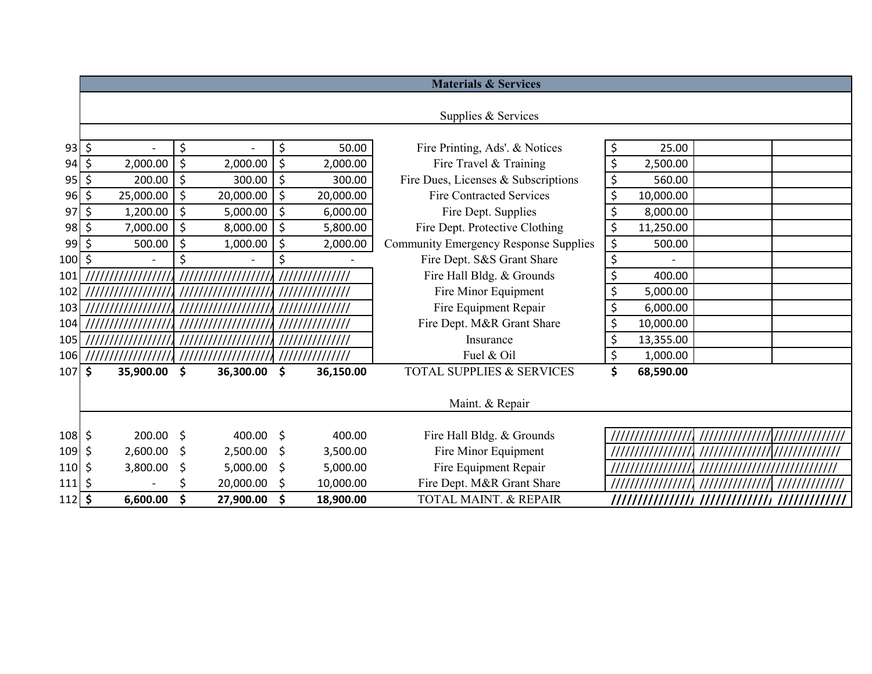|             |                         |           |         |           |    |                 | <b>Materials &amp; Services</b>              |                  |                                   |  |
|-------------|-------------------------|-----------|---------|-----------|----|-----------------|----------------------------------------------|------------------|-----------------------------------|--|
|             |                         |           |         |           |    |                 |                                              |                  |                                   |  |
|             |                         |           |         |           |    |                 | Supplies & Services                          |                  |                                   |  |
|             |                         |           |         |           |    |                 |                                              |                  |                                   |  |
| $93$ \$     |                         |           | \$      |           | \$ | 50.00           | Fire Printing, Ads'. & Notices               | \$<br>25.00      |                                   |  |
| $94 \mid 5$ |                         | 2,000.00  | $\zeta$ | 2,000.00  | \$ | 2,000.00        | Fire Travel & Training                       | \$<br>2,500.00   |                                   |  |
| $95$ \$     |                         | 200.00    | $\zeta$ | 300.00    | \$ | 300.00          | Fire Dues, Licenses & Subscriptions          | \$<br>560.00     |                                   |  |
| 96          | \$                      | 25,000.00 | $\zeta$ | 20,000.00 | \$ | 20,000.00       | <b>Fire Contracted Services</b>              | \$<br>10,000.00  |                                   |  |
| 97          | \$                      | 1,200.00  | $\zeta$ | 5,000.00  | \$ | 6,000.00        | Fire Dept. Supplies                          | \$<br>8,000.00   |                                   |  |
| $98$ \$     |                         | 7,000.00  | $\zeta$ | 8,000.00  | \$ | 5,800.00        | Fire Dept. Protective Clothing               | \$<br>11,250.00  |                                   |  |
| 99          | \$                      | 500.00    | $\zeta$ | 1,000.00  | \$ | 2,000.00        | <b>Community Emergency Response Supplies</b> | \$<br>500.00     |                                   |  |
| 100 \$      |                         |           | \$      |           | \$ |                 | Fire Dept. S&S Grant Share                   | \$               |                                   |  |
| 101         |                         |           |         |           |    | //////////////  | Fire Hall Bldg. & Grounds                    | \$<br>400.00     |                                   |  |
| 102         |                         |           |         |           |    | /////////////// | Fire Minor Equipment                         | \$<br>5,000.00   |                                   |  |
| 103         |                         |           |         |           |    | //////          | Fire Equipment Repair                        | \$<br>6,000.00   |                                   |  |
| 104         |                         |           |         |           |    | /////////////// | Fire Dept. M&R Grant Share                   | \$<br>10,000.00  |                                   |  |
| 105         |                         |           |         |           |    | /////////////// | Insurance                                    | \$<br>13,355.00  |                                   |  |
|             | 106  ////////////////// |           |         |           |    | /////////////// | Fuel & Oil                                   | \$<br>1,000.00   |                                   |  |
| $107$ \$    |                         | 35,900.00 | \$      | 36,300.00 | \$ | 36,150.00       | <b>TOTAL SUPPLIES &amp; SERVICES</b>         | \$<br>68,590.00  |                                   |  |
|             |                         |           |         |           |    |                 |                                              |                  |                                   |  |
|             |                         |           |         |           |    |                 | Maint. & Repair                              |                  |                                   |  |
|             |                         |           |         |           |    |                 |                                              |                  |                                   |  |
| 108 \$      |                         | 200.00    | \$      | 400.00 \$ |    | 400.00          | Fire Hall Bldg. & Grounds                    |                  | ///////////////////////////////// |  |
| $109$ \$    |                         | 2,600.00  | \$      | 2,500.00  | \$ | 3,500.00        | Fire Minor Equipment                         |                  |                                   |  |
| \$  110     |                         | 3,800.00  | \$      | 5,000.00  | \$ | 5,000.00        | Fire Equipment Repair                        |                  |                                   |  |
| 111  \$     |                         |           |         | 20,000.00 | -S | 10,000.00       | Fire Dept. M&R Grant Share                   |                  |                                   |  |
| $112 \,$ \$ |                         | 6,600.00  | \$      | 27,900.00 | \$ | 18,900.00       | <b>TOTAL MAINT. &amp; REPAIR</b>             | //////////////// | //////////////                    |  |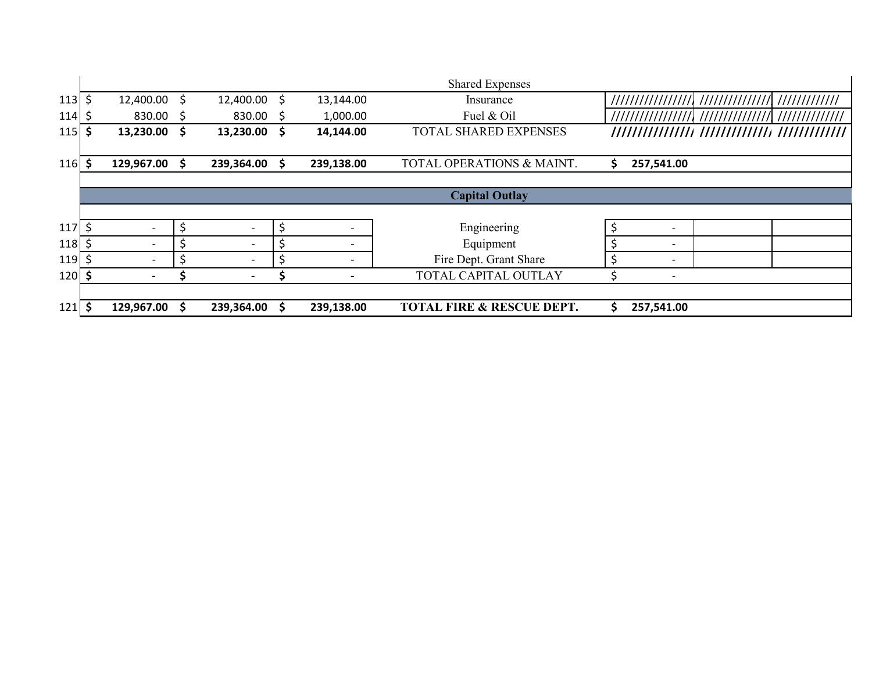|            |    |                          |          |                          |    |            | <b>Shared Expenses</b>               |                                |  |
|------------|----|--------------------------|----------|--------------------------|----|------------|--------------------------------------|--------------------------------|--|
| 113        | Ś. | 12,400.00 \$             |          | 12,400.00                | \$ | 13,144.00  | Insurance                            |                                |  |
| 114        |    | 830.00 \$                |          | $830.00$ \$              |    | 1,000.00   | Fuel & Oil                           |                                |  |
| 115        | \$ | 13,230.00 \$             |          | 13,230.00                | S  | 14,144.00  | TOTAL SHARED EXPENSES                |                                |  |
|            |    |                          |          |                          |    |            |                                      |                                |  |
| <b>116</b> | Ś  | 129,967.00               | <b>S</b> | 239,364.00               | S. | 239,138.00 | TOTAL OPERATIONS & MAINT.            | \$<br>257,541.00               |  |
|            |    |                          |          |                          |    |            |                                      |                                |  |
|            |    |                          |          |                          |    |            | <b>Capital Outlay</b>                |                                |  |
|            |    |                          |          |                          |    |            |                                      |                                |  |
| <b>117</b> |    |                          |          | $\overline{\phantom{a}}$ |    |            | Engineering                          | $\overline{\phantom{0}}$       |  |
| 118        |    | $\overline{\phantom{a}}$ |          | $\overline{\phantom{a}}$ |    |            | Equipment                            | \$<br>$\overline{\phantom{a}}$ |  |
| <b>119</b> |    | $\overline{\phantom{0}}$ |          | $\overline{\phantom{a}}$ | Ś  |            | Fire Dept. Grant Share               | \$<br>$\overline{\phantom{0}}$ |  |
| 120        | S  |                          |          | $\overline{\phantom{0}}$ |    |            | TOTAL CAPITAL OUTLAY                 |                                |  |
|            |    |                          |          |                          |    |            |                                      |                                |  |
| $121$      | Ŝ. | 129,967.00               |          | 239,364.00               |    | 239,138.00 | <b>TOTAL FIRE &amp; RESCUE DEPT.</b> | \$<br>257,541.00               |  |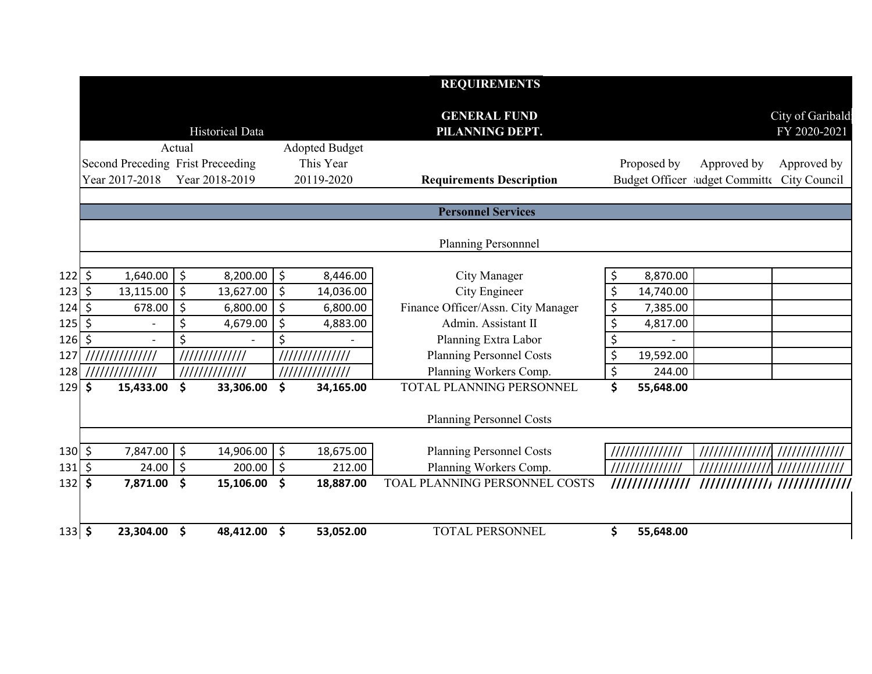|                |                                   |         |                        |                       | <b>REQUIREMENTS</b>                    |                 |                                             |                                  |
|----------------|-----------------------------------|---------|------------------------|-----------------------|----------------------------------------|-----------------|---------------------------------------------|----------------------------------|
|                |                                   |         | <b>Historical Data</b> |                       | <b>GENERAL FUND</b><br>PILANNING DEPT. |                 |                                             | City of Garibald<br>FY 2020-2021 |
|                |                                   | Actual  |                        | <b>Adopted Budget</b> |                                        |                 |                                             |                                  |
|                | Second Preceding Frist Preceeding |         |                        | This Year             |                                        | Proposed by     | Approved by                                 | Approved by                      |
|                | Year 2017-2018                    |         | Year 2018-2019         | 20119-2020            | <b>Requirements Description</b>        |                 | Budget Officer Mudget Committe City Council |                                  |
|                |                                   |         |                        |                       | <b>Personnel Services</b>              |                 |                                             |                                  |
|                |                                   |         |                        |                       | Planning Personnnel                    |                 |                                             |                                  |
|                |                                   |         |                        |                       |                                        |                 |                                             |                                  |
| 122 \$         | 1,640.00                          | \$      | 8,200.00               | \$<br>8,446.00        | City Manager                           | \$<br>8,870.00  |                                             |                                  |
| 123 \$         | 13,115.00                         | $\zeta$ | 13,627.00              | \$<br>14,036.00       | City Engineer                          | \$<br>14,740.00 |                                             |                                  |
| 124 \$         | 678.00                            | $\zeta$ | 6,800.00               | \$<br>6,800.00        | Finance Officer/Assn. City Manager     | \$<br>7,385.00  |                                             |                                  |
| 125 \$         |                                   | \$      | 4,679.00               | \$<br>4,883.00        | Admin. Assistant II                    | \$<br>4,817.00  |                                             |                                  |
| $126$ \$       |                                   | \$      |                        | \$                    | Planning Extra Labor                   | \$              |                                             |                                  |
| 127            | //////////////                    |         | /////////////          | //////////////        | <b>Planning Personnel Costs</b>        | \$<br>19,592.00 |                                             |                                  |
| 128            | 11111111111111                    |         | /////////////          | ///////////////       | Planning Workers Comp.                 | \$<br>244.00    |                                             |                                  |
| 129 \$         | 15,433.00                         | \$      | 33,306.00              | \$<br>34,165.00       | TOTAL PLANNING PERSONNEL               | \$<br>55,648.00 |                                             |                                  |
|                |                                   |         |                        |                       | Planning Personnel Costs               |                 |                                             |                                  |
|                |                                   |         |                        |                       |                                        |                 |                                             |                                  |
| 130 \$         | 7,847.00                          | \$      | 14,906.00              | \$<br>18,675.00       | <b>Planning Personnel Costs</b>        | //////////////  |                                             |                                  |
| 131  \$        | 24.00                             | $\zeta$ | 200.00                 | \$<br>212.00          | Planning Workers Comp.                 |                 |                                             |                                  |
| $132$ \$       | 7,871.00                          | \$      | 15,106.00              | \$<br>18,887.00       | TOAL PLANNING PERSONNEL COSTS          | /////////////// |                                             |                                  |
|                |                                   |         |                        |                       |                                        |                 |                                             |                                  |
| $133 \, \,$ \$ | 23,304.00                         | \$      | 48,412.00              | \$<br>53,052.00       | <b>TOTAL PERSONNEL</b>                 | \$<br>55,648.00 |                                             |                                  |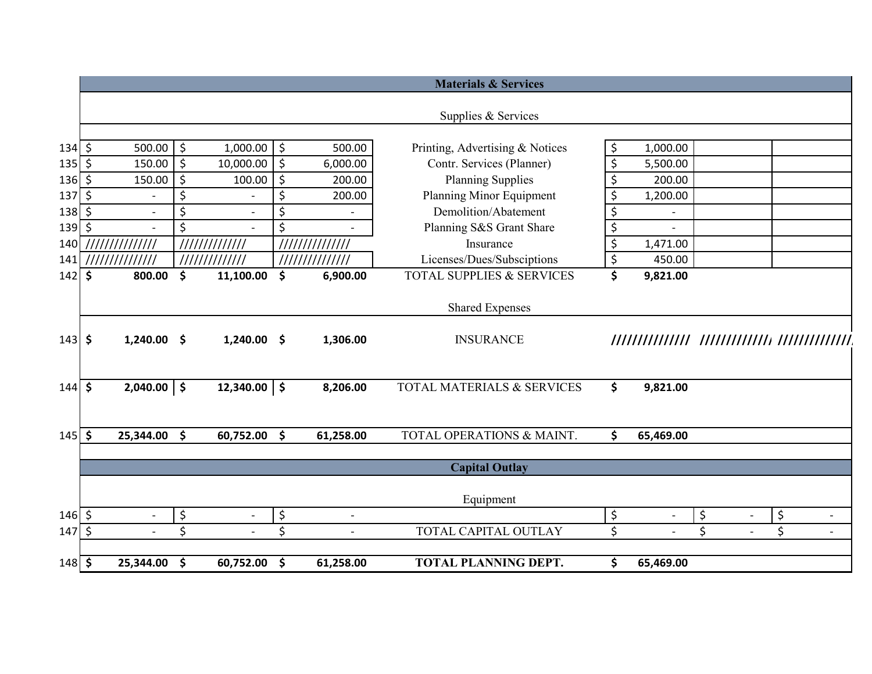|             |         |                          |                     |                          |                  |                | <b>Materials &amp; Services</b>      |                                |                                      |
|-------------|---------|--------------------------|---------------------|--------------------------|------------------|----------------|--------------------------------------|--------------------------------|--------------------------------------|
|             |         |                          |                     |                          |                  |                | Supplies & Services                  |                                |                                      |
| $134 \,$ \$ |         | 500.00                   | $\vert \xi$         | 1,000.00                 | \$               | 500.00         | Printing, Advertising & Notices      | \$<br>1,000.00                 |                                      |
| $135$ \$    |         | 150.00                   | $\ddot{\zeta}$      | 10,000.00                | \$               | 6,000.00       | Contr. Services (Planner)            | \$<br>5,500.00                 |                                      |
| $136 \,$ \$ |         | 150.00                   | \$                  | 100.00                   | $\overline{\xi}$ | 200.00         | <b>Planning Supplies</b>             | \$<br>200.00                   |                                      |
| 137         | $\zeta$ |                          | \$                  |                          | \$               | 200.00         | Planning Minor Equipment             | \$<br>1,200.00                 |                                      |
| 138         | $\zeta$ | $\overline{\phantom{a}}$ | \$                  | $\overline{\phantom{a}}$ | \$               |                | Demolition/Abatement                 | \$                             |                                      |
| $139$ \$    |         |                          | \$                  |                          | \$               |                | Planning S&S Grant Share             | \$                             |                                      |
| 140         |         |                          |                     | 11111111111111           |                  |                | Insurance                            | \$<br>1,471.00                 |                                      |
| 141         |         | ///////////////          |                     | /////////////            |                  | ////////////// | Licenses/Dues/Subsciptions           | \$<br>450.00                   |                                      |
| 142         | $\zeta$ | 800.00                   | $\mathsf{\$}$       | 11,100.00                | \$               | 6,900.00       | <b>TOTAL SUPPLIES &amp; SERVICES</b> | \$<br>9,821.00                 |                                      |
|             |         |                          |                     |                          |                  |                |                                      |                                |                                      |
|             |         |                          |                     |                          |                  |                | <b>Shared Expenses</b>               |                                |                                      |
|             |         |                          |                     |                          |                  |                |                                      |                                |                                      |
| $143 \,$ \$ |         | 1,240.00                 | - \$                | $1,240.00$ \$            |                  | 1,306.00       | <b>INSURANCE</b>                     |                                |                                      |
|             |         |                          |                     |                          |                  |                |                                      |                                |                                      |
| $144$ \$    |         | $2,040.00$ \$            |                     | $12,340.00$   \$         |                  | 8,206.00       | TOTAL MATERIALS & SERVICES           | \$<br>9,821.00                 |                                      |
|             |         |                          |                     |                          |                  |                |                                      |                                |                                      |
| $145$ \$    |         | 25,344.00 \$             |                     | 60,752.00                | \$               | 61,258.00      | TOTAL OPERATIONS & MAINT.            | \$<br>65,469.00                |                                      |
|             |         |                          |                     |                          |                  |                |                                      |                                |                                      |
|             |         |                          |                     |                          |                  |                | <b>Capital Outlay</b>                |                                |                                      |
|             |         |                          |                     |                          |                  |                |                                      |                                |                                      |
| $146$ \$    |         |                          | \$                  | $\overline{\phantom{a}}$ | \$               |                | Equipment                            | \$                             | \$<br>\$                             |
| $147 \;$ \$ |         | $\overline{\phantom{a}}$ | \$                  | $\blacksquare$           | \$               | $\blacksquare$ | TOTAL CAPITAL OUTLAY                 | \$<br>$\overline{\phantom{0}}$ | \$<br>\$<br>$\overline{\phantom{a}}$ |
|             |         |                          |                     |                          |                  |                |                                      |                                |                                      |
| $148$ \$    |         | 25,344.00                | $\ddot{\mathsf{s}}$ | 60,752.00                | \$               | 61,258.00      | <b>TOTAL PLANNING DEPT.</b>          | \$<br>65,469.00                |                                      |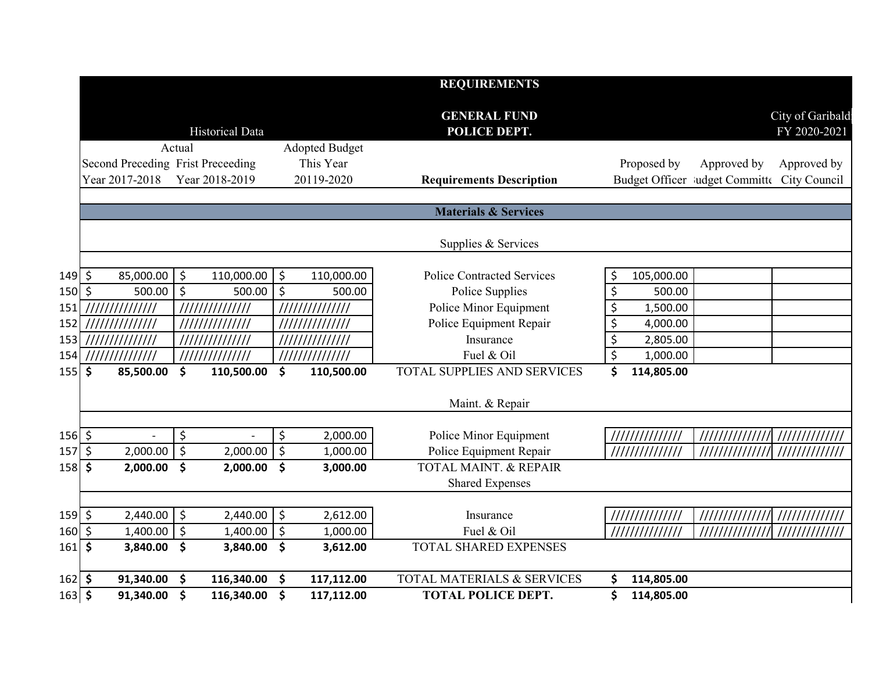|              |                                   |         |                        |         |                       | <b>REQUIREMENTS</b>                 |         |                 |                                             |                                  |
|--------------|-----------------------------------|---------|------------------------|---------|-----------------------|-------------------------------------|---------|-----------------|---------------------------------------------|----------------------------------|
|              |                                   |         | <b>Historical Data</b> |         |                       | <b>GENERAL FUND</b><br>POLICE DEPT. |         |                 |                                             | City of Garibald<br>FY 2020-2021 |
|              |                                   | Actual  |                        |         | <b>Adopted Budget</b> |                                     |         |                 |                                             |                                  |
|              | Second Preceding Frist Preceeding |         |                        |         | This Year             |                                     |         | Proposed by     | Approved by                                 | Approved by                      |
|              | Year 2017-2018                    |         | Year 2018-2019         |         | 20119-2020            | <b>Requirements Description</b>     |         |                 | Budget Officer ludget Committe City Council |                                  |
|              |                                   |         |                        |         |                       | <b>Materials &amp; Services</b>     |         |                 |                                             |                                  |
|              |                                   |         |                        |         |                       | Supplies & Services                 |         |                 |                                             |                                  |
| $149 \mid 5$ | 85,000.00                         | \$      | 110,000.00             | \$      | 110,000.00            | <b>Police Contracted Services</b>   | \$      | 105,000.00      |                                             |                                  |
| <b>150</b>   | $\zeta$<br>500.00                 | $\zeta$ | 500.00                 | $\zeta$ | 500.00                | Police Supplies                     | \$      | 500.00          |                                             |                                  |
| 151          | 111111111111111                   |         | 111111111111111        |         | 111111111111111       | Police Minor Equipment              | \$      | 1,500.00        |                                             |                                  |
| 152          | //////////////                    |         | 111111111111111        |         |                       | Police Equipment Repair             | \$      | 4,000.00        |                                             |                                  |
| 153          |                                   |         | //////////////         |         |                       | Insurance                           | \$      | 2,805.00        |                                             |                                  |
| 154          | //////////////                    |         | 111111111111111        |         | //////////////        | Fuel & Oil                          | $\zeta$ | 1,000.00        |                                             |                                  |
| 155          | \$<br>85,500.00                   | \$      | 110,500.00             | \$      | 110,500.00            | <b>TOTAL SUPPLIES AND SERVICES</b>  | \$      | 114,805.00      |                                             |                                  |
|              |                                   |         |                        |         |                       | Maint. & Repair                     |         |                 |                                             |                                  |
|              |                                   |         |                        |         |                       |                                     |         |                 |                                             |                                  |
| $156$ \$     |                                   | \$      |                        | $\zeta$ | 2,000.00              | Police Minor Equipment              |         |                 |                                             |                                  |
| 157          | $\zeta$<br>2,000.00               | $\zeta$ | 2,000.00               | \$      | 1,000.00              | Police Equipment Repair             |         | 111111111111111 | /////////////// //////////////              |                                  |
| 158          | \$<br>2,000.00                    | \$      | 2,000.00               | - \$    | 3,000.00              | <b>TOTAL MAINT, &amp; REPAIR</b>    |         |                 |                                             |                                  |
|              |                                   |         |                        |         |                       | <b>Shared Expenses</b>              |         |                 |                                             |                                  |
| $159$ \$     | 2,440.00                          | $\zeta$ | 2,440.00               | \$      | 2,612.00              | Insurance                           |         | //////////////  |                                             | //////////////                   |
| 160          | \$<br>1,400.00                    | $\zeta$ | $1,400.00$ \$          |         | 1,000.00              | Fuel & Oil                          |         |                 | //////////////                              | /////////////                    |
| 161          | $\boldsymbol{\zeta}$<br>3,840.00  | \$      | 3,840.00 \$            |         | 3,612.00              | <b>TOTAL SHARED EXPENSES</b>        |         |                 |                                             |                                  |
| $162$ \$     | 91,340.00                         | \$      | 116,340.00             | \$      | 117,112.00            | TOTAL MATERIALS & SERVICES          | \$      | 114,805.00      |                                             |                                  |
| $163$ \$     | 91,340.00                         | \$      | 116,340.00 \$          |         | 117,112.00            | <b>TOTAL POLICE DEPT.</b>           | \$      | 114,805.00      |                                             |                                  |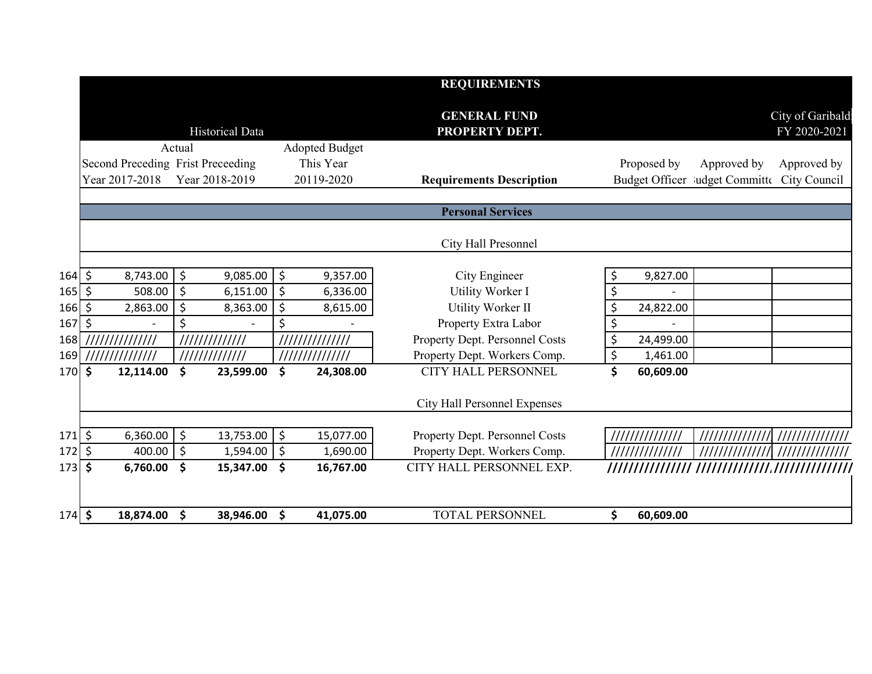|          |                                   |                      |                                  | <b>REQUIREMENTS</b>                   |                                             |                                  |
|----------|-----------------------------------|----------------------|----------------------------------|---------------------------------------|---------------------------------------------|----------------------------------|
|          |                                   | Historical Data      |                                  | <b>GENERAL FUND</b><br>PROPERTY DEPT. |                                             | City of Garibald<br>FY 2020-2021 |
|          |                                   | Actual               | <b>Adopted Budget</b>            |                                       |                                             |                                  |
|          | Second Preceding Frist Preceeding |                      | This Year                        |                                       | Proposed by<br>Approved by                  | Approved by                      |
|          | Year 2017-2018                    | Year 2018-2019       | 20119-2020                       | <b>Requirements Description</b>       | Budget Officer ludget Committe City Council |                                  |
|          |                                   |                      |                                  |                                       |                                             |                                  |
|          |                                   |                      |                                  | <b>Personal Services</b>              |                                             |                                  |
|          |                                   |                      |                                  | City Hall Presonnel                   |                                             |                                  |
|          |                                   |                      |                                  |                                       |                                             |                                  |
| $164$ \$ | 8,743.00                          | $\zeta$<br>9,085.00  | \$<br>9,357.00                   | City Engineer                         | 9,827.00<br>\$                              |                                  |
| 165   \$ | 508.00                            | $\zeta$<br>6,151.00  | \$<br>6,336.00                   | Utility Worker I                      | \$                                          |                                  |
| 166 \$   | 2,863.00                          | $\zeta$<br>8,363.00  | \$<br>8,615.00                   | Utility Worker II                     | \$<br>24,822.00                             |                                  |
| $167$ \$ |                                   | \$                   | \$                               | Property Extra Labor                  | \$                                          |                                  |
|          |                                   | 11111111111111       | //////////////                   | Property Dept. Personnel Costs        | \$<br>24,499.00                             |                                  |
| 169      | //////////////                    | /////////////        | ///////////////                  | Property Dept. Workers Comp.          | \$<br>1,461.00                              |                                  |
| 170 \$   | 12,114.00                         | \$<br>23,599.00      | \$<br>24,308.00                  | CITY HALL PERSONNEL                   | \$<br>60,609.00                             |                                  |
|          |                                   |                      |                                  | City Hall Personnel Expenses          |                                             |                                  |
|          |                                   |                      |                                  |                                       |                                             |                                  |
| 171 \$   | 6,360.00                          | $\zeta$<br>13,753.00 | \$<br>15,077.00                  | Property Dept. Personnel Costs        | //////////////                              |                                  |
| 172 \$   | 400.00                            | $\zeta$<br>1,594.00  | \$<br>1,690.00                   | Property Dept. Workers Comp.          | //////////////                              |                                  |
| 173 \$   | 6,760.00                          | \$<br>15,347.00      | \$<br>16,767.00                  | CITY HALL PERSONNEL EXP.              |                                             |                                  |
|          |                                   |                      |                                  |                                       |                                             |                                  |
| $174$ \$ | 18,874.00                         | \$<br>38,946.00      | $\ddot{\bm{\zeta}}$<br>41,075.00 | <b>TOTAL PERSONNEL</b>                | \$<br>60,609.00                             |                                  |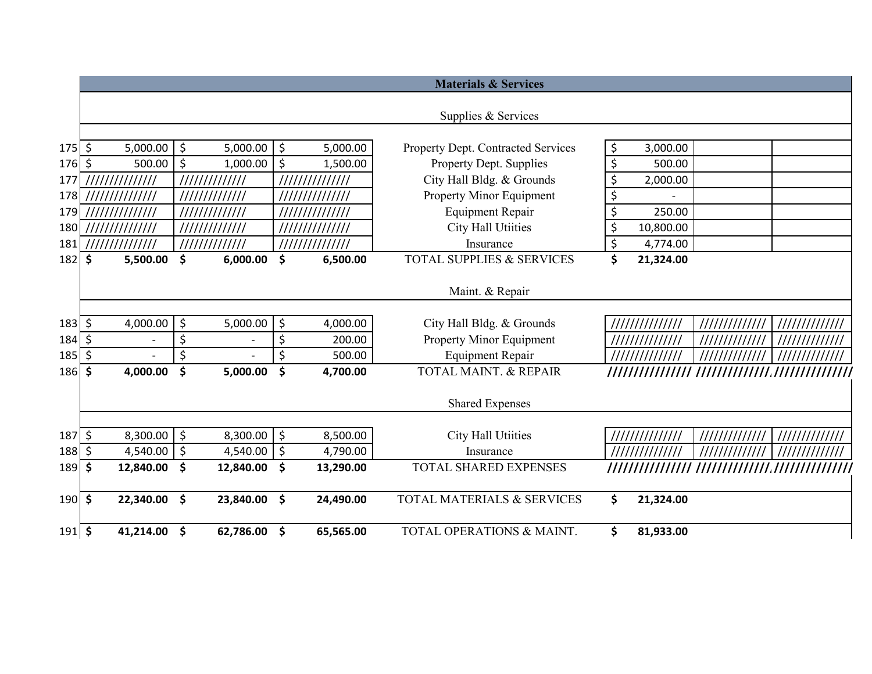|                        |                     |                          |                     |                |         |                 | <b>Materials &amp; Services</b>      |                  |                |                                |
|------------------------|---------------------|--------------------------|---------------------|----------------|---------|-----------------|--------------------------------------|------------------|----------------|--------------------------------|
|                        |                     |                          |                     |                |         |                 | Supplies & Services                  |                  |                |                                |
| $175$ \$               |                     | 5,000.00                 | $\vert$ \$          | 5,000.00       | \$      | 5,000.00        | Property Dept. Contracted Services   | \$<br>3,000.00   |                |                                |
| $176$ \$               |                     | 500.00                   | $\ddot{\varsigma}$  | 1,000.00       | \$      | 1,500.00        | Property Dept. Supplies              | \$<br>500.00     |                |                                |
| 177                    |                     | ///////////////          |                     | 11111111111111 |         | //////////////  | City Hall Bldg. & Grounds            | \$<br>2,000.00   |                |                                |
| 178                    |                     | ///////////////          |                     | ////////////// |         | /////////////// | Property Minor Equipment             | \$               |                |                                |
| 179                    |                     | //////////////           |                     | /////////////  |         | /////////////// | <b>Equipment Repair</b>              | \$<br>250.00     |                |                                |
| 180                    |                     | //////////////           |                     | /////////////  |         | '///////////    | City Hall Utiities                   | \$<br>10,800.00  |                |                                |
| 181                    |                     | ,,,,,,,,,,,,,,,,,,       |                     | 11111111111111 |         | //////////////  | Insurance                            | \$<br>4,774.00   |                |                                |
| 182                    | \$                  | 5,500.00                 | \$                  | 6,000.00       | \$      | 6,500.00        | <b>TOTAL SUPPLIES &amp; SERVICES</b> | \$<br>21,324.00  |                |                                |
|                        |                     |                          |                     |                |         |                 | Maint. & Repair                      |                  |                |                                |
| $183 \, \simeq$        |                     | 4,000.00                 | \$                  | 5,000.00       | \$      | 4,000.00        | City Hall Bldg. & Grounds            | //////////////   | /////////////  | /////////////                  |
| 184                    | \$                  | $\overline{\phantom{0}}$ | \$                  |                | \$      | 200.00          | Property Minor Equipment             |                  |                |                                |
| 185                    | \$                  |                          | \$                  |                | \$      | 500.00          | <b>Equipment Repair</b>              |                  |                |                                |
| 186                    | $\ddot{\bm{\zeta}}$ | 4,000.00                 | \$                  | 5,000.00       | \$      | 4,700.00        | <b>TOTAL MAINT. &amp; REPAIR</b>     | //////////////// |                |                                |
|                        |                     |                          |                     |                |         |                 | <b>Shared Expenses</b>               |                  |                |                                |
| $187 \,$ \$            |                     | 8,300.00                 | $\vert \xi$         | 8,300.00       | $\zeta$ | 8,500.00        | City Hall Utiities                   | '//////////////  | ////////////// | 11111111111111                 |
| 188                    | $\zeta$             | 4,540.00 $\vert$ \$      |                     | 4,540.00       | \$      | 4,790.00        | Insurance                            |                  |                |                                |
| 189                    | \$                  | 12,840.00                | \$                  | 12,840.00      | \$      | 13,290.00       | <b>TOTAL SHARED EXPENSES</b>         |                  |                | ////////////////////////////// |
| $190$ \$               |                     | 22,340.00                | $\ddot{\bm{\zeta}}$ | 23,840.00      | \$      | 24,490.00       | TOTAL MATERIALS & SERVICES           | \$<br>21,324.00  |                |                                |
| $191 \, \frac{\xi}{2}$ |                     | 41,214.00                | - \$                | 62,786.00      | \$      | 65,565.00       | TOTAL OPERATIONS & MAINT.            | \$<br>81,933.00  |                |                                |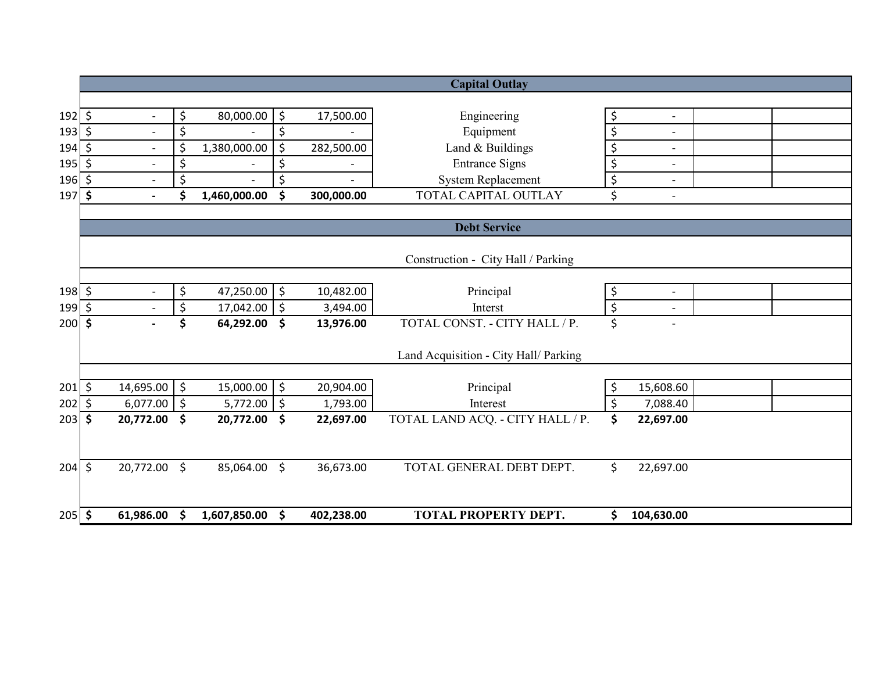|              |     |                          |                     |              |               |            | <b>Capital Outlay</b>                 |                                |  |
|--------------|-----|--------------------------|---------------------|--------------|---------------|------------|---------------------------------------|--------------------------------|--|
|              |     |                          |                     |              |               |            |                                       |                                |  |
| $192 \mid 5$ |     | $\overline{\phantom{a}}$ | \$                  | 80,000.00    | \$            | 17,500.00  | Engineering                           | \$<br>$\overline{\phantom{a}}$ |  |
| $193 \,$ \$  |     |                          | $\ddot{\varsigma}$  |              | \$            |            | Equipment                             | \$<br>$\overline{\phantom{0}}$ |  |
| $194 \,$ \$  |     | $\overline{\phantom{a}}$ | \$                  | 1,380,000.00 | \$            | 282,500.00 | Land & Buildings                      | \$<br>$\overline{\phantom{0}}$ |  |
| $195$ \$     |     | $\overline{\phantom{a}}$ | \$                  |              | \$            |            | <b>Entrance Signs</b>                 | \$<br>$\overline{\phantom{a}}$ |  |
| 196 \$       |     |                          | \$                  |              | \$            |            | <b>System Replacement</b>             | \$<br>$\overline{\phantom{0}}$ |  |
| $197$ \$     |     | $\blacksquare$           | Ś                   | 1,460,000.00 | \$            | 300,000.00 | TOTAL CAPITAL OUTLAY                  | \$<br>$\overline{a}$           |  |
|              |     |                          |                     |              |               |            |                                       |                                |  |
|              |     |                          |                     |              |               |            | <b>Debt Service</b>                   |                                |  |
|              |     |                          |                     |              |               |            | Construction - City Hall / Parking    |                                |  |
|              |     |                          |                     |              |               |            |                                       |                                |  |
| $198$ \$     |     | $\overline{\phantom{a}}$ | \$                  | 47,250.00    | \$            | 10,482.00  | Principal                             | \$<br>$\overline{\phantom{a}}$ |  |
| 199 \$       |     |                          | $\ddot{\varsigma}$  | 17,042.00    | \$            | 3,494.00   | Interst                               | \$                             |  |
| $200 \,$ \$  |     |                          | \$                  | 64,292.00    | \$            | 13,976.00  | TOTAL CONST. - CITY HALL / P.         | \$                             |  |
|              |     |                          |                     |              |               |            | Land Acquisition - City Hall/ Parking |                                |  |
|              |     |                          |                     |              |               |            |                                       |                                |  |
| $201 \xi$    |     | $14,695.00$ \$           |                     | 15,000.00    | $\ddot{\phi}$ | 20,904.00  | Principal                             | \$<br>15,608.60                |  |
| 202          | ∣\$ | $6,077.00$ \$            |                     | 5,772.00     | \$            | 1,793.00   | Interest                              | \$<br>7,088.40                 |  |
| $203 \,$ \$  |     | 20,772.00                | $\ddot{\mathsf{s}}$ | 20,772.00    | \$            | 22,697.00  | TOTAL LAND ACQ. - CITY HALL / P.      | \$<br>22,697.00                |  |
|              |     |                          |                     |              |               |            |                                       |                                |  |
| $204 \div$   |     | 20,772.00 \$             |                     | 85,064.00    | \$            | 36,673.00  | TOTAL GENERAL DEBT DEPT.              | \$<br>22,697.00                |  |
|              |     |                          |                     |              |               |            |                                       |                                |  |
| $205$ \$     |     | 61,986.00 \$             |                     | 1,607,850.00 | \$            | 402,238.00 | <b>TOTAL PROPERTY DEPT.</b>           | \$<br>104,630.00               |  |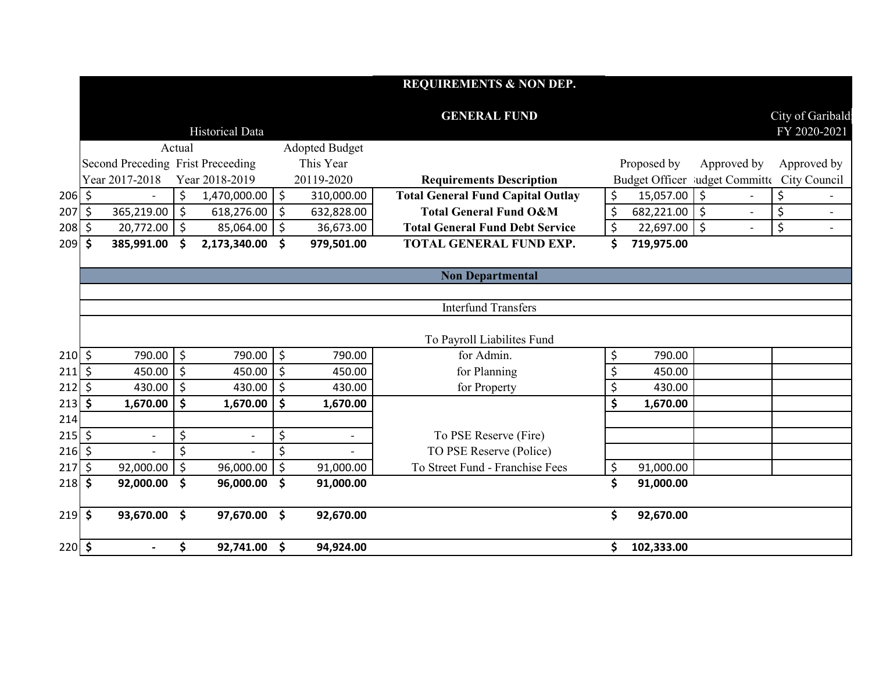|              |                     |                                   |                     |                          |               |                          | <b>REQUIREMENTS &amp; NON DEP.</b>       |         |                 |             |                                             |
|--------------|---------------------|-----------------------------------|---------------------|--------------------------|---------------|--------------------------|------------------------------------------|---------|-----------------|-------------|---------------------------------------------|
|              |                     |                                   |                     | Historical Data          |               |                          | <b>GENERAL FUND</b>                      |         |                 |             | City of Garibald<br>FY 2020-2021            |
|              |                     |                                   | Actual              |                          |               | <b>Adopted Budget</b>    |                                          |         |                 |             |                                             |
|              |                     | Second Preceding Frist Preceeding |                     |                          |               | This Year                |                                          |         | Proposed by     | Approved by | Approved by                                 |
|              |                     | Year 2017-2018                    |                     | Year 2018-2019           |               | 20119-2020               | <b>Requirements Description</b>          |         |                 |             | Budget Officer ludget Committe City Council |
| $206$ \$     |                     |                                   | \$                  | 1,470,000.00             | $\frac{1}{2}$ | 310,000.00               | <b>Total General Fund Capital Outlay</b> | \$      | 15,057.00 \$    |             | \$                                          |
| 207          | \$                  | 365,219.00                        | \$                  | 618,276.00               | \$            | 632,828.00               | <b>Total General Fund O&amp;M</b>        | $\zeta$ | $682,221.00$ \$ |             | \$                                          |
| 208          | $\ddot{\mathsf{S}}$ | 20,772.00                         | \$                  | 85,064.00                | \$            | 36,673.00                | <b>Total General Fund Debt Service</b>   | \$      | $22,697.00$ \$  |             | \$                                          |
| 209          | \$                  | 385,991.00                        | \$                  | 2,173,340.00             | \$            | 979,501.00               | TOTAL GENERAL FUND EXP.                  | \$      | 719,975.00      |             |                                             |
|              |                     |                                   |                     |                          |               |                          |                                          |         |                 |             |                                             |
|              |                     |                                   |                     |                          |               |                          | <b>Non Departmental</b>                  |         |                 |             |                                             |
|              |                     |                                   |                     |                          |               |                          | <b>Interfund Transfers</b>               |         |                 |             |                                             |
|              |                     |                                   |                     |                          |               |                          |                                          |         |                 |             |                                             |
|              |                     |                                   |                     |                          |               |                          | To Payroll Liabilites Fund               |         |                 |             |                                             |
| $210 \mid 5$ |                     | 790.00                            | $\zeta$             | 790.00                   | \$            | 790.00                   | for Admin.                               | \$      | 790.00          |             |                                             |
| 211          | \$                  | 450.00                            | $\zeta$             | 450.00                   | \$            | 450.00                   | for Planning                             | \$      | 450.00          |             |                                             |
| 212          | \$                  | 430.00                            | $\zeta$             | 430.00                   | \$            | 430.00                   | for Property                             | \$      | 430.00          |             |                                             |
| 213          | \$                  | 1,670.00                          | \$                  | 1,670.00                 | \$            | 1,670.00                 |                                          | \$      | 1,670.00        |             |                                             |
| 214          |                     |                                   |                     |                          |               |                          |                                          |         |                 |             |                                             |
| $215$ \$     |                     | $\overline{\phantom{a}}$          | \$                  | $\overline{\phantom{a}}$ | \$            | $\overline{\phantom{a}}$ | To PSE Reserve (Fire)                    |         |                 |             |                                             |
| $216$ \$     |                     |                                   | $\zeta$             |                          | \$            |                          | TO PSE Reserve (Police)                  |         |                 |             |                                             |
| 217          | $\zeta$             | 92,000.00                         | \$                  | 96,000.00                | \$            | 91,000.00                | To Street Fund - Franchise Fees          | \$      | 91,000.00       |             |                                             |
| 218          | \$                  | 92,000.00                         | $\ddot{\bm{\zeta}}$ | 96,000.00                | \$            | 91,000.00                |                                          | \$      | 91,000.00       |             |                                             |
| $219$ \$     |                     | 93,670.00 \$                      |                     | 97,670.00 \$             |               | 92,670.00                |                                          | \$      | 92,670.00       |             |                                             |
| $220 \div$   |                     |                                   | \$                  | 92,741.00 \$             |               | 94,924.00                |                                          | \$      | 102,333.00      |             |                                             |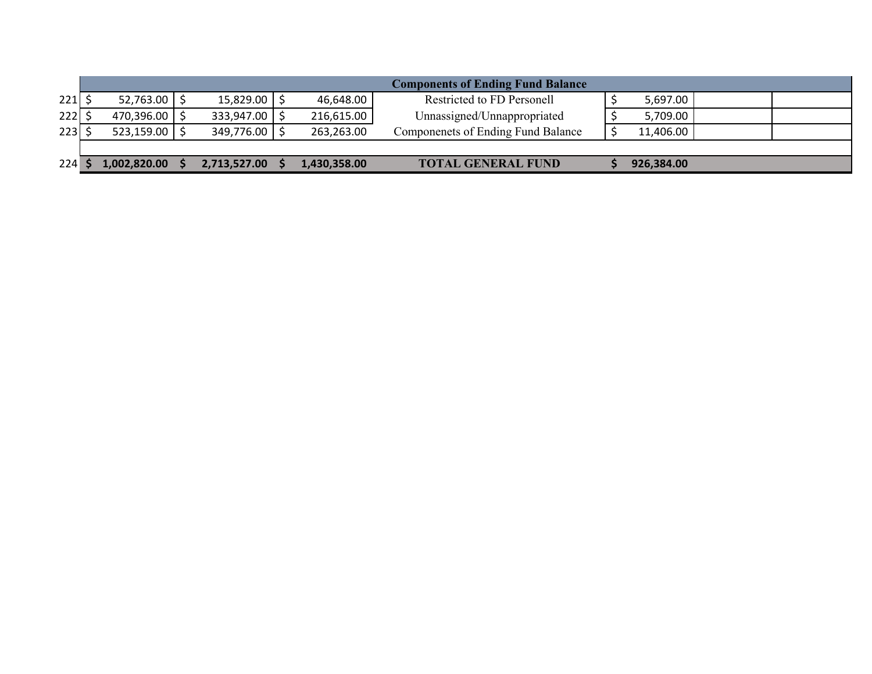|         |                       |                   |              | <b>Components of Ending Fund Balance</b> |            |  |
|---------|-----------------------|-------------------|--------------|------------------------------------------|------------|--|
| $221$ : | $52,763.00$ $\mid$ \$ | $15,829.00$   \$  | 46,648.00    | Restricted to FD Personell               | 5,697.00   |  |
| 222     | 470,396.00 \$         | 333,947.00   \$   | 216,615.00   | Unnassigned/Unnappropriated              | 5,709.00   |  |
| 223     | 523,159.00            | $349,776.00$   \$ | 263,263.00   | Componenets of Ending Fund Balance       | 11,406.00  |  |
|         |                       |                   |              |                                          |            |  |
| 224     | 1,002,820.00          | 2,713,527.00      | 1,430,358.00 | <b>TOTAL GENERAL FUND</b>                | 926,384.00 |  |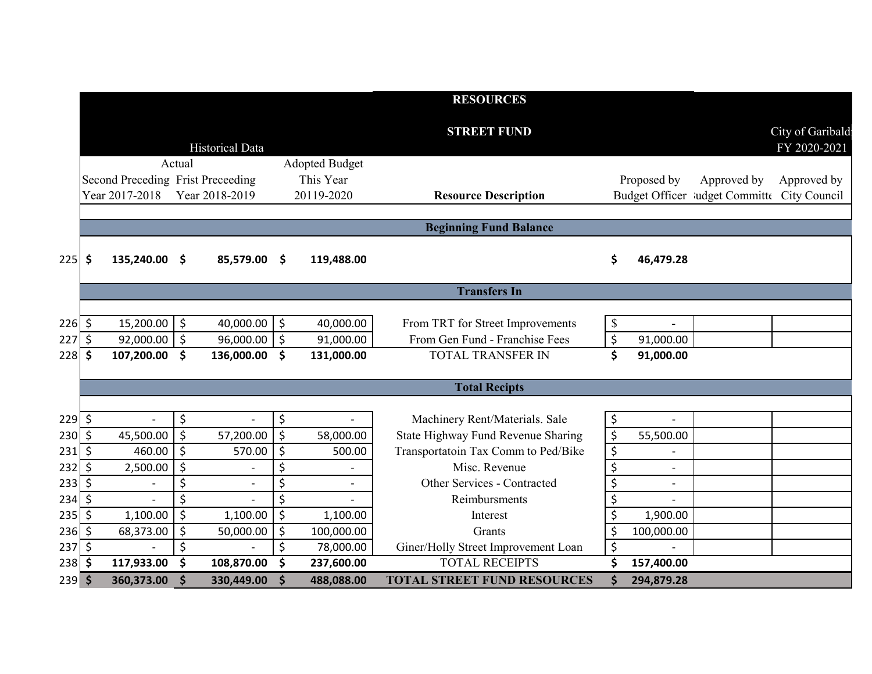|                 |                    |                                   |                    |                          |                      |                         | <b>RESOURCES</b>                                     |          |                          |                                             |                                  |
|-----------------|--------------------|-----------------------------------|--------------------|--------------------------|----------------------|-------------------------|------------------------------------------------------|----------|--------------------------|---------------------------------------------|----------------------------------|
|                 |                    |                                   |                    | <b>Historical Data</b>   |                      |                         | <b>STREET FUND</b>                                   |          |                          |                                             | City of Garibald<br>FY 2020-2021 |
|                 |                    |                                   | Actual             |                          |                      | <b>Adopted Budget</b>   |                                                      |          |                          |                                             |                                  |
|                 |                    | Second Preceding Frist Preceeding |                    |                          |                      | This Year               |                                                      |          | Proposed by              | Approved by                                 | Approved by                      |
|                 |                    | Year 2017-2018                    |                    | Year 2018-2019           |                      | 20119-2020              | <b>Resource Description</b>                          |          |                          | Budget Officer ludget Committe City Council |                                  |
|                 |                    |                                   |                    |                          |                      |                         |                                                      |          |                          |                                             |                                  |
|                 |                    |                                   |                    |                          |                      |                         | <b>Beginning Fund Balance</b>                        |          |                          |                                             |                                  |
| 225             | \$                 | 135,240.00 \$                     |                    | 85,579.00                | \$.                  | 119,488.00              |                                                      | \$       | 46,479.28                |                                             |                                  |
|                 |                    |                                   |                    |                          |                      |                         | <b>Transfers In</b>                                  |          |                          |                                             |                                  |
|                 |                    |                                   |                    |                          |                      |                         |                                                      |          |                          |                                             |                                  |
| $226$ \$        |                    | $15,200.00$ \$                    |                    | 40,000.00                | $\ddot{\mathsf{S}}$  | 40,000.00               | From TRT for Street Improvements                     | \$       |                          |                                             |                                  |
| 227             | $\zeta$            | 92,000.00                         | $\zeta$            | 96,000.00                | \$                   | 91,000.00               | From Gen Fund - Franchise Fees                       | \$       | 91,000.00                |                                             |                                  |
| 228             | $\zeta$            | 107,200.00                        | $\mathsf{\$}$      | 136,000.00               | \$                   | 131,000.00              | <b>TOTAL TRANSFER IN</b>                             | \$       | 91,000.00                |                                             |                                  |
|                 |                    |                                   |                    |                          |                      |                         |                                                      |          |                          |                                             |                                  |
|                 |                    |                                   |                    |                          |                      |                         | <b>Total Recipts</b>                                 |          |                          |                                             |                                  |
|                 |                    |                                   |                    |                          |                      |                         |                                                      |          |                          |                                             |                                  |
| $229$ \$        |                    |                                   | \$                 |                          | \$                   |                         | Machinery Rent/Materials. Sale                       | \$       |                          |                                             |                                  |
| $230 \div$      |                    | 45,500.00                         | $\zeta$            | 57,200.00                | \$                   | 58,000.00               | State Highway Fund Revenue Sharing                   | \$       | 55,500.00                |                                             |                                  |
| 231             | $\zeta$            | 460.00                            | $\zeta$            | 570.00                   | \$                   | 500.00                  | Transportatoin Tax Comm to Ped/Bike<br>Misc. Revenue | \$       |                          |                                             |                                  |
| 232             | $\zeta$            | 2,500.00                          | $\zeta$            |                          | \$                   |                         |                                                      | \$       | $\overline{a}$           |                                             |                                  |
| 233             | $\zeta$            | $\overline{\phantom{a}}$          | \$<br>\$           | $\overline{\phantom{a}}$ | \$<br>\$             |                         | Other Services - Contracted<br>Reimbursments         | \$       | $\overline{\phantom{0}}$ |                                             |                                  |
| 234<br>235      | $\zeta$<br>$\zeta$ | 1,100.00                          |                    | 1,100.00                 | $\overline{\xi}$     |                         |                                                      | \$       | 1,900.00                 |                                             |                                  |
|                 |                    |                                   | \$                 |                          |                      | 1,100.00                | Interest                                             | \$       |                          |                                             |                                  |
| 236<br>$237$ \$ | $\zeta$            | 68,373.00                         | \$<br>\$           | 50,000.00                | \$<br>\$             | 100,000.00<br>78,000.00 | Grants<br>Giner/Holly Street Improvement Loan        | \$<br>\$ | 100,000.00               |                                             |                                  |
| $238$ \$        |                    | 117,933.00                        | \$                 | 108,870.00               | \$                   | 237,600.00              | <b>TOTAL RECEIPTS</b>                                | \$       | 157,400.00               |                                             |                                  |
| $239$ \$        |                    | 360,373.00                        | $\dot{\mathsf{s}}$ | 330,449.00               | $\boldsymbol{\zeta}$ | 488,088.00              | <b>TOTAL STREET FUND RESOURCES</b>                   | \$       | 294,879.28               |                                             |                                  |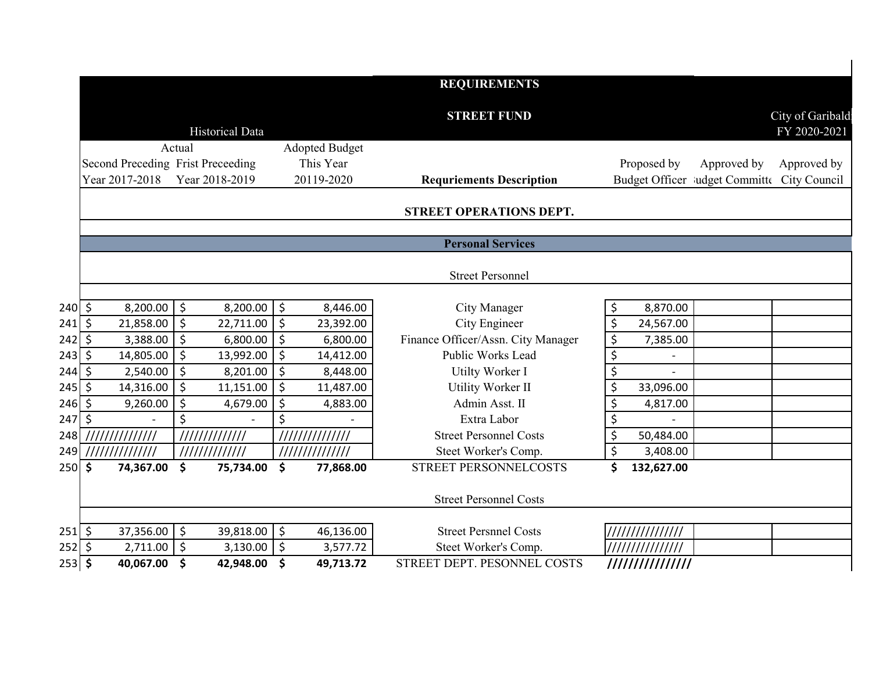|                |                                   |                                   |               |                       | <b>REQUIREMENTS</b>                |                      |                                             |
|----------------|-----------------------------------|-----------------------------------|---------------|-----------------------|------------------------------------|----------------------|---------------------------------------------|
|                |                                   |                                   |               |                       | <b>STREET FUND</b>                 |                      | City of Garibald                            |
|                |                                   | <b>Historical Data</b>            |               |                       |                                    |                      | FY 2020-2021                                |
|                |                                   | Actual                            |               | <b>Adopted Budget</b> |                                    |                      |                                             |
|                | Second Preceding Frist Preceeding |                                   |               | This Year             |                                    | Proposed by          | Approved by<br>Approved by                  |
|                | Year 2017-2018                    | Year 2018-2019                    |               | 20119-2020            | <b>Requriements Description</b>    |                      | Budget Officer ludget Committe City Council |
|                |                                   |                                   |               |                       | STREET OPERATIONS DEPT.            |                      |                                             |
|                |                                   |                                   |               |                       |                                    |                      |                                             |
|                |                                   |                                   |               |                       | <b>Personal Services</b>           |                      |                                             |
|                |                                   |                                   |               |                       |                                    |                      |                                             |
|                |                                   |                                   |               |                       | <b>Street Personnel</b>            |                      |                                             |
| $240 \mid 5$   | 8,200.00                          | \$<br>8,200.00                    | $\ddot{\phi}$ | 8,446.00              | City Manager                       | \$<br>8,870.00       |                                             |
| 241            | 21,858.00<br>\$                   | $\zeta$<br>22,711.00              | $\zeta$       | 23,392.00             | City Engineer                      | $\zeta$<br>24,567.00 |                                             |
| 242            | 3,388.00<br>\$                    | \$<br>6,800.00                    | \$            | 6,800.00              | Finance Officer/Assn. City Manager | \$<br>7,385.00       |                                             |
| 243            | $\zeta$<br>14,805.00              | $\zeta$<br>13,992.00              | $\zeta$       | 14,412.00             | Public Works Lead                  | $\overline{\xi}$     |                                             |
| 244            | 2,540.00<br>\$                    | $\zeta$<br>8,201.00               | $\zeta$       | 8,448.00              | Utilty Worker I                    | \$                   |                                             |
| 245            | $\zeta$<br>14,316.00              | $\zeta$<br>11,151.00              | \$            | 11,487.00             | Utility Worker II                  | \$<br>33,096.00      |                                             |
| 246            | \$<br>9,260.00                    | $\zeta$<br>4,679.00               | \$            | 4,883.00              | Admin Asst. II                     | \$<br>4,817.00       |                                             |
| 247            | $\zeta$                           | \$                                | \$            |                       | Extra Labor                        | \$                   |                                             |
| 248            |                                   | 11111111111111                    |               | //////////////        | <b>Street Personnel Costs</b>      | \$<br>50,484.00      |                                             |
| 249            | //////////////                    | 11111111111111                    |               | //////////////        | Steet Worker's Comp.               | $\zeta$<br>3,408.00  |                                             |
| <b>250</b>     | \$<br>74,367.00                   | $\boldsymbol{\zeta}$<br>75,734.00 | \$            | 77,868.00             | <b>STREET PERSONNELCOSTS</b>       | \$<br>132,627.00     |                                             |
|                |                                   |                                   |               |                       | <b>Street Personnel Costs</b>      |                      |                                             |
|                |                                   |                                   |               |                       |                                    |                      |                                             |
| $251$ \$       | 37,356.00                         | \$ ا<br>39,818.00                 | $\zeta$       | 46,136.00             | <b>Street Persnnel Costs</b>       | ///////////////      |                                             |
| $252 \mid \xi$ | 2,711.00                          | $\zeta$<br>3,130.00               | \$            | 3,577.72              | Steet Worker's Comp.               | ///////////////      |                                             |
| $253$ \$       | 40,067.00                         | $\boldsymbol{\zeta}$<br>42,948.00 | \$            | 49,713.72             | STREET DEPT. PESONNEL COSTS        | ////////////////     |                                             |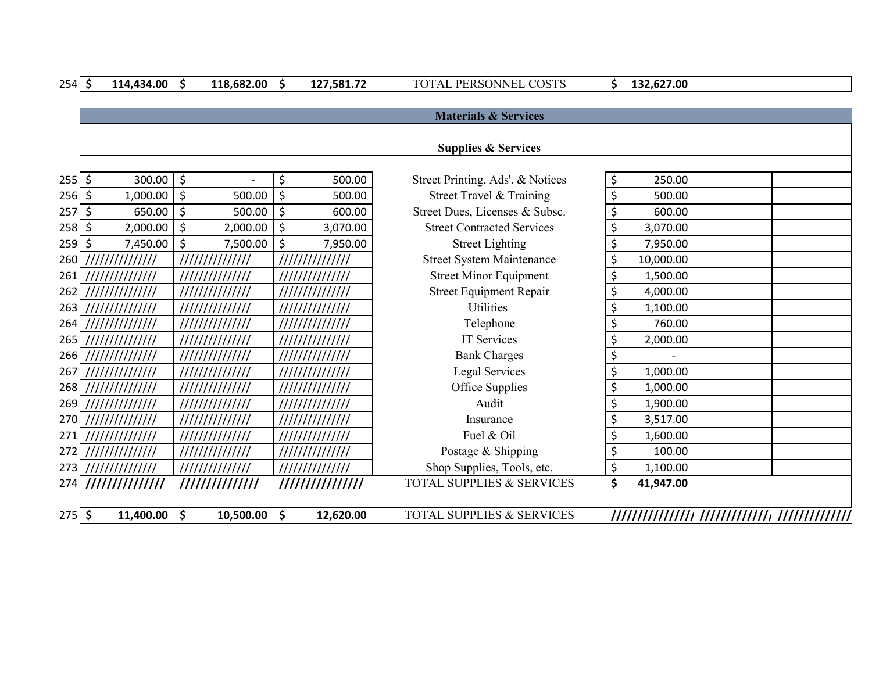| $254$ \$ |         | 114,434.00          | $\mathsf{\$}$ | 118,682.00               | \$<br>127,581.72 | TOTAL PERSONNEL COSTS                | \$<br>132,627.00 |  |
|----------|---------|---------------------|---------------|--------------------------|------------------|--------------------------------------|------------------|--|
|          |         |                     |               |                          |                  |                                      |                  |  |
|          |         |                     |               |                          |                  | <b>Materials &amp; Services</b>      |                  |  |
|          |         |                     |               |                          |                  |                                      |                  |  |
|          |         |                     |               |                          |                  | <b>Supplies &amp; Services</b>       |                  |  |
|          |         |                     |               |                          |                  |                                      |                  |  |
| $255$ \$ |         | $300.00$   \$       |               | $\overline{\phantom{0}}$ | \$<br>500.00     | Street Printing, Ads'. & Notices     | \$<br>250.00     |  |
| $256$ \$ |         | 1,000.00            | \$            | 500.00                   | \$<br>500.00     | Street Travel & Training             | \$<br>500.00     |  |
| 257      | $\zeta$ | 650.00              | $\zeta$       | 500.00                   | \$<br>600.00     | Street Dues, Licenses & Subsc.       | \$<br>600.00     |  |
| $258$ \$ |         | 2,000.00            | \$            | 2,000.00                 | \$<br>3,070.00   | <b>Street Contracted Services</b>    | \$<br>3,070.00   |  |
| $259$ \$ |         | 7,450.00            | \$            | 7,500.00                 | \$<br>7,950.00   | <b>Street Lighting</b>               | \$<br>7,950.00   |  |
| 260      |         | 111111111111111     |               | //////////////           | //////////////   | <b>Street System Maintenance</b>     | \$<br>10,000.00  |  |
| 261      |         | 111111111111111     |               | //////////////           | //////////////   | <b>Street Minor Equipment</b>        | \$<br>1,500.00   |  |
|          |         | 262 /////////////// |               | 111111111111111          | //////////////   | <b>Street Equipment Repair</b>       | \$<br>4,000.00   |  |
| 263      |         | 111111111111111     |               | //////////////           | //////////////   | <b>Utilities</b>                     | \$<br>1,100.00   |  |
| 264      |         | ///////////////     |               | 111111111111111          | //////////////   | Telephone                            | \$<br>760.00     |  |
|          |         | 265 /////////////// |               | //////////////           | //////////////   | IT Services                          | \$<br>2,000.00   |  |
|          |         | 266 /////////////// |               | //////////////           | //////////////   | <b>Bank Charges</b>                  | \$               |  |
| 267      |         | $\frac{1}{1}$       |               | //////////////           | //////////////   | <b>Legal Services</b>                | \$<br>1,000.00   |  |
|          |         | 268 /////////////// |               | //////////////           | //////////////   | Office Supplies                      | \$<br>1,000.00   |  |
|          |         | 269 /////////////// |               | //////////////           | //////////////   | Audit                                | \$<br>1,900.00   |  |
|          |         | 270 /////////////// |               | //////////////           | //////////////   | Insurance                            | \$<br>3,517.00   |  |
|          |         | 271 /////////////// |               | //////////////           | //////////////   | Fuel & Oil                           | \$<br>1,600.00   |  |
|          |         | 272 /////////////// |               | //////////////           | ///////////////  | Postage & Shipping                   | \$<br>100.00     |  |
|          |         | 273 /////////////// |               | //////////////           | //////////////   | Shop Supplies, Tools, etc.           | \$<br>1,100.00   |  |
| 274      |         | 111111111111111     |               | //////////////           |                  | <b>TOTAL SUPPLIES &amp; SERVICES</b> | \$<br>41,947.00  |  |
|          |         |                     |               |                          |                  |                                      |                  |  |
| $275$ \$ |         | 11,400.00 \$        |               | 10,500.00                | \$<br>12,620.00  | <b>TOTAL SUPPLIES &amp; SERVICES</b> |                  |  |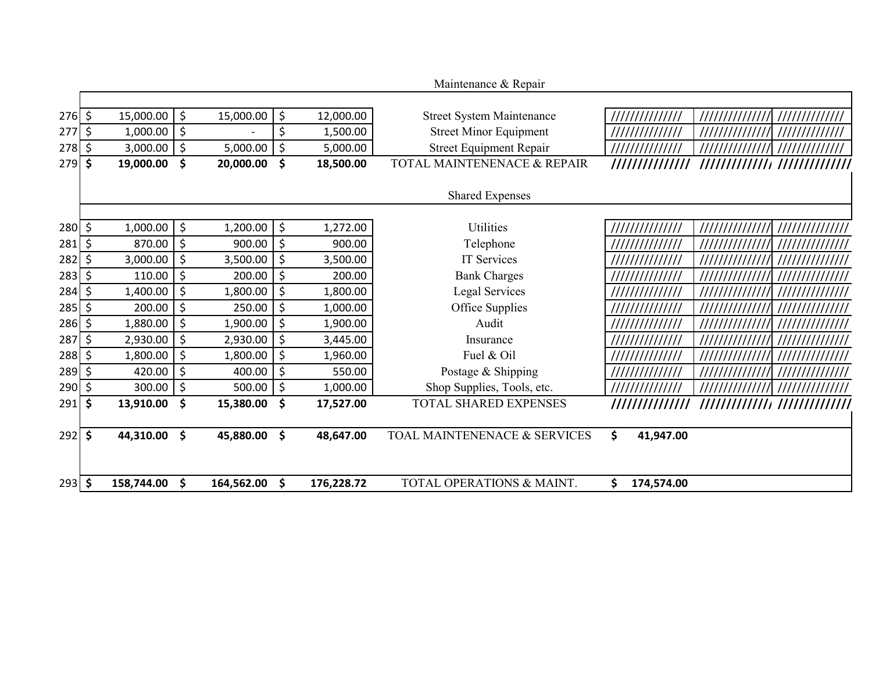|            |                 |               |            |                  | Maintenance & Repair             |                  |                |                 |
|------------|-----------------|---------------|------------|------------------|----------------------------------|------------------|----------------|-----------------|
|            |                 |               |            |                  |                                  |                  |                |                 |
| $276$ \$   | 15,000.00       | \$            | 15,000.00  | \$<br>12,000.00  | <b>Street System Maintenance</b> | //////////////   |                | 11111111111111  |
| 277        | \$<br>1,000.00  | \$            |            | \$<br>1,500.00   | <b>Street Minor Equipment</b>    | //////////////   | ////////////// | 11111111111111  |
| 278        | \$<br>3,000.00  | \$            | 5,000.00   | \$<br>5,000.00   | <b>Street Equipment Repair</b>   | //////////////   |                | //////////////  |
| 279        | \$<br>19,000.00 | \$            | 20,000.00  | \$<br>18,500.00  | TOTAL MAINTENENACE & REPAIR      | //////////////   |                |                 |
|            |                 |               |            |                  |                                  |                  |                |                 |
|            |                 |               |            |                  | <b>Shared Expenses</b>           |                  |                |                 |
|            |                 |               |            |                  |                                  |                  |                |                 |
| $280 \div$ | 1,000.00        | \$            | 1,200.00   | \$<br>1,272.00   | Utilities                        | //////////////   | 11111111111111 | //////////////  |
| 281        | \$<br>870.00    | \$            | 900.00     | \$<br>900.00     | Telephone                        | //////////////   | ////////////// | //////////////  |
| 282        | \$<br>3,000.00  | \$            | 3,500.00   | \$<br>3,500.00   | <b>IT Services</b>               | //////////////   | ////////////// | /////////////// |
| 283        | \$<br>110.00    | \$            | 200.00     | \$<br>200.00     | <b>Bank Charges</b>              | //////////////   |                | //////////////  |
| 284        | \$<br>1,400.00  | \$            | 1,800.00   | \$<br>1,800.00   | Legal Services                   | ///////////////  | 11111111111111 | /////////////// |
| 285        | \$<br>200.00    | \$            | 250.00     | \$<br>1,000.00   | Office Supplies                  | //////////////   | ////////////// | //////////////  |
| 286        | \$<br>1,880.00  | \$            | 1,900.00   | \$<br>1,900.00   | Audit                            | //////////////   |                | //////////////  |
| 287        | \$<br>2,930.00  | \$            | 2,930.00   | \$<br>3,445.00   | Insurance                        | //////////////   |                | //////////////  |
| $288$ \$   | 1,800.00        | \$            | 1,800.00   | \$<br>1,960.00   | Fuel & Oil                       | //////////////   |                | //////////////  |
| 289        | \$<br>420.00    | \$            | 400.00     | \$<br>550.00     | Postage & Shipping               | //////////////   | ////////////// | /////////////// |
| 290        | \$<br>300.00    | \$            | 500.00     | \$<br>1,000.00   | Shop Supplies, Tools, etc.       | //////////////   | ////////////// | //////////////  |
| 291        | \$<br>13,910.00 | \$            | 15,380.00  | \$<br>17,527.00  | TOTAL SHARED EXPENSES            | //////////////   |                |                 |
|            |                 |               |            |                  |                                  |                  |                |                 |
| 292        | \$<br>44,310.00 | $\mathsf{\$}$ | 45,880.00  | \$<br>48,647.00  | TOAL MAINTENENACE & SERVICES     | \$<br>41,947.00  |                |                 |
|            |                 |               |            |                  |                                  |                  |                |                 |
|            |                 |               |            |                  |                                  |                  |                |                 |
| $293$ \$   | 158,744.00      | \$            | 164,562.00 | \$<br>176,228.72 | TOTAL OPERATIONS & MAINT.        | \$<br>174,574.00 |                |                 |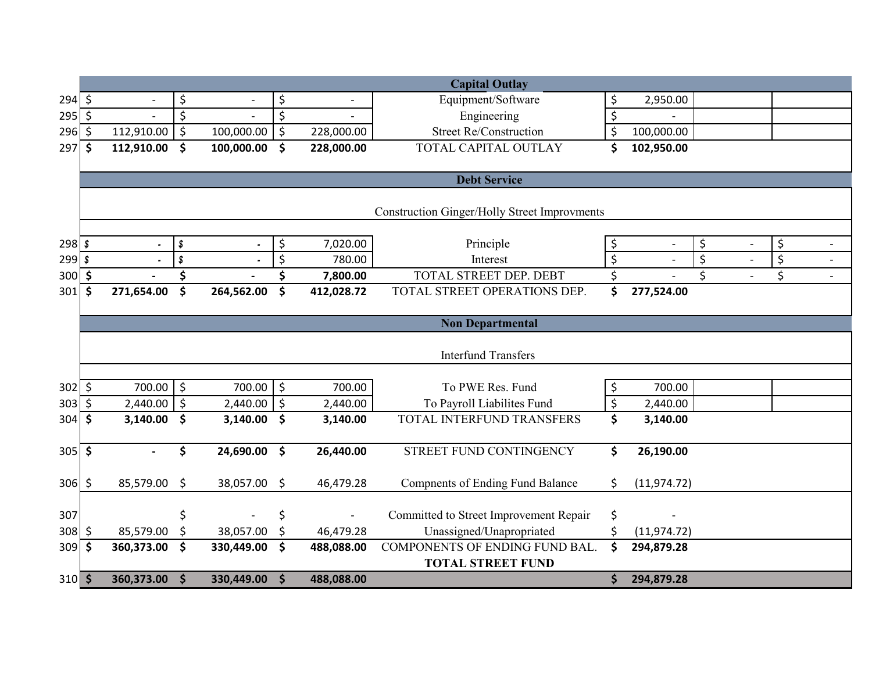|                  |         |            |                      |            |                     |                          | <b>Capital Outlay</b>                               |                  |                |    |                                |  |
|------------------|---------|------------|----------------------|------------|---------------------|--------------------------|-----------------------------------------------------|------------------|----------------|----|--------------------------------|--|
| $294 \div$       |         |            | \$                   |            | \$                  |                          | Equipment/Software                                  | \$               | 2,950.00       |    |                                |  |
| 295              | $\zeta$ |            | \$                   |            | \$                  |                          | Engineering                                         | $\zeta$          |                |    |                                |  |
| 296              | \$      | 112,910.00 | $\zeta$              | 100,000.00 | \$                  | 228,000.00               | <b>Street Re/Construction</b>                       | $\zeta$          | 100,000.00     |    |                                |  |
| 297              | \$      | 112,910.00 | \$                   | 100,000.00 | \$                  | 228,000.00               | TOTAL CAPITAL OUTLAY                                | \$               | 102,950.00     |    |                                |  |
|                  |         |            |                      |            |                     |                          |                                                     |                  |                |    |                                |  |
|                  |         |            |                      |            |                     |                          | <b>Debt Service</b>                                 |                  |                |    |                                |  |
|                  |         |            |                      |            |                     |                          |                                                     |                  |                |    |                                |  |
|                  |         |            |                      |            |                     |                          | <b>Construction Ginger/Holly Street Improvments</b> |                  |                |    |                                |  |
|                  |         |            |                      |            |                     |                          |                                                     |                  |                |    |                                |  |
| $298$ \$         |         |            | \$                   |            | \$                  | 7,020.00                 | Principle                                           | \$               | $\overline{a}$ | \$ | \$                             |  |
| $299$ $\sqrt{s}$ |         |            | \$                   |            | \$                  | 780.00                   | Interest                                            | $\zeta$          |                | \$ | $\boldsymbol{\dot{\varsigma}}$ |  |
| 300              | \$      |            | \$                   |            | \$                  | 7,800.00                 | TOTAL STREET DEP. DEBT                              | \$               |                | \$ | \$                             |  |
| 301              | \$      | 271,654.00 | \$                   | 264,562.00 | \$                  | 412,028.72               | TOTAL STREET OPERATIONS DEP.                        | \$               | 277,524.00     |    |                                |  |
|                  |         |            |                      |            |                     |                          |                                                     |                  |                |    |                                |  |
|                  |         |            |                      |            |                     |                          | <b>Non Departmental</b>                             |                  |                |    |                                |  |
|                  |         |            |                      |            |                     |                          |                                                     |                  |                |    |                                |  |
|                  |         |            |                      |            |                     |                          | <b>Interfund Transfers</b>                          |                  |                |    |                                |  |
|                  |         |            |                      |            |                     |                          |                                                     |                  |                |    |                                |  |
| $302 \div$       |         | 700.00     | $\zeta$              | 700.00     | $\zeta$             | 700.00                   | To PWE Res. Fund                                    | \$               | 700.00         |    |                                |  |
| 303              | \$      | 2,440.00   | $\zeta$              | 2,440.00   | $\zeta$             | 2,440.00                 | To Payroll Liabilites Fund                          | $\overline{\xi}$ | 2,440.00       |    |                                |  |
| 304              | \$      | 3,140.00   | \$                   | 3,140.00   | \$                  | 3,140.00                 | TOTAL INTERFUND TRANSFERS                           | \$               | 3,140.00       |    |                                |  |
|                  |         |            |                      |            |                     |                          |                                                     |                  |                |    |                                |  |
| 305              | \$      |            | \$                   | 24,690.00  | $\mathsf{\$}$       | 26,440.00                | STREET FUND CONTINGENCY                             | \$               | 26,190.00      |    |                                |  |
| $306 \div$       |         | 85,579.00  | \$                   | 38,057.00  | \$                  | 46,479.28                | <b>Compnents of Ending Fund Balance</b>             | \$               | (11, 974.72)   |    |                                |  |
|                  |         |            |                      |            |                     |                          |                                                     |                  |                |    |                                |  |
| 307              |         |            | \$                   |            | \$                  | $\overline{\phantom{0}}$ | Committed to Street Improvement Repair              | \$               |                |    |                                |  |
| 308              | \$      | 85,579.00  | \$                   | 38,057.00  | \$                  | 46,479.28                | Unassigned/Unapropriated                            | \$               | (11, 974.72)   |    |                                |  |
| 309              | \$      | 360,373.00 | \$                   | 330,449.00 | \$                  | 488,088.00               | COMPONENTS OF ENDING FUND BAL.                      | \$               | 294,879.28     |    |                                |  |
|                  |         |            |                      |            |                     |                          | <b>TOTAL STREET FUND</b>                            |                  |                |    |                                |  |
| $310$ \$         |         | 360,373.00 | $\boldsymbol{\zeta}$ | 330,449.00 | $\ddot{\bm{\zeta}}$ | 488,088.00               |                                                     | \$               | 294,879.28     |    |                                |  |
|                  |         |            |                      |            |                     |                          |                                                     |                  |                |    |                                |  |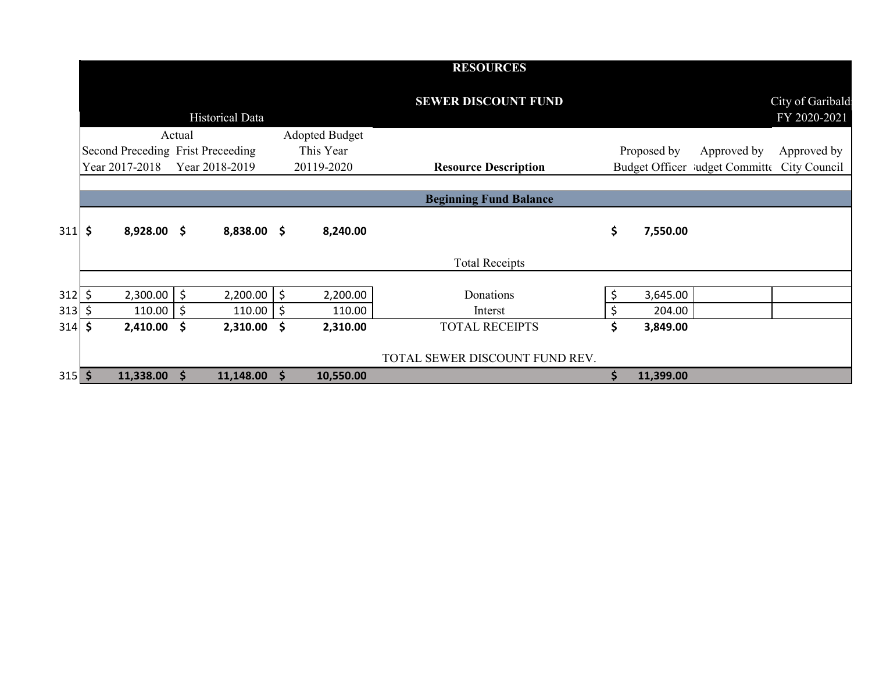|              |                                   |        |                        |    |                | <b>RESOURCES</b>               |     |             |                                             |                                  |
|--------------|-----------------------------------|--------|------------------------|----|----------------|--------------------------------|-----|-------------|---------------------------------------------|----------------------------------|
|              |                                   |        | <b>Historical Data</b> |    |                | <b>SEWER DISCOUNT FUND</b>     |     |             |                                             | City of Garibald<br>FY 2020-2021 |
|              |                                   | Actual |                        |    | Adopted Budget |                                |     |             |                                             |                                  |
|              | Second Preceding Frist Preceeding |        |                        |    | This Year      |                                |     | Proposed by | Approved by                                 | Approved by                      |
|              | Year 2017-2018                    |        | Year 2018-2019         |    | 20119-2020     | <b>Resource Description</b>    |     |             | Budget Officer ludget Committe City Council |                                  |
|              |                                   |        |                        |    |                |                                |     |             |                                             |                                  |
|              |                                   |        |                        |    |                | <b>Beginning Fund Balance</b>  |     |             |                                             |                                  |
| $311 \,$ \$  | $8,928.00$ \$                     |        | 8,838.00 \$            |    | 8,240.00       |                                | \$  | 7,550.00    |                                             |                                  |
|              |                                   |        |                        |    |                | <b>Total Receipts</b>          |     |             |                                             |                                  |
|              |                                   |        |                        |    |                |                                |     |             |                                             |                                  |
| $312 \mid 5$ | $2,300.00$ \$                     |        | 2,200.00               | \$ | 2,200.00       | Donations                      | \$  | 3,645.00    |                                             |                                  |
| 313          | \$<br>$110.00$   \$               |        | 110.00                 | \$ | 110.00         | Interst                        | \$  | 204.00      |                                             |                                  |
| $314$ \$     | 2,410.00                          | - \$   | 2,310.00               | \$ | 2,310.00       | <b>TOTAL RECEIPTS</b>          | \$  | 3,849.00    |                                             |                                  |
|              |                                   |        |                        |    |                | TOTAL SEWER DISCOUNT FUND REV. |     |             |                                             |                                  |
| $315$ \$     | 11,338.00                         | S      | 11,148.00              | S  | 10,550.00      |                                | \$. | 11,399.00   |                                             |                                  |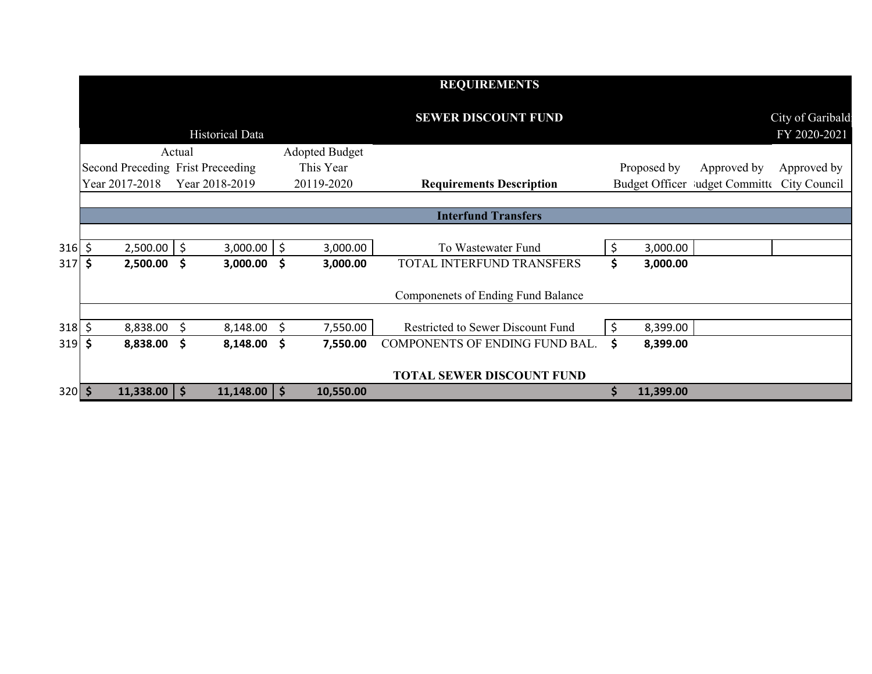|          |                                   |        |                        |                       | <b>REQUIREMENTS</b>                       |    |             |                                |                                   |
|----------|-----------------------------------|--------|------------------------|-----------------------|-------------------------------------------|----|-------------|--------------------------------|-----------------------------------|
|          |                                   |        | <b>Historical Data</b> |                       | <b>SEWER DISCOUNT FUND</b>                |    |             |                                | City of Garibald:<br>FY 2020-2021 |
|          |                                   | Actual |                        | <b>Adopted Budget</b> |                                           |    |             |                                |                                   |
|          | Second Preceding Frist Preceeding |        |                        | This Year             |                                           |    | Proposed by | Approved by                    | Approved by                       |
|          | Year 2017-2018                    |        | Year 2018-2019         | 20119-2020            | <b>Requirements Description</b>           |    |             | Budget Officer ludget Committe | City Council                      |
|          |                                   |        |                        |                       |                                           |    |             |                                |                                   |
|          |                                   |        |                        |                       | <b>Interfund Transfers</b>                |    |             |                                |                                   |
|          |                                   |        |                        |                       |                                           |    |             |                                |                                   |
| $316$ \$ | 2,500.00                          | 15     | $3,000.00$ \$          | 3,000.00              | To Wastewater Fund                        | \$ | 3,000.00    |                                |                                   |
| $317$ \$ | 2,500.00                          | - \$   | $3,000.00$ \$          | 3,000.00              | TOTAL INTERFUND TRANSFERS                 | \$ | 3,000.00    |                                |                                   |
|          |                                   |        |                        |                       | <b>Componenets of Ending Fund Balance</b> |    |             |                                |                                   |
|          |                                   |        |                        |                       |                                           |    |             |                                |                                   |
| $318$ \$ | 8,838.00                          | \$     | 8,148.00               | \$<br>7,550.00        | Restricted to Sewer Discount Fund         | Ś  | 8,399.00    |                                |                                   |
| $319$ \$ | 8,838.00                          | -\$    | $8,148.00$ \$          | 7,550.00              | COMPONENTS OF ENDING FUND BAL.            | \$ | 8,399.00    |                                |                                   |
|          |                                   |        |                        |                       | <b>TOTAL SEWER DISCOUNT FUND</b>          |    |             |                                |                                   |
| $320$ \$ | $11,338.00$ \$                    |        | $11,148.00$   \$       | 10,550.00             |                                           | Ś. | 11,399.00   |                                |                                   |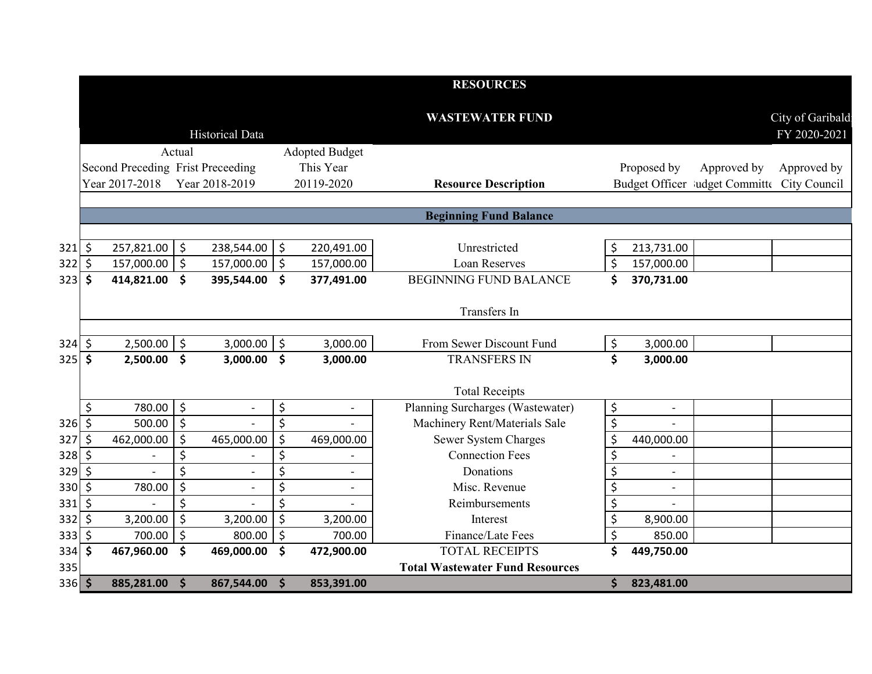|                  |                     |                                   |                          |                          |         |                       | <b>RESOURCES</b>                       |    |                          |                                             |                                  |
|------------------|---------------------|-----------------------------------|--------------------------|--------------------------|---------|-----------------------|----------------------------------------|----|--------------------------|---------------------------------------------|----------------------------------|
|                  |                     |                                   |                          | <b>Historical Data</b>   |         |                       | <b>WASTEWATER FUND</b>                 |    |                          |                                             | City of Garibald<br>FY 2020-2021 |
|                  |                     |                                   | Actual                   |                          |         | <b>Adopted Budget</b> |                                        |    |                          |                                             |                                  |
|                  |                     | Second Preceding Frist Preceeding |                          |                          |         | This Year             |                                        |    | Proposed by              | Approved by                                 | Approved by                      |
|                  |                     | Year 2017-2018                    |                          | Year 2018-2019           |         | 20119-2020            | <b>Resource Description</b>            |    |                          | Budget Officer ludget Committe City Council |                                  |
|                  |                     |                                   |                          |                          |         |                       |                                        |    |                          |                                             |                                  |
|                  |                     |                                   |                          |                          |         |                       | <b>Beginning Fund Balance</b>          |    |                          |                                             |                                  |
|                  |                     |                                   |                          |                          |         |                       |                                        |    |                          |                                             |                                  |
| $321\frac{1}{5}$ |                     | 257,821.00 \$                     |                          | 238,544.00               | $\zeta$ | 220,491.00            | Unrestricted                           | \$ | 213,731.00               |                                             |                                  |
| 322              | \$                  | 157,000.00                        | $\vert \xi$              | 157,000.00               | \$      | 157,000.00            | <b>Loan Reserves</b>                   | \$ | 157,000.00               |                                             |                                  |
| 323              | $\ddot{\mathsf{s}}$ | 414,821.00                        | \$                       | 395,544.00               | \$      | 377,491.00            | <b>BEGINNING FUND BALANCE</b>          | \$ | 370,731.00               |                                             |                                  |
|                  |                     |                                   |                          |                          |         |                       | Transfers In                           |    |                          |                                             |                                  |
| 324              | \$                  | $2,500.00$ \$                     |                          | 3,000.00                 | \$      | 3,000.00              | From Sewer Discount Fund               | \$ | 3,000.00                 |                                             |                                  |
| 325              | \$                  | 2,500.00                          | $\dot{\mathsf{s}}$       | 3,000.00                 | \$      | 3,000.00              | <b>TRANSFERS IN</b>                    | \$ | 3,000.00                 |                                             |                                  |
|                  |                     |                                   |                          |                          |         |                       |                                        |    |                          |                                             |                                  |
|                  |                     |                                   |                          |                          |         |                       | <b>Total Receipts</b>                  |    |                          |                                             |                                  |
|                  | \$                  | 780.00 \$                         |                          | $\overline{\phantom{a}}$ | \$      | $\blacksquare$        | Planning Surcharges (Wastewater)       | \$ | $\overline{\phantom{a}}$ |                                             |                                  |
| 326              | $\mathsf{\dot{S}}$  | 500.00                            | $\overline{\bm{v}}$      |                          | Ś       |                       | Machinery Rent/Materials Sale          | \$ |                          |                                             |                                  |
| 327              | $\zeta$             | 462,000.00                        | \$                       | 465,000.00               | \$      | 469,000.00            | Sewer System Charges                   | \$ | 440,000.00               |                                             |                                  |
| 328              | -\$                 |                                   | \$                       |                          | \$      |                       | <b>Connection Fees</b>                 | \$ | $\overline{\phantom{a}}$ |                                             |                                  |
| 329              | $\zeta$             |                                   | \$                       | $\blacksquare$           | \$      | $\overline{a}$        | Donations                              | \$ | $\overline{a}$           |                                             |                                  |
| 330              | $\zeta$             | 780.00                            | $\zeta$                  | $\blacksquare$           | \$      |                       | Misc. Revenue                          | \$ |                          |                                             |                                  |
| 331              | $\zeta$             |                                   | \$                       |                          | \$      |                       | Reimbursements                         | \$ |                          |                                             |                                  |
| 332              | \$                  | 3,200.00                          | \$                       | 3,200.00                 | $\zeta$ | 3,200.00              | Interest                               | \$ | 8,900.00                 |                                             |                                  |
| 333              | $\zeta$             | 700.00                            | $\overline{\phantom{a}}$ | 800.00                   | \$      | 700.00                | Finance/Late Fees                      | \$ | 850.00                   |                                             |                                  |
| 334              | $\mathsf{\hat{S}}$  | 467,960.00                        | $\dot{\mathsf{s}}$       | 469,000.00               | \$      | 472,900.00            | <b>TOTAL RECEIPTS</b>                  | Ś  | 449,750.00               |                                             |                                  |
| 335              |                     |                                   |                          |                          |         |                       | <b>Total Wastewater Fund Resources</b> |    |                          |                                             |                                  |
| $336$ \$         |                     | 885,281.00                        | $\ddot{\mathsf{s}}$      | 867,544.00               | \$      | 853,391.00            |                                        | \$ | 823,481.00               |                                             |                                  |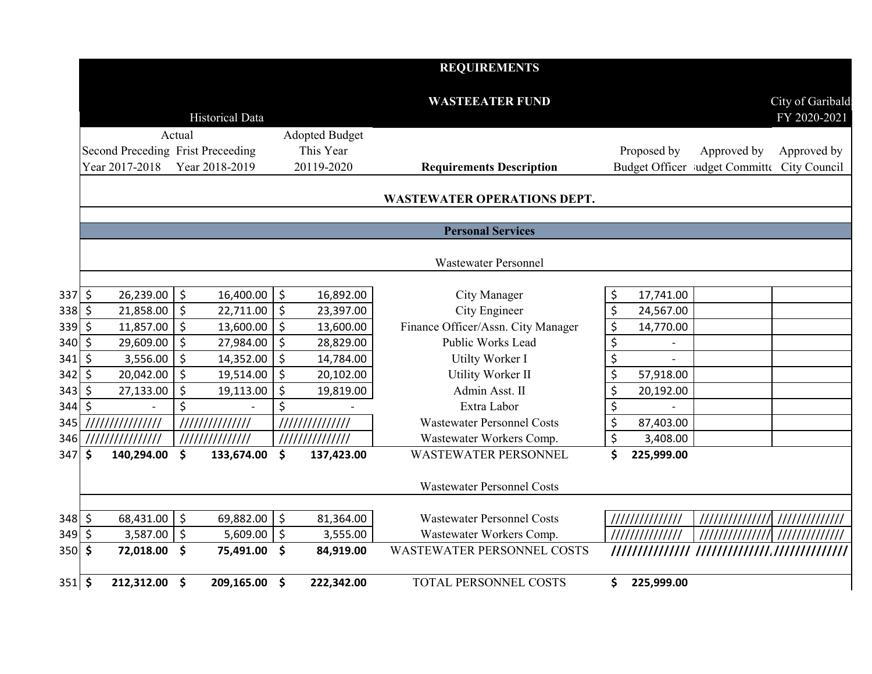|                  |         |                                   |                          |                        |               |                       | <b>REQUIREMENTS</b>                |                          |                 |                                             |                                  |
|------------------|---------|-----------------------------------|--------------------------|------------------------|---------------|-----------------------|------------------------------------|--------------------------|-----------------|---------------------------------------------|----------------------------------|
|                  |         |                                   |                          |                        |               |                       | <b>WASTEEATER FUND</b>             |                          |                 |                                             |                                  |
|                  |         |                                   |                          | <b>Historical Data</b> |               |                       |                                    |                          |                 |                                             | City of Garibald<br>FY 2020-2021 |
|                  |         |                                   |                          |                        |               |                       |                                    |                          |                 |                                             |                                  |
|                  |         |                                   | Actual                   |                        |               | <b>Adopted Budget</b> |                                    |                          |                 |                                             |                                  |
|                  |         | Second Preceding Frist Preceeding |                          |                        |               | This Year             |                                    |                          | Proposed by     | Approved by                                 | Approved by                      |
|                  |         | Year 2017-2018                    |                          | Year 2018-2019         |               | 20119-2020            | <b>Requirements Description</b>    |                          |                 | Budget Officer ludget Committe City Council |                                  |
|                  |         |                                   |                          |                        |               |                       | <b>WASTEWATER OPERATIONS DEPT.</b> |                          |                 |                                             |                                  |
|                  |         |                                   |                          |                        |               |                       |                                    |                          |                 |                                             |                                  |
|                  |         |                                   |                          |                        |               |                       | <b>Personal Services</b>           |                          |                 |                                             |                                  |
|                  |         |                                   |                          |                        |               |                       |                                    |                          |                 |                                             |                                  |
|                  |         |                                   |                          |                        |               |                       | <b>Wastewater Personnel</b>        |                          |                 |                                             |                                  |
|                  |         |                                   |                          |                        |               |                       |                                    |                          |                 |                                             |                                  |
| $337$ \$         |         | 26,239.00                         | \$                       | 16,400.00              | $\zeta$       | 16,892.00             | City Manager                       | \$                       | 17,741.00       |                                             |                                  |
| 338              | $\zeta$ | 21,858.00                         | $\ddot{\varsigma}$       | 22,711.00              | $\zeta$       | 23,397.00             | City Engineer                      | \$                       | 24,567.00       |                                             |                                  |
| 339              | $\zeta$ | 11,857.00                         | 5                        | 13,600.00              | $\zeta$       | 13,600.00             | Finance Officer/Assn. City Manager | $\overline{\mathcal{S}}$ | 14,770.00       |                                             |                                  |
| 340              | \$      | 29,609.00                         | $\zeta$                  | 27,984.00              | $\zeta$       | 28,829.00             | Public Works Lead                  | $\overline{\mathcal{S}}$ |                 |                                             |                                  |
| 341              | \$      | 3,556.00                          | \$                       | 14,352.00              | $\zeta$       | 14,784.00             | Utilty Worker I                    | $\overline{\xi}$         |                 |                                             |                                  |
| 342              | $\zeta$ | 20,042.00                         | انه                      | 19,514.00              | $\zeta$       | 20,102.00             | Utility Worker II                  | \$                       | 57,918.00       |                                             |                                  |
| 343              | \$      | 27,133.00                         | $\overline{\mathcal{S}}$ | 19,113.00              | $\zeta$       | 19,819.00             | Admin Asst. II                     | \$                       | 20,192.00       |                                             |                                  |
| 344              | $\zeta$ |                                   | \$                       |                        | \$            |                       | Extra Labor                        | $\overline{\xi}$         |                 |                                             |                                  |
| 345              |         | ///////////////                   |                          | 11111111111111         |               | 111111111111111       | <b>Wastewater Personnel Costs</b>  | $\zeta$                  | 87,403.00       |                                             |                                  |
| 346              |         | ///////////////                   |                          | 111111111111111        |               | 111111111111111       | Wastewater Workers Comp.           | $\overline{\xi}$         | 3,408.00        |                                             |                                  |
| 347              | \$      | 140,294.00                        | $\mathsf{\$}$            | 133,674.00             | \$            | 137,423.00            | <b>WASTEWATER PERSONNEL</b>        | \$                       | 225,999.00      |                                             |                                  |
|                  |         |                                   |                          |                        |               |                       |                                    |                          |                 |                                             |                                  |
|                  |         |                                   |                          |                        |               |                       | <b>Wastewater Personnel Costs</b>  |                          |                 |                                             |                                  |
| $348$ \$         |         | 68,431.00                         | \$ ا                     | 69,882.00              | $\ddot{\phi}$ | 81,364.00             | <b>Wastewater Personnel Costs</b>  |                          | //////////////  | //////////////                              |                                  |
| $349$ \$         |         | 3,587.00                          | \$ ا                     | 5,609.00               | $\zeta$       | 3,555.00              | Wastewater Workers Comp.           |                          | 111111111111111 |                                             |                                  |
| 350 <sub>l</sub> | \$      | 72,018.00                         | $\ddot{\bm{\zeta}}$      | 75,491.00              | \$            | 84,919.00             | <b>WASTEWATER PERSONNEL COSTS</b>  |                          |                 |                                             |                                  |
|                  |         |                                   |                          |                        |               |                       |                                    |                          |                 |                                             |                                  |
| $351$ \$         |         | 212,312.00 \$                     |                          | 209,165.00 \$          |               | 222,342.00            | TOTAL PERSONNEL COSTS              | \$.                      | 225,999.00      |                                             |                                  |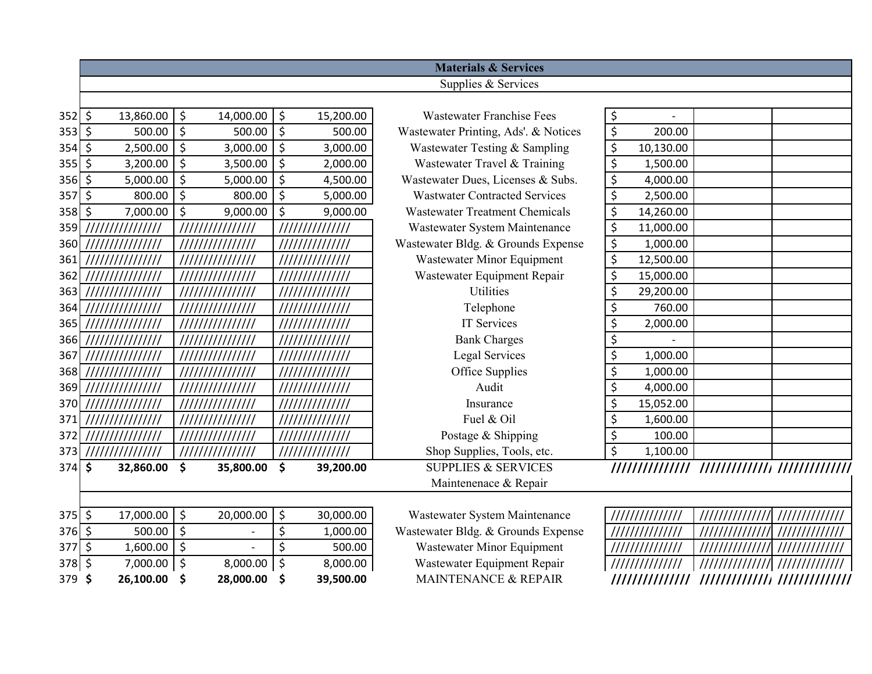|                      |                             |                  |           |          |                 | <b>Materials &amp; Services</b>                                |                  |                |                |                |
|----------------------|-----------------------------|------------------|-----------|----------|-----------------|----------------------------------------------------------------|------------------|----------------|----------------|----------------|
|                      |                             |                  |           |          |                 | Supplies & Services                                            |                  |                |                |                |
|                      |                             |                  |           |          |                 |                                                                |                  |                |                |                |
| $352$ \$             | 13,860.00                   | \$               | 14,000.00 | \$       | 15,200.00       | <b>Wastewater Franchise Fees</b>                               | \$               |                |                |                |
| $353$ \$             | $500.00$ \$                 |                  | 500.00    | $\zeta$  | 500.00          | Wastewater Printing, Ads'. & Notices                           | $\overline{\xi}$ | 200.00         |                |                |
| $354$ \$             | $2,500.00$ \$               |                  | 3,000.00  | \$       | 3,000.00        | Wastewater Testing & Sampling                                  | \$               | 10,130.00      |                |                |
| $355$ \$             | $3,200.00$ \$               |                  | 3,500.00  | \$       | 2,000.00        | Wastewater Travel & Training                                   | \$               | 1,500.00       |                |                |
| $356$ \$             | 5,000.00                    | $\zeta$          | 5,000.00  | $\zeta$  | 4,500.00        | Wastewater Dues, Licenses & Subs.                              | \$               | 4,000.00       |                |                |
| $357$ \$             | $800.00$ \$                 |                  | 800.00    | $\zeta$  | 5,000.00        | <b>Wastwater Contracted Services</b>                           | \$               | 2,500.00       |                |                |
| 358                  | \$<br>7,000.00              | $\ddot{\zeta}$   | 9,000.00  | \$       | 9,000.00        | <b>Wastewater Treatment Chemicals</b>                          | \$               | 14,260.00      |                |                |
| 359                  |                             |                  |           |          | //////////////  | Wastewater System Maintenance                                  | \$               | 11,000.00      |                |                |
| 360                  | ///////////////             | ///////////////  |           |          | //////////////  | Wastewater Bldg. & Grounds Expense                             | \$               | 1,000.00       |                |                |
| 361                  | ///////////////             | ///////////////  |           |          | 111111111111111 | Wastewater Minor Equipment                                     | \$               | 12,500.00      |                |                |
| 362                  | ///////////////             | ///////////////  |           |          | //////////////  | Wastewater Equipment Repair                                    | \$               | 15,000.00      |                |                |
| 363                  | ///////////////             | //////////////// |           |          | 111111111111111 | <b>Utilities</b>                                               | \$               | 29,200.00      |                |                |
| 364                  | ///////////////             | ///////////////  |           |          |                 | Telephone                                                      | \$               | 760.00         |                |                |
| 365                  | ///////////////             | ///////////////  |           |          | 111111111111111 | <b>IT Services</b>                                             | \$               | 2,000.00       |                |                |
| 366                  | ///////////////             | ///////////////  |           |          | //////////////  | <b>Bank Charges</b>                                            | \$               |                |                |                |
| 367                  | ///////////////             | ///////////////  |           |          | /////////////// | <b>Legal Services</b>                                          | \$               | 1,000.00       |                |                |
| 368                  | ///////////////             | ///////////////  |           |          |                 | Office Supplies                                                | \$               | 1,000.00       |                |                |
| 369                  | ///////////////             | ///////////////  |           |          | //////////////  | Audit                                                          | \$               | 4,000.00       |                |                |
| 370                  |                             | ///////////////  |           |          | //////////////  | Insurance                                                      | \$               | 15,052.00      |                |                |
| 371                  | ///////////////             | ///////////////  |           |          | //////////////  | Fuel & Oil                                                     | \$               | 1,600.00       |                |                |
| 372                  | ///////////////             | ///////////////  |           |          |                 | Postage & Shipping                                             | \$               | 100.00         |                |                |
| 373                  |                             |                  |           |          | 111111111111111 | Shop Supplies, Tools, etc.                                     | \$               | 1,100.00       |                |                |
| $374$ \$             | 32,860.00                   | \$               | 35,800.00 | \$       | 39,200.00       | <b>SUPPLIES &amp; SERVICES</b>                                 |                  |                |                |                |
|                      |                             |                  |           |          |                 | Maintenenace & Repair                                          |                  |                |                |                |
|                      |                             |                  |           |          |                 |                                                                |                  |                |                |                |
| $375$ \$             | 17,000.00 \$<br>$500.00$ \$ |                  | 20,000.00 | \$       | 30,000.00       | Wastewater System Maintenance                                  |                  |                |                | 11111111111111 |
| $376$ \$<br>$377$ \$ | $1,600.00$ \$               |                  |           | \$<br>\$ | 1,000.00        | Wastewater Bldg. & Grounds Expense                             |                  | ////////////// | ////////////// | ////////////// |
|                      |                             |                  |           |          | 500.00          | Wastewater Minor Equipment                                     |                  | ////////////// |                |                |
| 378 \$               | 7,000.00 \$                 |                  | 8,000.00  | \$       | 8,000.00        | Wastewater Equipment Repair<br><b>MAINTENANCE &amp; REPAIR</b> |                  |                |                |                |
| 379 \$               | 26,100.00                   | -\$              | 28,000.00 | \$       | 39,500.00       |                                                                |                  |                |                |                |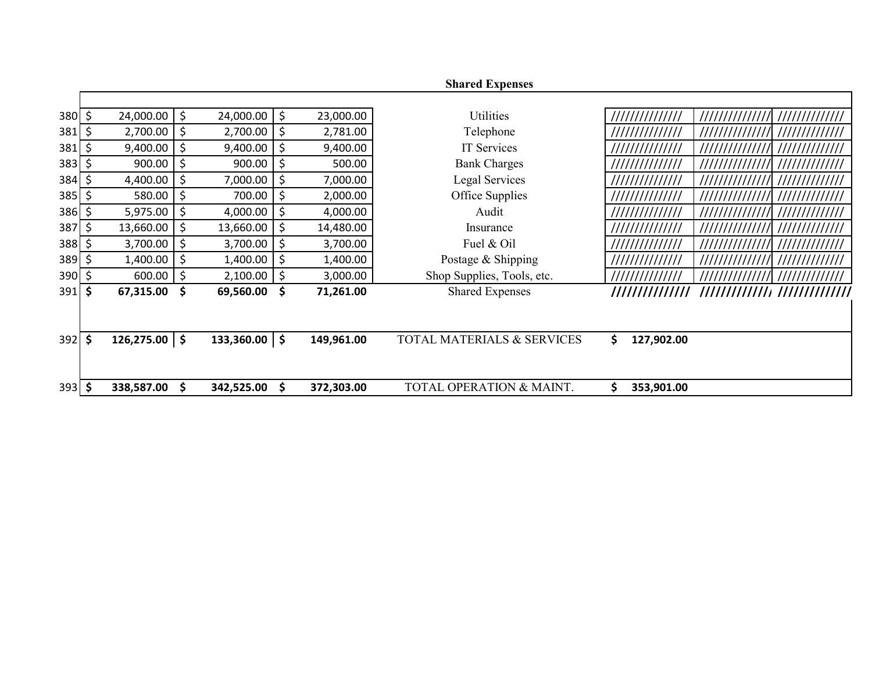|                 |    |                 |         |                   |                  | <b>Shared Expenses</b>     |                                                     |
|-----------------|----|-----------------|---------|-------------------|------------------|----------------------------|-----------------------------------------------------|
|                 |    |                 |         |                   |                  |                            |                                                     |
| $380 \, \simeq$ |    | $24,000.00$ \$  |         | 24,000.00         | \$<br>23,000.00  | Utilities                  | ///////////////<br>11111111111111                   |
| 381             | \$ | 2,700.00        | \$      | 2,700.00          | \$<br>2,781.00   | Telephone                  | ///////////////<br>//////////////<br>/////////////  |
| 381             | \$ | 9,400.00        | \$      | 9,400.00          | \$<br>9,400.00   | IT Services                | ///////////////                                     |
| $383$ \$        |    | 900.00          | $\zeta$ | 900.00            | \$<br>500.00     | <b>Bank Charges</b>        | //////////////<br>//////////////<br>11111111111111  |
| 384             |    | 4,400.00        | \$      | 7,000.00          | \$<br>7,000.00   | Legal Services             | ///////////////<br>//////////////<br>////////////// |
| 385             |    | 580.00          | \$      | 700.00            | \$<br>2,000.00   | Office Supplies            | ///////////////<br>$\frac{1}{1}$<br>//////////////  |
| 386             | \$ | 5,975.00        | \$      | 4,000.00          | \$<br>4,000.00   | Audit                      | //////////////<br>//////////////<br>//////////////  |
| 387             | Ś  | 13,660.00       | \$      | 13,660.00         | \$<br>14,480.00  | Insurance                  | //////////////<br>///////////////<br>////////////// |
| 388             | Ś. | 3,700.00        | \$      | 3,700.00          | \$<br>3,700.00   | Fuel & Oil                 | //////////////<br>///////////////<br>/////////////  |
| 389             |    | 1,400.00        | \$      | 1,400.00          | \$<br>1,400.00   | Postage & Shipping         | ///////////////<br>//////////////<br>////////////// |
| 390             |    | $600.00$ \$     |         | 2,100.00          | \$<br>3,000.00   | Shop Supplies, Tools, etc. | //////////////<br>//////////////                    |
| 391             | \$ | 67,315.00       | \$      | 69,560.00         | \$<br>71,261.00  | <b>Shared Expenses</b>     | ///////////////<br>//////////////////////////////   |
|                 |    |                 |         |                   |                  |                            |                                                     |
|                 |    |                 |         |                   |                  |                            |                                                     |
| $392 \mid 5$    |    | $126,275.00$ \$ |         | $133,360.00$   \$ | 149,961.00       | TOTAL MATERIALS & SERVICES | \$<br>127,902.00                                    |
|                 |    |                 |         |                   |                  |                            |                                                     |
|                 |    |                 |         |                   |                  |                            |                                                     |
| $393$ \$        |    | 338,587.00      | \$      | 342,525.00        | \$<br>372,303.00 | TOTAL OPERATION & MAINT.   | \$<br>353,901.00                                    |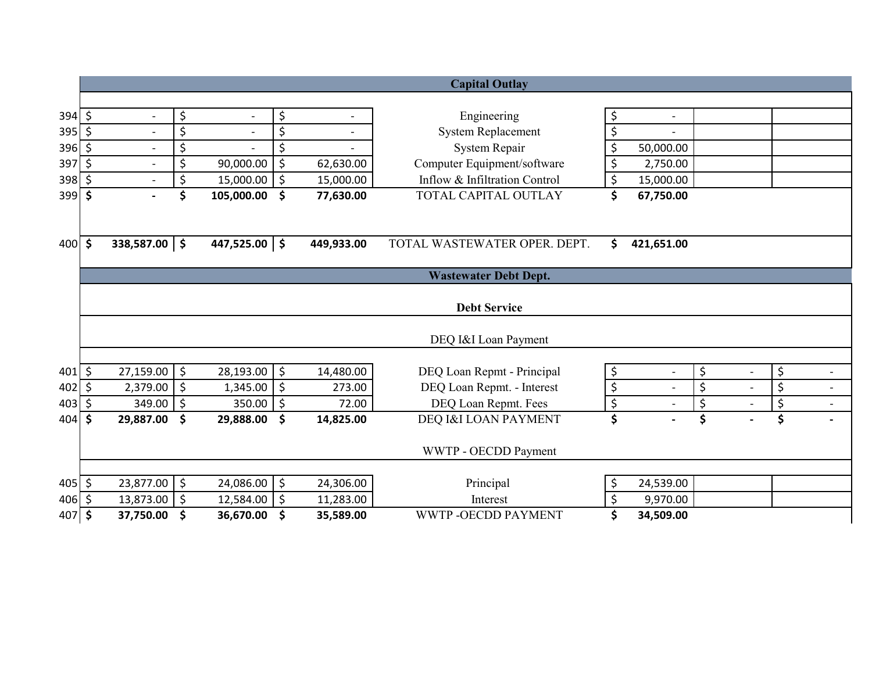|                 |                     |                          |         |                          |         |                          | <b>Capital Outlay</b>         |                                |                                |                                |
|-----------------|---------------------|--------------------------|---------|--------------------------|---------|--------------------------|-------------------------------|--------------------------------|--------------------------------|--------------------------------|
|                 |                     |                          |         |                          |         |                          |                               |                                |                                |                                |
| $394$ \$        |                     | $\overline{\phantom{a}}$ | \$      | $\overline{\phantom{a}}$ | \$      | $\overline{\phantom{a}}$ | Engineering                   | \$<br>$\overline{\phantom{a}}$ |                                |                                |
| $395$ \$        |                     | $\overline{\phantom{a}}$ | \$      | $\blacksquare$           | \$      |                          | <b>System Replacement</b>     | \$                             |                                |                                |
| 396 \$          |                     | $\blacksquare$           | \$      |                          | \$      |                          | System Repair                 | \$<br>50,000.00                |                                |                                |
| 397             | $\zeta$             |                          | \$      | 90,000.00                | \$      | 62,630.00                | Computer Equipment/software   | \$<br>2,750.00                 |                                |                                |
| $398$ \$        |                     |                          | \$      | 15,000.00                | \$      | 15,000.00                | Inflow & Infiltration Control | \$<br>15,000.00                |                                |                                |
| $399$ \$        |                     |                          | \$      | 105,000.00               | \$      | 77,630.00                | TOTAL CAPITAL OUTLAY          | \$<br>67,750.00                |                                |                                |
|                 |                     |                          |         |                          |         |                          |                               |                                |                                |                                |
| $400 \, \simeq$ |                     | $338,587.00$ \$          |         | 447,525.00 $\vert$ \$    |         | 449,933.00               | TOTAL WASTEWATER OPER. DEPT.  | \$<br>421,651.00               |                                |                                |
|                 |                     |                          |         |                          |         |                          | <b>Wastewater Debt Dept.</b>  |                                |                                |                                |
|                 |                     |                          |         |                          |         |                          | <b>Debt Service</b>           |                                |                                |                                |
|                 |                     |                          |         |                          |         |                          | DEQ I&I Loan Payment          |                                |                                |                                |
| 401             | \$                  | 27,159.00                | \$      | 28,193.00                | \$      | 14,480.00                | DEQ Loan Repmt - Principal    | \$<br>$\blacksquare$           | \$<br>$\overline{\phantom{a}}$ | \$<br>$\frac{1}{2}$            |
| 402             | \$                  | 2,379.00                 | \$      | 1,345.00                 | $\zeta$ | 273.00                   | DEQ Loan Repmt. - Interest    | \$<br>$\overline{\phantom{a}}$ | \$<br>$\overline{a}$           | \$<br>$\overline{\phantom{a}}$ |
| 403             | \$                  | 349.00                   | \$      | 350.00                   | \$      | 72.00                    | DEQ Loan Repmt. Fees          | \$                             | \$<br>$\overline{a}$           | \$<br>$\overline{a}$           |
| 404             | \$                  | 29,887.00                | \$      | 29,888.00                | \$      | 14,825.00                | DEQ I&I LOAN PAYMENT          | \$                             | \$                             | \$                             |
|                 |                     |                          |         |                          |         |                          | WWTP - OECDD Payment          |                                |                                |                                |
| $405 \, \zeta$  |                     | 23,877.00                | $\zeta$ | 24,086.00                | \$      | 24,306.00                | Principal                     | \$<br>24,539.00                |                                |                                |
| 406             | \$                  | 13,873.00                | \$      | 12,584.00                | \$      | 11,283.00                | Interest                      | \$<br>9,970.00                 |                                |                                |
| 407             | $\ddot{\bm{\zeta}}$ | 37,750.00                | \$      | 36,670.00                | \$      | 35,589.00                | WWTP-OECDD PAYMENT            | \$<br>34,509.00                |                                |                                |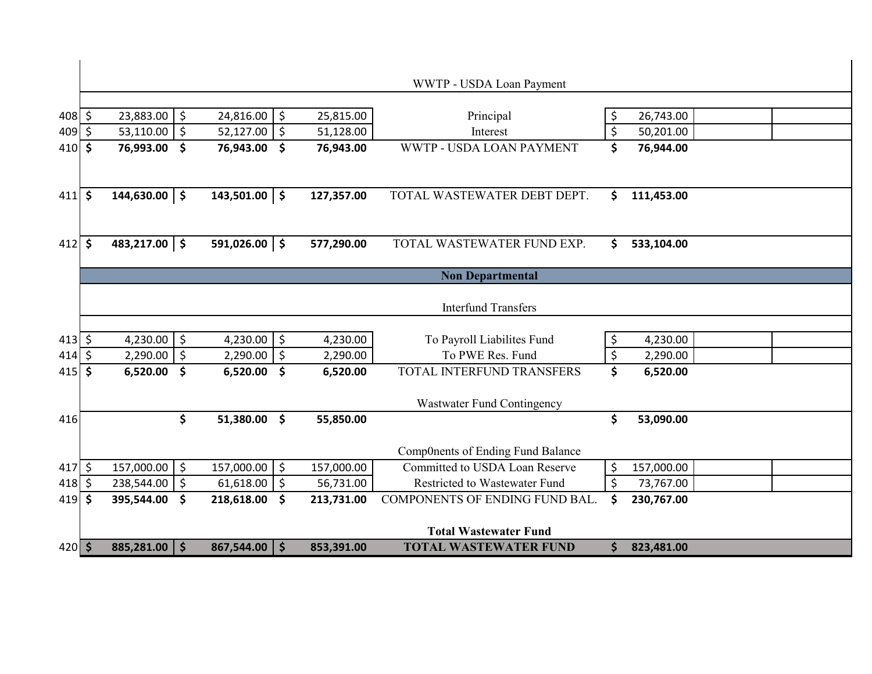| \$                       | $\zeta$<br>53,110.00                                                                                                      | $\zeta$<br>52,127.00                                                                                                                                                    | 51,128.00                                                                                                                                                                                             | Interest                                                                                             |                                                                                                                                                                                                                                                                                                                                                             | 50,201.00                                               |                                                                                                      |  |
|--------------------------|---------------------------------------------------------------------------------------------------------------------------|-------------------------------------------------------------------------------------------------------------------------------------------------------------------------|-------------------------------------------------------------------------------------------------------------------------------------------------------------------------------------------------------|------------------------------------------------------------------------------------------------------|-------------------------------------------------------------------------------------------------------------------------------------------------------------------------------------------------------------------------------------------------------------------------------------------------------------------------------------------------------------|---------------------------------------------------------|------------------------------------------------------------------------------------------------------|--|
| \$                       | \$<br>76,993.00                                                                                                           | \$<br>76,943.00                                                                                                                                                         | 76,943.00                                                                                                                                                                                             | WWTP - USDA LOAN PAYMENT                                                                             | \$                                                                                                                                                                                                                                                                                                                                                          | 76,944.00                                               |                                                                                                      |  |
|                          |                                                                                                                           |                                                                                                                                                                         |                                                                                                                                                                                                       |                                                                                                      |                                                                                                                                                                                                                                                                                                                                                             |                                                         |                                                                                                      |  |
|                          |                                                                                                                           |                                                                                                                                                                         |                                                                                                                                                                                                       |                                                                                                      |                                                                                                                                                                                                                                                                                                                                                             |                                                         |                                                                                                      |  |
|                          |                                                                                                                           |                                                                                                                                                                         |                                                                                                                                                                                                       |                                                                                                      |                                                                                                                                                                                                                                                                                                                                                             |                                                         |                                                                                                      |  |
|                          |                                                                                                                           |                                                                                                                                                                         |                                                                                                                                                                                                       |                                                                                                      |                                                                                                                                                                                                                                                                                                                                                             |                                                         |                                                                                                      |  |
|                          |                                                                                                                           |                                                                                                                                                                         | 577,290.00                                                                                                                                                                                            | TOTAL WASTEWATER FUND EXP.                                                                           | \$                                                                                                                                                                                                                                                                                                                                                          | 533,104.00                                              |                                                                                                      |  |
|                          |                                                                                                                           |                                                                                                                                                                         |                                                                                                                                                                                                       |                                                                                                      |                                                                                                                                                                                                                                                                                                                                                             |                                                         |                                                                                                      |  |
|                          |                                                                                                                           |                                                                                                                                                                         |                                                                                                                                                                                                       | <b>Non Departmental</b>                                                                              |                                                                                                                                                                                                                                                                                                                                                             |                                                         |                                                                                                      |  |
|                          |                                                                                                                           |                                                                                                                                                                         |                                                                                                                                                                                                       |                                                                                                      |                                                                                                                                                                                                                                                                                                                                                             |                                                         |                                                                                                      |  |
|                          |                                                                                                                           |                                                                                                                                                                         |                                                                                                                                                                                                       |                                                                                                      |                                                                                                                                                                                                                                                                                                                                                             |                                                         |                                                                                                      |  |
|                          |                                                                                                                           |                                                                                                                                                                         |                                                                                                                                                                                                       |                                                                                                      |                                                                                                                                                                                                                                                                                                                                                             |                                                         |                                                                                                      |  |
|                          |                                                                                                                           |                                                                                                                                                                         |                                                                                                                                                                                                       |                                                                                                      |                                                                                                                                                                                                                                                                                                                                                             |                                                         |                                                                                                      |  |
|                          |                                                                                                                           |                                                                                                                                                                         |                                                                                                                                                                                                       |                                                                                                      |                                                                                                                                                                                                                                                                                                                                                             |                                                         |                                                                                                      |  |
|                          |                                                                                                                           |                                                                                                                                                                         |                                                                                                                                                                                                       |                                                                                                      |                                                                                                                                                                                                                                                                                                                                                             |                                                         |                                                                                                      |  |
|                          |                                                                                                                           |                                                                                                                                                                         |                                                                                                                                                                                                       | Wastwater Fund Contingency                                                                           |                                                                                                                                                                                                                                                                                                                                                             |                                                         |                                                                                                      |  |
|                          | \$                                                                                                                        | 51,380.00<br>$\boldsymbol{\zeta}$                                                                                                                                       | 55,850.00                                                                                                                                                                                             |                                                                                                      | \$                                                                                                                                                                                                                                                                                                                                                          | 53,090.00                                               |                                                                                                      |  |
|                          |                                                                                                                           |                                                                                                                                                                         |                                                                                                                                                                                                       |                                                                                                      |                                                                                                                                                                                                                                                                                                                                                             |                                                         |                                                                                                      |  |
|                          |                                                                                                                           |                                                                                                                                                                         |                                                                                                                                                                                                       |                                                                                                      |                                                                                                                                                                                                                                                                                                                                                             |                                                         |                                                                                                      |  |
|                          |                                                                                                                           |                                                                                                                                                                         |                                                                                                                                                                                                       |                                                                                                      |                                                                                                                                                                                                                                                                                                                                                             |                                                         |                                                                                                      |  |
|                          |                                                                                                                           |                                                                                                                                                                         |                                                                                                                                                                                                       |                                                                                                      |                                                                                                                                                                                                                                                                                                                                                             |                                                         |                                                                                                      |  |
|                          |                                                                                                                           |                                                                                                                                                                         |                                                                                                                                                                                                       |                                                                                                      |                                                                                                                                                                                                                                                                                                                                                             |                                                         |                                                                                                      |  |
|                          |                                                                                                                           |                                                                                                                                                                         |                                                                                                                                                                                                       |                                                                                                      |                                                                                                                                                                                                                                                                                                                                                             |                                                         |                                                                                                      |  |
|                          | 885,281.00<br>$\mathsf{S}$                                                                                                | $867,544.00$   \$                                                                                                                                                       | 853,391.00                                                                                                                                                                                            | <b>TOTAL WASTEWATER FUND</b>                                                                         | \$                                                                                                                                                                                                                                                                                                                                                          | 823,481.00                                              |                                                                                                      |  |
| 409<br>414<br>415<br>418 | $408$ \$<br>410<br>$411 \,$ \$<br>$412 \, \text{S}$<br>413<br>\$<br>\$<br>\$<br>$417 \,$ \$<br>\$<br>$419$ \$<br>$420$ \$ | \$<br>23,883.00<br>$144,630.00$   \$<br>483,217.00 \$<br>4,230.00<br>\$<br>\$<br>2,290.00<br>\$<br>6,520.00<br>\$<br>157,000.00<br>\$<br>238,544.00<br>\$<br>395,544.00 | 24,816.00<br>$\zeta$<br>$143,501.00$   \$<br>591,026.00 \$<br>\$<br>4,230.00<br>$\zeta$<br>2,290.00<br>$\mathsf{\$}$<br>6,520.00<br>$\zeta$<br>157,000.00<br>61,618.00<br>$\zeta$<br>\$<br>218,618.00 | 25,815.00<br>127,357.00<br>4,230.00<br>2,290.00<br>6,520.00<br>157,000.00<br>56,731.00<br>213,731.00 | WWTP - USDA Loan Payment<br>Principal<br>TOTAL WASTEWATER DEBT DEPT.<br><b>Interfund Transfers</b><br>To Payroll Liabilites Fund<br>To PWE Res. Fund<br>TOTAL INTERFUND TRANSFERS<br>Comp0nents of Ending Fund Balance<br>Committed to USDA Loan Reserve<br>Restricted to Wastewater Fund<br>COMPONENTS OF ENDING FUND BAL.<br><b>Total Wastewater Fund</b> | \$<br>\$<br>\$<br>\$<br>\$<br>\$<br>\$<br>$\zeta$<br>\$ | 26,743.00<br>111,453.00<br>4,230.00<br>2,290.00<br>6,520.00<br>157,000.00<br>73,767.00<br>230,767.00 |  |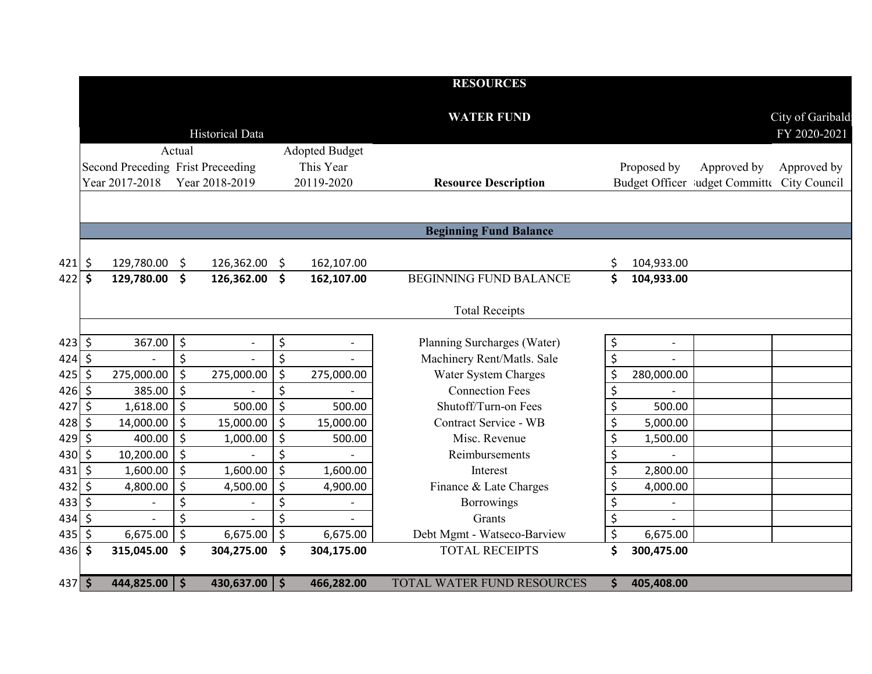|             |         |                                   |                      |                          |         |                       | <b>RESOURCES</b>              |                      |                          |                                             |                                  |
|-------------|---------|-----------------------------------|----------------------|--------------------------|---------|-----------------------|-------------------------------|----------------------|--------------------------|---------------------------------------------|----------------------------------|
|             |         |                                   |                      | <b>Historical Data</b>   |         |                       | <b>WATER FUND</b>             |                      |                          |                                             | City of Garibald<br>FY 2020-2021 |
|             |         |                                   | Actual               |                          |         | <b>Adopted Budget</b> |                               |                      |                          |                                             |                                  |
|             |         | Second Preceding Frist Preceeding |                      |                          |         | This Year             |                               |                      | Proposed by              | Approved by                                 | Approved by                      |
|             |         | Year 2017-2018                    |                      | Year 2018-2019           |         | 20119-2020            | <b>Resource Description</b>   |                      |                          | Budget Officer ludget Committe City Council |                                  |
|             |         |                                   |                      |                          |         |                       |                               |                      |                          |                                             |                                  |
|             |         |                                   |                      |                          |         |                       | <b>Beginning Fund Balance</b> |                      |                          |                                             |                                  |
| 421         | \$      | 129,780.00                        | \$                   | 126,362.00               | \$      | 162,107.00            |                               | \$                   | 104,933.00               |                                             |                                  |
| 422         | \$      | 129,780.00                        | $\boldsymbol{\zeta}$ | 126,362.00               | \$      | 162,107.00            | <b>BEGINNING FUND BALANCE</b> | \$                   | 104,933.00               |                                             |                                  |
|             |         |                                   |                      |                          |         |                       | <b>Total Receipts</b>         |                      |                          |                                             |                                  |
| $423 \,$ \$ |         | 367.00                            | \$                   | $\overline{\phantom{a}}$ | \$      |                       | Planning Surcharges (Water)   | \$                   |                          |                                             |                                  |
| $424$ \$    |         |                                   | \$                   |                          | \$      |                       | Machinery Rent/Matls. Sale    | \$                   |                          |                                             |                                  |
| 425         | \$      | 275,000.00                        | $\zeta$              | 275,000.00               | \$      | 275,000.00            | Water System Charges          | \$                   | 280,000.00               |                                             |                                  |
| $426$ \$    |         | 385.00                            | \$                   |                          | \$      |                       | <b>Connection Fees</b>        | \$                   |                          |                                             |                                  |
| 427         | $\zeta$ | 1,618.00                          | \$                   | 500.00                   | \$      | 500.00                | Shutoff/Turn-on Fees          | \$                   | 500.00                   |                                             |                                  |
| 428         | $\zeta$ | 14,000.00                         | \$                   | 15,000.00                | \$      | 15,000.00             | Contract Service - WB         | \$                   | 5,000.00                 |                                             |                                  |
| 429         | $\zeta$ | 400.00                            | $\zeta$              | 1,000.00                 | \$      | 500.00                | Misc. Revenue                 | \$                   | 1,500.00                 |                                             |                                  |
| 430         | \$      | 10,200.00                         | \$                   |                          | \$      |                       | Reimbursements                | \$                   |                          |                                             |                                  |
| 431         | $\zeta$ | 1,600.00                          | \$                   | 1,600.00                 | $\zeta$ | 1,600.00              | Interest                      | \$                   | 2,800.00                 |                                             |                                  |
| 432         | $\zeta$ | 4,800.00                          | \$                   | 4,500.00                 | \$      | 4,900.00              | Finance & Late Charges        | \$                   | 4,000.00                 |                                             |                                  |
| 433         | $\zeta$ |                                   | \$                   |                          | \$      |                       | Borrowings                    | \$                   |                          |                                             |                                  |
| 434         | $\zeta$ |                                   | \$                   | $\overline{\phantom{a}}$ | \$      |                       | Grants                        | $\boldsymbol{\zeta}$ | $\overline{\phantom{a}}$ |                                             |                                  |
| 435         | \$      | 6,675.00                          | $\zeta$              | 6,675.00                 | \$      | 6,675.00              | Debt Mgmt - Watseco-Barview   | \$                   | 6,675.00                 |                                             |                                  |
| $436$ \$    |         | 315,045.00                        | \$                   | 304,275.00               | \$      | 304,175.00            | <b>TOTAL RECEIPTS</b>         | \$                   | 300,475.00               |                                             |                                  |
| $437$ \$    |         | 444,825.00                        | l \$                 | $430,637.00$   \$        |         | 466,282.00            | TOTAL WATER FUND RESOURCES    | \$                   | 405,408.00               |                                             |                                  |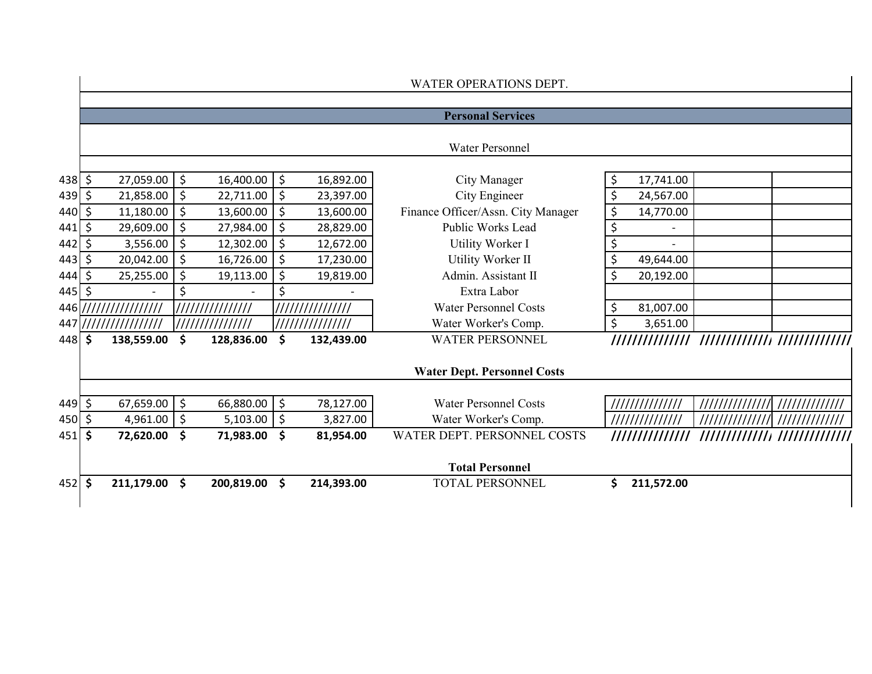|              |     |                                           |                    |                 |                          |                  | WATER OPERATIONS DEPT.             |                  |                |  |
|--------------|-----|-------------------------------------------|--------------------|-----------------|--------------------------|------------------|------------------------------------|------------------|----------------|--|
|              |     |                                           |                    |                 |                          |                  | <b>Personal Services</b>           |                  |                |  |
|              |     |                                           |                    |                 |                          |                  |                                    |                  |                |  |
|              |     |                                           |                    |                 |                          |                  | <b>Water Personnel</b>             |                  |                |  |
| $438$ \$     |     | $27,059.00$ \$                            |                    | 16,400.00       | $\ddot{\phi}$            | 16,892.00        | City Manager                       | \$<br>17,741.00  |                |  |
| $439$ \$     |     | 21,858.00 \$                              |                    | 22,711.00       | $\ddot{\phi}$            | 23,397.00        | City Engineer                      | \$<br>24,567.00  |                |  |
| $440 \mid 5$ |     | 11,180.00                                 | \$                 | 13,600.00       | \$                       | 13,600.00        | Finance Officer/Assn. City Manager | \$<br>14,770.00  |                |  |
| 441          | -\$ | 29,609.00 \$                              |                    | 27,984.00       | \$                       | 28,829.00        | Public Works Lead                  | \$               |                |  |
| $442 \mid 5$ |     | 3,556.00                                  | $\zeta$            | 12,302.00       | \$                       | 12,672.00        | Utility Worker I                   | \$               |                |  |
| $443 \,$ \$  |     | 20,042.00                                 | \$                 | 16,726.00       | \$                       | 17,230.00        | Utility Worker II                  | \$<br>49,644.00  |                |  |
| 444          | \$  | 25,255.00                                 | \$                 | 19,113.00       | \$                       | 19,819.00        | Admin. Assistant II                | \$<br>20,192.00  |                |  |
| $445$ \$     |     |                                           | \$                 |                 | \$                       |                  | Extra Labor                        |                  |                |  |
|              |     | 446   / / / / / / / / / / / / / / / / / / |                    | /////////////// |                          | ///////////////  | <b>Water Personnel Costs</b>       | \$<br>81,007.00  |                |  |
|              |     |                                           |                    | /////////////// |                          | //////////////// | Water Worker's Comp.               | \$<br>3,651.00   |                |  |
| $448$ \$     |     | 138,559.00                                | $\dot{\mathsf{s}}$ | 128,836.00      | \$                       | 132,439.00       | <b>WATER PERSONNEL</b>             |                  |                |  |
|              |     |                                           |                    |                 |                          |                  | <b>Water Dept. Personnel Costs</b> |                  |                |  |
|              |     |                                           |                    |                 |                          |                  |                                    |                  |                |  |
| $449 \mid 5$ |     | $67,659.00$ \$                            |                    | 66,880.00       | $\ddot{\phi}$            | 78,127.00        | <b>Water Personnel Costs</b>       |                  | ////////////// |  |
| $450 \mid 5$ |     | 4,961.00 $\vert$ \$                       |                    | 5,103.00        | $\vert \mathsf{S} \vert$ | 3,827.00         | Water Worker's Comp.               |                  |                |  |
| $451$ \$     |     | 72,620.00                                 | \$                 | 71,983.00       | \$                       | 81,954.00        | WATER DEPT. PERSONNEL COSTS        | ///////////////  |                |  |
|              |     |                                           |                    |                 |                          |                  | <b>Total Personnel</b>             |                  |                |  |
| $452 \,$ \$  |     | 211,179.00                                | $\mathsf{\hat{S}}$ | 200,819.00      | \$                       | 214,393.00       | <b>TOTAL PERSONNEL</b>             | 211,572.00<br>Ś. |                |  |
|              |     |                                           |                    |                 |                          |                  |                                    |                  |                |  |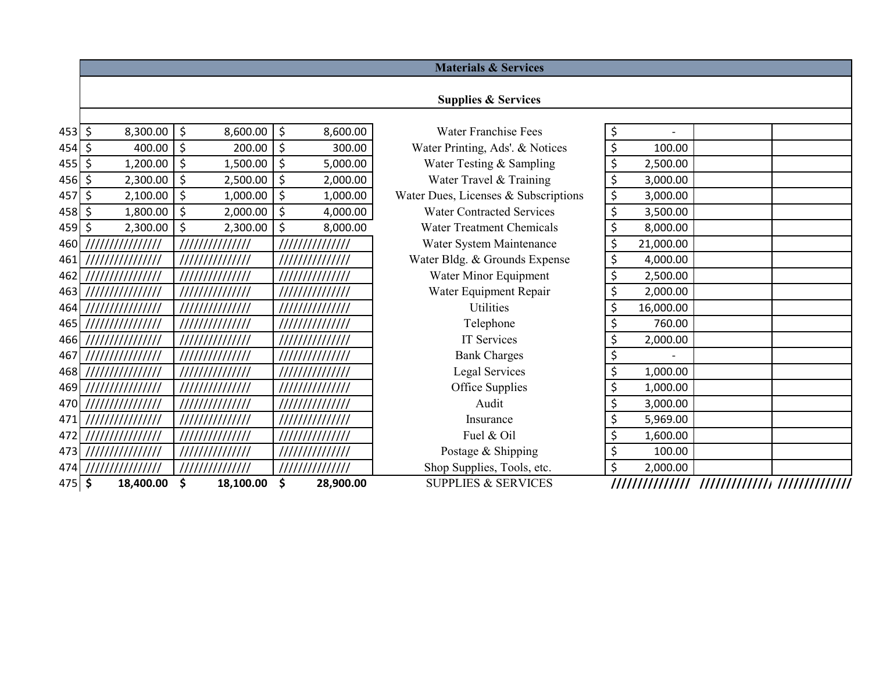|          |                  |                     |                 | <b>Materials &amp; Services</b>      |                 |  |
|----------|------------------|---------------------|-----------------|--------------------------------------|-----------------|--|
|          |                  |                     |                 |                                      |                 |  |
|          |                  |                     |                 | <b>Supplies &amp; Services</b>       |                 |  |
| $453$ \$ | 8,300.00         | \$<br>8,600.00      | \$<br>8,600.00  | <b>Water Franchise Fees</b>          | \$              |  |
| $454$ \$ | 400.00           | \$<br>200.00        | \$<br>300.00    | Water Printing, Ads'. & Notices      | \$<br>100.00    |  |
| 455      | 1,200.00<br>\$   | \$<br>1,500.00      | \$<br>5,000.00  | Water Testing & Sampling             | \$<br>2,500.00  |  |
| 456      | 2,300.00<br>\$   | $\zeta$<br>2,500.00 | \$<br>2,000.00  | Water Travel & Training              | \$<br>3,000.00  |  |
| 457      | 2,100.00<br>\$   | $\zeta$<br>1,000.00 | \$<br>1,000.00  | Water Dues, Licenses & Subscriptions | \$<br>3,000.00  |  |
| $458$ \$ | 1,800.00         | \$<br>2,000.00      | \$<br>4,000.00  | <b>Water Contracted Services</b>     | \$<br>3,500.00  |  |
| 459      | 2,300.00<br>\$   | \$<br>2,300.00      | \$<br>8,000.00  | <b>Water Treatment Chemicals</b>     | \$<br>8,000.00  |  |
| 460      | ///////////////  |                     | 111111111111111 | Water System Maintenance             | \$<br>21,000.00 |  |
| 461      | ///////////////  | //////////////      | 111111111111111 | Water Bldg. & Grounds Expense        | \$<br>4,000.00  |  |
| 462      | ///////////////  | //////////////      | 111111111111111 | Water Minor Equipment                | \$<br>2,500.00  |  |
| 4631     | ///////////////  | //////////////      | 111111111111111 | Water Equipment Repair               | \$<br>2,000.00  |  |
| 464      | //////////////// | //////////////      | //////////////  | Utilities                            | \$<br>16,000.00 |  |
| 465      | ///////////////  | //////////////      | 111111111111111 | Telephone                            | \$<br>760.00    |  |
| 466      | //////////////// | //////////////      | 111111111111111 | IT Services                          | \$<br>2,000.00  |  |
| 467      | //////////////// | //////////////      | 111111111111111 | <b>Bank Charges</b>                  | \$              |  |
| 468      | //////////////// | //////////////      | //////////////  | <b>Legal Services</b>                | \$<br>1,000.00  |  |
| 469      | //////////////// | //////////////      | //////////////  | Office Supplies                      | \$<br>1,000.00  |  |
| 470      | //////////////// | //////////////      | 111111111111111 | Audit                                | \$<br>3,000.00  |  |
| 471      | //////////////// | //////////////      | //////////////  | Insurance                            | \$<br>5,969.00  |  |
| 472      | ///////////////  | //////////////      | //////////////  | Fuel & Oil                           | \$<br>1,600.00  |  |
| 473      | ///////////////  | //////////////      | //////////////  | Postage & Shipping                   | \$<br>100.00    |  |
| 474      | ///////////////  | //////////////      | /////////////// | Shop Supplies, Tools, etc.           | \$<br>2,000.00  |  |
| $475$ \$ | 18,400.00        | \$<br>18,100.00     | \$<br>28,900.00 | <b>SUPPLIES &amp; SERVICES</b>       |                 |  |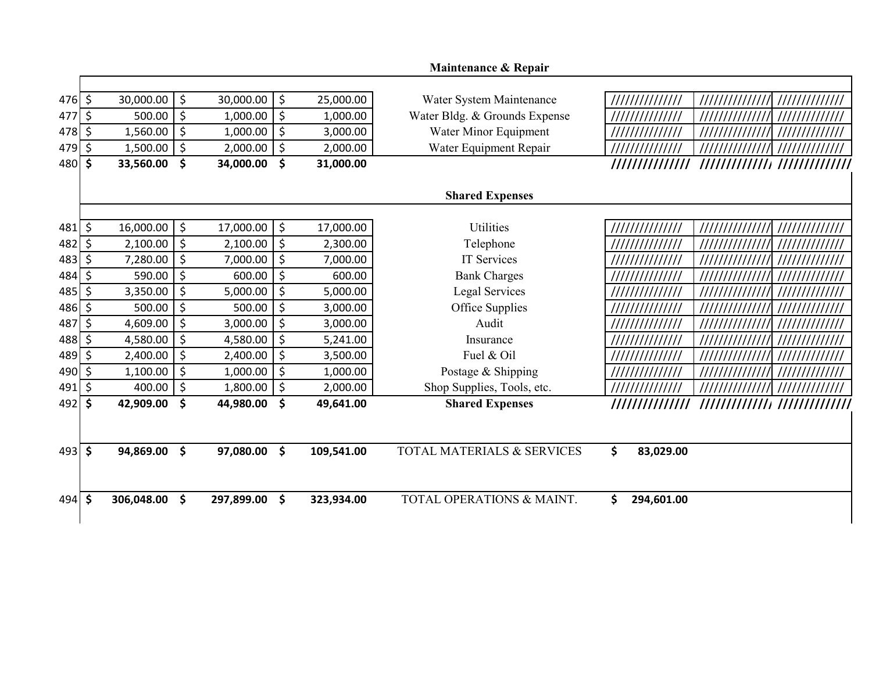|          |                     |            |         |            |                  | Maintenance & Repair          |                                                    |
|----------|---------------------|------------|---------|------------|------------------|-------------------------------|----------------------------------------------------|
|          |                     |            |         |            |                  |                               |                                                    |
| $476$ \$ |                     | 30,000.00  | $\zeta$ | 30,000.00  | \$<br>25,000.00  | Water System Maintenance      | ///////////////                                    |
| 477      | \$                  | 500.00     | \$      | 1,000.00   | \$<br>1,000.00   | Water Bldg. & Grounds Expense | //////////////<br>/////////////<br>/////////////   |
| 478      | \$                  | 1,560.00   | $\zeta$ | 1,000.00   | \$<br>3,000.00   | Water Minor Equipment         |                                                    |
| 479      | \$                  | 1,500.00   | $\zeta$ | 2,000.00   | \$<br>2,000.00   | Water Equipment Repair        |                                                    |
| 480      | \$                  | 33,560.00  | \$      | 34,000.00  | \$<br>31,000.00  |                               | ///////////////////////////////<br>/////////////// |
|          |                     |            |         |            |                  | <b>Shared Expenses</b>        |                                                    |
|          |                     |            |         |            |                  |                               |                                                    |
| 481      | \$                  | 16,000.00  | $\zeta$ | 17,000.00  | \$<br>17,000.00  | <b>Utilities</b>              | ///////////////<br>/////////////<br>/////////////  |
| 482      | \$                  | 2,100.00   | $\zeta$ | 2,100.00   | \$<br>2,300.00   | Telephone                     |                                                    |
| 483      | \$                  | 7,280.00   | \$      | 7,000.00   | \$<br>7,000.00   | IT Services                   | /////////////<br>//////////////                    |
| 484      | \$                  | 590.00     | $\zeta$ | 600.00     | \$<br>600.00     | <b>Bank Charges</b>           | //////////////<br>//////////////                   |
| 485      | \$                  | 3,350.00   | \$      | 5,000.00   | \$<br>5,000.00   | Legal Services                | //////////////                                     |
| 486      | \$                  | 500.00     | $\zeta$ | 500.00     | \$<br>3,000.00   | Office Supplies               | ///////////////                                    |
| 487      | \$                  | 4,609.00   | $\zeta$ | 3,000.00   | \$<br>3,000.00   | Audit                         |                                                    |
| 488      | \$                  | 4,580.00   | \$      | 4,580.00   | \$<br>5,241.00   | Insurance                     | //////////////<br>/////////////                    |
| 489      | \$                  | 2,400.00   | \$      | 2,400.00   | \$<br>3,500.00   | Fuel & Oil                    |                                                    |
| 490      | \$                  | 1,100.00   | \$      | 1,000.00   | \$<br>1,000.00   | Postage & Shipping            | //////////////                                     |
| 491      | \$                  | 400.00     | \$      | 1,800.00   | \$<br>2,000.00   | Shop Supplies, Tools, etc.    | //////////////<br>//////////////                   |
| 492      | \$                  | 42,909.00  | \$      | 44,980.00  | \$<br>49,641.00  | <b>Shared Expenses</b>        | ///////////////                                    |
|          |                     |            |         |            |                  |                               |                                                    |
| 493      | $\ddot{\bm{\zeta}}$ | 94,869.00  | \$      | 97,080.00  | \$<br>109,541.00 | TOTAL MATERIALS & SERVICES    | \$<br>83,029.00                                    |
| $494$ \$ |                     | 306,048.00 | \$      | 297,899.00 | \$<br>323,934.00 | TOTAL OPERATIONS & MAINT.     | \$<br>294,601.00                                   |
|          |                     |            |         |            |                  |                               |                                                    |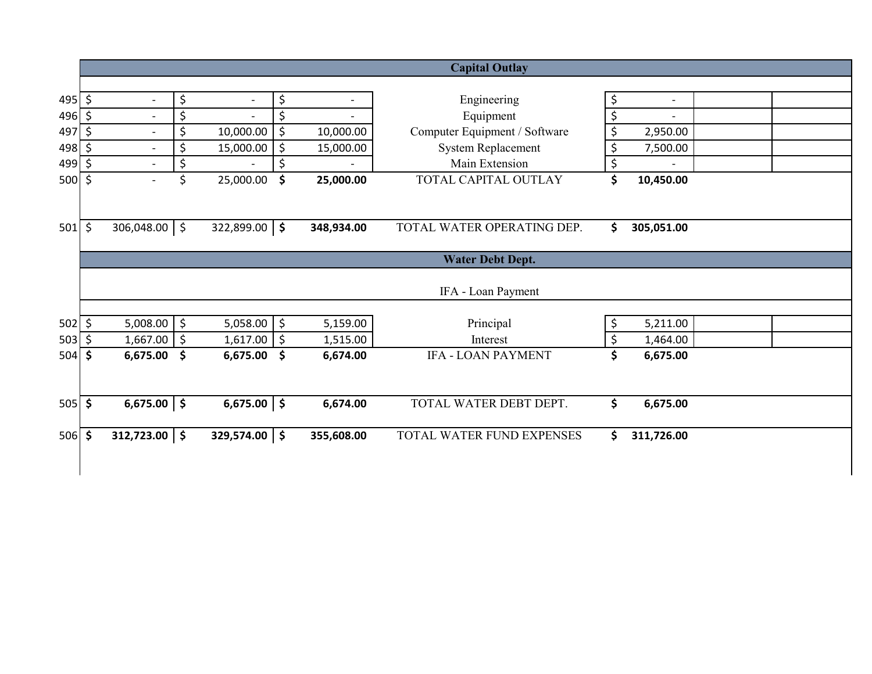|                   |         |                          |         |                          |               |                          | <b>Capital Outlay</b>         |                      |  |
|-------------------|---------|--------------------------|---------|--------------------------|---------------|--------------------------|-------------------------------|----------------------|--|
|                   |         |                          |         |                          |               |                          |                               |                      |  |
| $495$ \$          |         | $\blacksquare$           | \$      | $\overline{\phantom{a}}$ | \$            | $\overline{\phantom{a}}$ | Engineering                   | \$<br>$\blacksquare$ |  |
| $496 \div$        |         | $\blacksquare$           | \$      | $\overline{a}$           | \$            |                          | Equipment                     | \$                   |  |
| 497               | \$      | $\overline{\phantom{a}}$ | \$      | 10,000.00                | \$            | 10,000.00                | Computer Equipment / Software | \$<br>2,950.00       |  |
| $498 \frac{1}{5}$ |         | $\overline{\phantom{a}}$ | \$      | 15,000.00                | \$            | 15,000.00                | <b>System Replacement</b>     | \$<br>7,500.00       |  |
| 499               | $\zeta$ | $\overline{\phantom{a}}$ | \$      |                          | \$            |                          | Main Extension                | \$                   |  |
| 500               | $\zeta$ | $\blacksquare$           | \$      | 25,000.00                | \$            | 25,000.00                | TOTAL CAPITAL OUTLAY          | \$<br>10,450.00      |  |
|                   |         |                          |         |                          |               |                          |                               |                      |  |
| $501$ \$          |         | $306,048.00$ \$          |         | $322,899.00$ \$          |               | 348,934.00               | TOTAL WATER OPERATING DEP.    | \$<br>305,051.00     |  |
|                   |         |                          |         |                          |               |                          | <b>Water Debt Dept.</b>       |                      |  |
|                   |         |                          |         |                          |               |                          | IFA - Loan Payment            |                      |  |
| $502 \mid 5$      |         | $5,008.00$ \$            |         | $5,058.00$ \$            |               | 5,159.00                 | Principal                     | \$<br>5,211.00       |  |
| 503               | \$      | 1,667.00                 | $\zeta$ | 1,617.00                 | $\ddot{\phi}$ | 1,515.00                 | Interest                      | \$<br>1,464.00       |  |
| 504               | \$      | 6,675.00                 | \$      | 6,675.00                 | \$            | 6,674.00                 | <b>IFA - LOAN PAYMENT</b>     | \$<br>6,675.00       |  |
|                   |         |                          |         |                          |               |                          |                               |                      |  |
| $505$ \$          |         | $6,675.00$ \$            |         | $6,675.00$ \$            |               | 6,674.00                 | TOTAL WATER DEBT DEPT.        | \$<br>6,675.00       |  |
| $506$ \$          |         | $312,723.00$ \$          |         | 329,574.00 \$            |               | 355,608.00               | TOTAL WATER FUND EXPENSES     | \$<br>311,726.00     |  |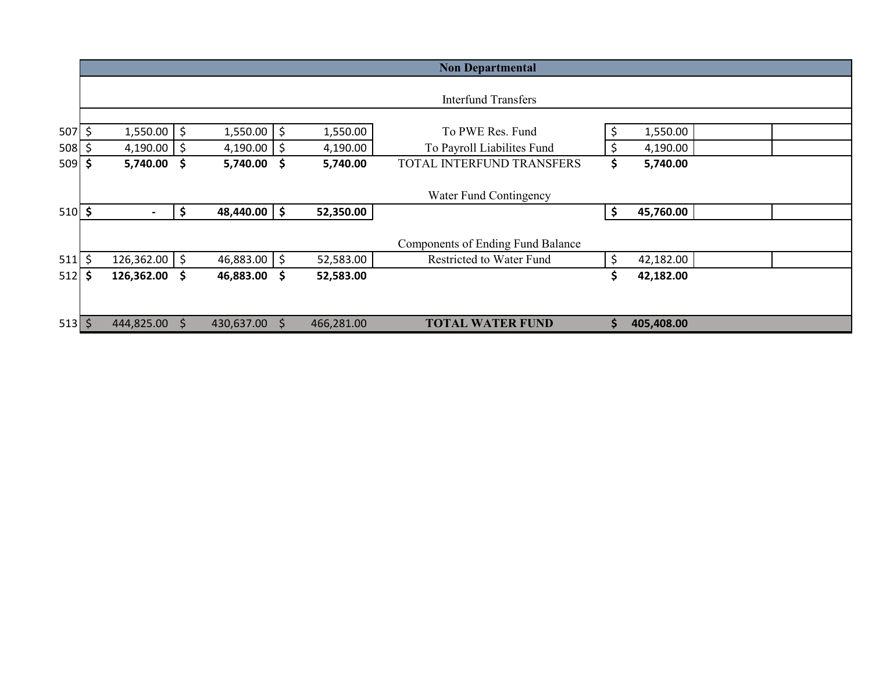|             |    |               |                    |                |          |            | <b>Non Departmental</b>                  |     |            |  |
|-------------|----|---------------|--------------------|----------------|----------|------------|------------------------------------------|-----|------------|--|
|             |    |               |                    |                |          |            |                                          |     |            |  |
|             |    |               |                    |                |          |            | <b>Interfund Transfers</b>               |     |            |  |
|             |    |               |                    |                |          |            |                                          |     |            |  |
| 507         | \$ | $1,550.00$ \$ |                    | 1,550.00       | \$       | 1,550.00   | To PWE Res. Fund                         | \$  | 1,550.00   |  |
| 508         |    | 4,190.00      | \$                 | 4,190.00       | \$       | 4,190.00   | To Payroll Liabilites Fund               | \$  | 4,190.00   |  |
| 509         | S  | 5,740.00 \$   |                    | 5,740.00       | <b>S</b> | 5,740.00   | <b>TOTAL INTERFUND TRANSFERS</b>         | \$  | 5,740.00   |  |
|             |    |               |                    |                |          |            |                                          |     |            |  |
|             |    |               |                    |                |          |            | Water Fund Contingency                   |     |            |  |
| $510 \,$ \$ |    |               | \$                 | $48,440.00$ \$ |          | 52,350.00  |                                          | \$  | 45,760.00  |  |
|             |    |               |                    |                |          |            |                                          |     |            |  |
|             |    |               |                    |                |          |            | <b>Components of Ending Fund Balance</b> |     |            |  |
| 511         | \$ | 126,362.00    | $\ddot{\varsigma}$ | 46,883.00      | \$       | 52,583.00  | <b>Restricted to Water Fund</b>          | \$  | 42,182.00  |  |
| 512         | Ś  | 126,362.00 \$ |                    | 46,883.00      | \$.      | 52,583.00  |                                          | \$  | 42,182.00  |  |
|             |    |               |                    |                |          |            |                                          |     |            |  |
|             |    |               |                    |                |          |            |                                          |     |            |  |
| $513$ \$    |    | 444,825.00    | S                  | 430,637.00     | S        | 466,281.00 | <b>TOTAL WATER FUND</b>                  | \$. | 405,408.00 |  |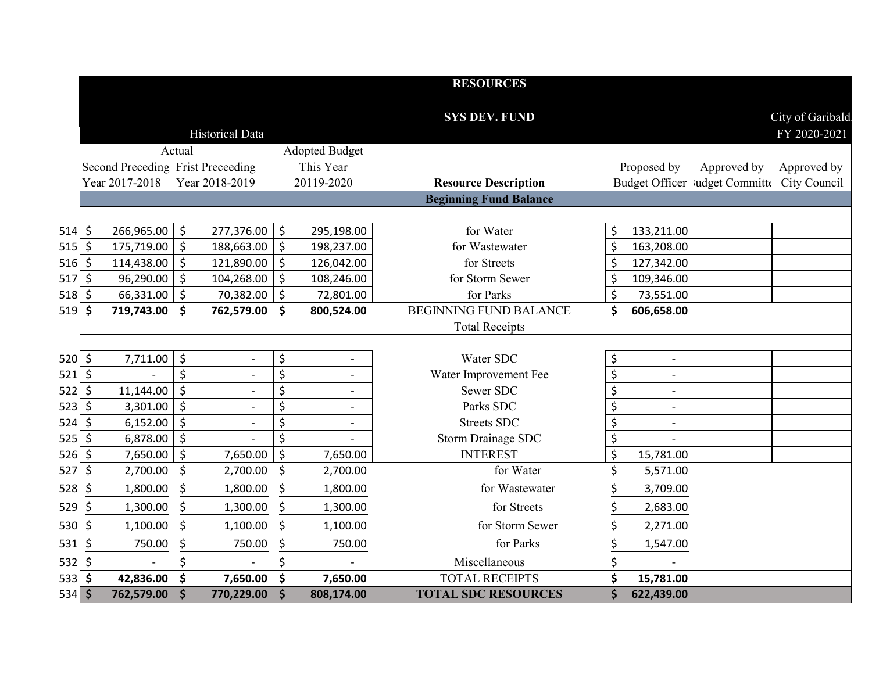|              |         |                                                     |                    |                          |                                    | <b>RESOURCES</b>                                             |                  |                          |                                             |                  |
|--------------|---------|-----------------------------------------------------|--------------------|--------------------------|------------------------------------|--------------------------------------------------------------|------------------|--------------------------|---------------------------------------------|------------------|
|              |         |                                                     |                    |                          |                                    | <b>SYS DEV. FUND</b>                                         |                  |                          |                                             | City of Garibald |
|              |         |                                                     |                    | <b>Historical Data</b>   |                                    |                                                              |                  |                          |                                             | FY 2020-2021     |
|              |         |                                                     | Actual             |                          | <b>Adopted Budget</b>              |                                                              |                  |                          |                                             |                  |
|              |         | Second Preceding Frist Preceeding<br>Year 2017-2018 |                    | Year 2018-2019           | This Year<br>20119-2020            |                                                              |                  | Proposed by              | Approved by                                 | Approved by      |
|              |         |                                                     |                    |                          |                                    | <b>Resource Description</b><br><b>Beginning Fund Balance</b> |                  |                          | Budget Officer ludget Committe City Council |                  |
|              |         |                                                     |                    |                          |                                    |                                                              |                  |                          |                                             |                  |
| $514$ \$     |         | 266,965.00                                          | \$                 | 277,376.00               | \$<br>295,198.00                   | for Water                                                    | \$               | 133,211.00               |                                             |                  |
| $515$ \$     |         | 175,719.00                                          | $\zeta$            | 188,663.00               | \$<br>198,237.00                   | for Wastewater                                               | \$               | 163,208.00               |                                             |                  |
| $516$ \$     |         | 114,438.00                                          | $\zeta$            | 121,890.00               | \$<br>126,042.00                   | for Streets                                                  | \$               | 127,342.00               |                                             |                  |
| 517          | \$      | 96,290.00                                           | $\zeta$            | 104,268.00               | \$<br>108,246.00                   | for Storm Sewer                                              | \$               | 109,346.00               |                                             |                  |
| $518$ \$     |         | 66,331.00                                           | $\zeta$            | 70,382.00                | \$<br>72,801.00                    | for Parks                                                    | $\zeta$          | 73,551.00                |                                             |                  |
| 519          | \$      | 719,743.00                                          | \$                 | 762,579.00               | \$<br>800,524.00                   | <b>BEGINNING FUND BALANCE</b>                                | \$               | 606,658.00               |                                             |                  |
|              |         |                                                     |                    |                          |                                    | <b>Total Receipts</b>                                        |                  |                          |                                             |                  |
|              |         |                                                     |                    |                          |                                    |                                                              |                  |                          |                                             |                  |
| $520 \mid 5$ |         | 7,711.00                                            | \$                 | $\overline{\phantom{a}}$ | \$                                 | Water SDC                                                    | \$               | $\overline{a}$           |                                             |                  |
| $521$ \$     |         |                                                     | \$                 | $\overline{\phantom{a}}$ | \$<br>$\overline{\phantom{a}}$     | Water Improvement Fee                                        | \$               | $\overline{\phantom{a}}$ |                                             |                  |
| 522          | $\zeta$ | 11,144.00                                           | $\ddot{\varsigma}$ |                          | \$                                 | Sewer SDC                                                    | $\overline{\xi}$ |                          |                                             |                  |
| 523          | $\zeta$ | 3,301.00                                            | $\zeta$            | $\overline{\phantom{a}}$ | \$<br>$\overline{\phantom{a}}$     | Parks SDC                                                    | \$               | $\overline{\phantom{a}}$ |                                             |                  |
| $524$ \$     |         | 6,152.00                                            | $\zeta$            | $\overline{a}$           | \$<br>$\qquad \qquad \blacksquare$ | <b>Streets SDC</b>                                           | \$               | $\blacksquare$           |                                             |                  |
| 525          | $\zeta$ | 6,878.00                                            | $\ddot{\varsigma}$ |                          | \$                                 | Storm Drainage SDC                                           | \$               |                          |                                             |                  |
| 526          | \$      | 7,650.00                                            | \$                 | 7,650.00                 | \$<br>7,650.00                     | <b>INTEREST</b>                                              | \$               | 15,781.00                |                                             |                  |
| 527          | \$      | 2,700.00                                            | \$                 | 2,700.00                 | \$<br>2,700.00                     | for Water                                                    |                  | 5,571.00                 |                                             |                  |
| 528          | \$      | 1,800.00                                            | \$                 | 1,800.00                 | \$<br>1,800.00                     | for Wastewater                                               |                  | 3,709.00                 |                                             |                  |
| 529          | \$      | 1,300.00                                            | \$                 | 1,300.00                 | \$<br>1,300.00                     | for Streets                                                  |                  | 2,683.00                 |                                             |                  |
| 530          | \$      | 1,100.00                                            | Ś                  | 1,100.00                 | \$<br>1,100.00                     | for Storm Sewer                                              |                  | 2,271.00                 |                                             |                  |
| 531          | \$      | 750.00                                              | \$                 | 750.00                   | \$<br>750.00                       | for Parks                                                    |                  | 1,547.00                 |                                             |                  |
| $532$ \$     |         |                                                     |                    |                          |                                    | Miscellaneous                                                |                  |                          |                                             |                  |
| $533$ \$     |         | 42,836.00                                           | \$                 | 7,650.00                 | \$<br>7,650.00                     | <b>TOTAL RECEIPTS</b>                                        | \$               | 15,781.00                |                                             |                  |
| $534$ \$     |         | 762,579.00                                          | $\dot{\mathsf{s}}$ | 770,229.00               | \$<br>808,174.00                   | <b>TOTAL SDC RESOURCES</b>                                   | \$               | 622,439.00               |                                             |                  |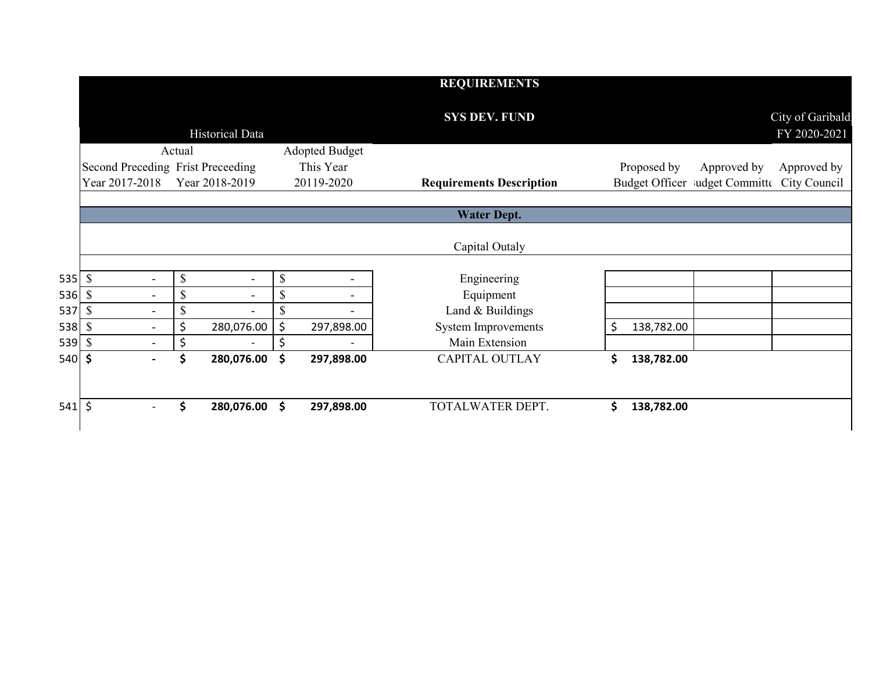|        |                                   |                          |                           |                          |               |                       | <b>REQUIREMENTS</b>             |    |                                             |                                  |
|--------|-----------------------------------|--------------------------|---------------------------|--------------------------|---------------|-----------------------|---------------------------------|----|---------------------------------------------|----------------------------------|
|        |                                   |                          |                           | Historical Data          |               |                       | <b>SYS DEV. FUND</b>            |    |                                             | City of Garibald<br>FY 2020-2021 |
|        |                                   |                          | Actual                    |                          |               | <b>Adopted Budget</b> |                                 |    |                                             |                                  |
|        | Second Preceding Frist Preceeding |                          |                           |                          |               | This Year             |                                 |    | Proposed by<br>Approved by                  | Approved by                      |
|        | Year 2017-2018                    |                          |                           | Year 2018-2019           |               | 20119-2020            | <b>Requirements Description</b> |    | Budget Officer ludget Committe City Council |                                  |
|        |                                   |                          |                           |                          |               |                       | <b>Water Dept.</b>              |    |                                             |                                  |
|        |                                   |                          |                           |                          |               |                       | Capital Outaly                  |    |                                             |                                  |
| 535S   |                                   | $\blacksquare$           | \$                        | $\overline{\phantom{0}}$ | $\mathcal{S}$ |                       | Engineering                     |    |                                             |                                  |
| 536 \$ |                                   | $\blacksquare$           | $\boldsymbol{\mathsf{S}}$ |                          | \$            |                       | Equipment                       |    |                                             |                                  |
| 537 \$ |                                   |                          | \$                        |                          | \$            |                       | Land & Buildings                |    |                                             |                                  |
| 538 \$ |                                   |                          | \$                        | 280,076.00               | \$            | 297,898.00            | <b>System Improvements</b>      | \$ | 138,782.00                                  |                                  |
| 539 \$ |                                   | $\overline{\phantom{0}}$ | \$                        | $\overline{\phantom{a}}$ | \$            |                       | Main Extension                  |    |                                             |                                  |
| 540 \$ |                                   |                          | \$                        | 280,076.00               | \$            | 297,898.00            | <b>CAPITAL OUTLAY</b>           | \$ | 138,782.00                                  |                                  |
|        |                                   |                          |                           |                          |               |                       |                                 |    |                                             |                                  |
| 541 \$ |                                   |                          | \$                        | 280,076.00 \$            |               | 297,898.00            | TOTALWATER DEPT.                | Ś  | 138,782.00                                  |                                  |
|        |                                   |                          |                           |                          |               |                       |                                 |    |                                             |                                  |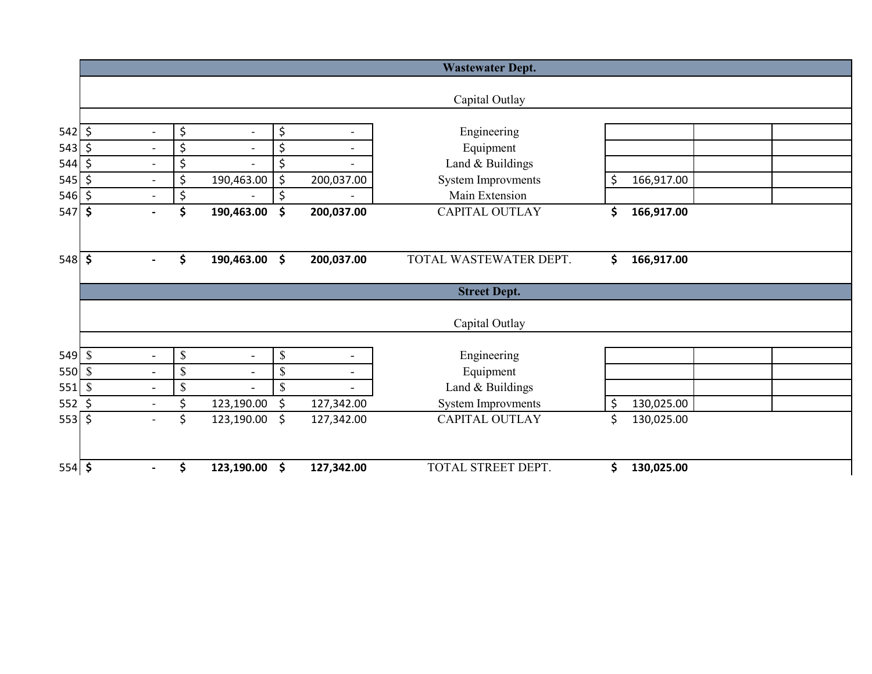|                    |              |                          |    |                          |              |                          | <b>Wastewater Dept.</b>   |                  |  |  |
|--------------------|--------------|--------------------------|----|--------------------------|--------------|--------------------------|---------------------------|------------------|--|--|
|                    |              |                          |    |                          |              |                          |                           |                  |  |  |
|                    |              |                          |    |                          |              |                          | Capital Outlay            |                  |  |  |
|                    |              |                          |    |                          |              |                          |                           |                  |  |  |
| $542 \mid 5$       |              | $\overline{\phantom{a}}$ | \$ | $\overline{\phantom{a}}$ | \$           | $\overline{\phantom{0}}$ | Engineering               |                  |  |  |
| 543                | \$           | $\blacksquare$           | \$ | $\overline{\phantom{0}}$ | \$           | $\overline{a}$           | Equipment                 |                  |  |  |
| 544                | \$           |                          | \$ |                          | \$           |                          | Land & Buildings          |                  |  |  |
| 545                | \$           | $\blacksquare$           | \$ | 190,463.00               | \$           | 200,037.00               | <b>System Improvments</b> | \$<br>166,917.00 |  |  |
| $546$ \$           |              | $\blacksquare$           | \$ | $\overline{\phantom{0}}$ | \$           |                          | Main Extension            |                  |  |  |
| $547$ \$           |              | $\overline{\phantom{a}}$ | \$ | 190,463.00               | \$           | 200,037.00               | <b>CAPITAL OUTLAY</b>     | \$<br>166,917.00 |  |  |
|                    |              |                          |    |                          |              |                          |                           |                  |  |  |
|                    |              |                          |    |                          |              |                          |                           |                  |  |  |
| $548$ \$           |              | $\overline{\phantom{a}}$ | \$ | 190,463.00               | \$           | 200,037.00               | TOTAL WASTEWATER DEPT.    | \$<br>166,917.00 |  |  |
|                    |              |                          |    |                          |              |                          | <b>Street Dept.</b>       |                  |  |  |
|                    |              |                          |    |                          |              |                          | Capital Outlay            |                  |  |  |
|                    |              |                          |    |                          |              |                          |                           |                  |  |  |
| $549$ \ $\sqrt{3}$ |              | $\overline{\phantom{a}}$ | \$ | $\overline{\phantom{a}}$ | \$           | $\overline{\phantom{a}}$ | Engineering               |                  |  |  |
| 550 \$             |              | $\blacksquare$           | \$ | $\blacksquare$           | \$           | $\overline{\phantom{a}}$ | Equipment                 |                  |  |  |
| 551                | $\mathbb{S}$ | $\blacksquare$           | \$ | $\overline{a}$           | $\mathbb{S}$ | $\blacksquare$           | Land & Buildings          |                  |  |  |
| $552$ \$           |              |                          | Ś  | 123,190.00               | \$           | 127,342.00               | <b>System Improvments</b> | \$<br>130,025.00 |  |  |
| $553$ \$           |              | $\blacksquare$           | \$ | 123,190.00               | \$           | 127,342.00               | <b>CAPITAL OUTLAY</b>     | \$<br>130,025.00 |  |  |
|                    |              |                          |    |                          |              |                          |                           |                  |  |  |
| $554$ \$           |              |                          | Ś  | 123,190.00               | \$           | 127,342.00               | TOTAL STREET DEPT.        | \$<br>130,025.00 |  |  |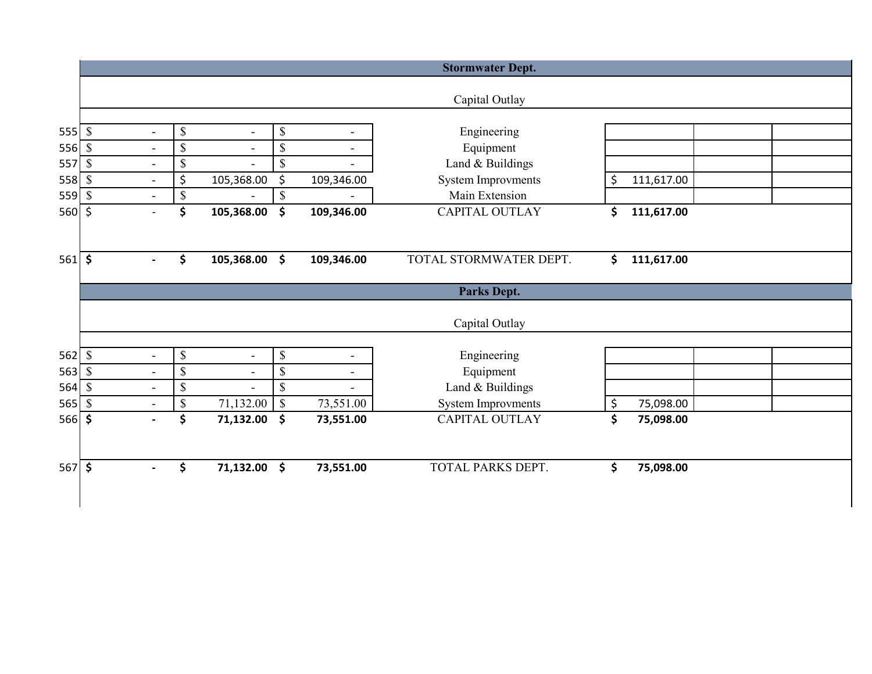|                  |                           |                          |                           |                          |                           |            | <b>Stormwater Dept.</b>   |                  |  |
|------------------|---------------------------|--------------------------|---------------------------|--------------------------|---------------------------|------------|---------------------------|------------------|--|
|                  |                           |                          |                           |                          |                           |            | Capital Outlay            |                  |  |
| $555$ \$         |                           | $\blacksquare$           | $\boldsymbol{\mathsf{S}}$ | $\overline{\phantom{a}}$ | $\boldsymbol{\mathsf{S}}$ |            | Engineering               |                  |  |
| 556              | $\boldsymbol{\mathsf{S}}$ | $\overline{a}$           | \$                        |                          | \$                        |            | Equipment                 |                  |  |
| 557              | $\boldsymbol{\mathsf{S}}$ | $\blacksquare$           | $\mathbb{S}$              |                          | \$                        |            | Land & Buildings          |                  |  |
| $558$ $\sqrt{3}$ |                           | $\overline{\phantom{a}}$ | \$                        | 105,368.00               | \$                        | 109,346.00 | <b>System Improvments</b> | \$<br>111,617.00 |  |
| 559              | $\boldsymbol{\mathsf{S}}$ | $\frac{1}{2}$            | $\mathbb S$               |                          | \$                        |            | Main Extension            |                  |  |
| $560 \div$       |                           | $\overline{\phantom{a}}$ | \$                        | 105,368.00               | \$                        | 109,346.00 | <b>CAPITAL OUTLAY</b>     | \$<br>111,617.00 |  |
| $561$ \$         |                           | $\blacksquare$           | \$                        | 105,368.00               | \$                        | 109,346.00 | TOTAL STORMWATER DEPT.    | \$<br>111,617.00 |  |
|                  |                           |                          |                           |                          |                           |            | <b>Parks Dept.</b>        |                  |  |
|                  |                           |                          |                           |                          |                           |            | Capital Outlay            |                  |  |
| $562$ \$         |                           | $\blacksquare$           | $\boldsymbol{\mathsf{S}}$ | $\overline{\phantom{a}}$ | \$                        |            | Engineering               |                  |  |
| 563              | $\boldsymbol{\mathsf{S}}$ | $\overline{\phantom{a}}$ | $\mathbb S$               | $\blacksquare$           | \$                        |            | Equipment                 |                  |  |
| 564              | $\mathcal{S}$             | $\overline{\phantom{a}}$ | $\mathcal{S}$             |                          | \$                        |            | Land & Buildings          |                  |  |
| 565              | $\mathbb{S}$              | $\blacksquare$           | $\boldsymbol{\mathsf{S}}$ | 71,132.00                | $\mathbb S$               | 73,551.00  | <b>System Improvments</b> | \$<br>75,098.00  |  |
| $566$ \$         |                           | $\overline{\phantom{0}}$ | \$                        | 71,132.00                | \$                        | 73,551.00  | CAPITAL OUTLAY            | \$<br>75,098.00  |  |
|                  | $567$ \$                  |                          | \$                        | 71,132.00                | \$                        | 73,551.00  | <b>TOTAL PARKS DEPT.</b>  | \$<br>75,098.00  |  |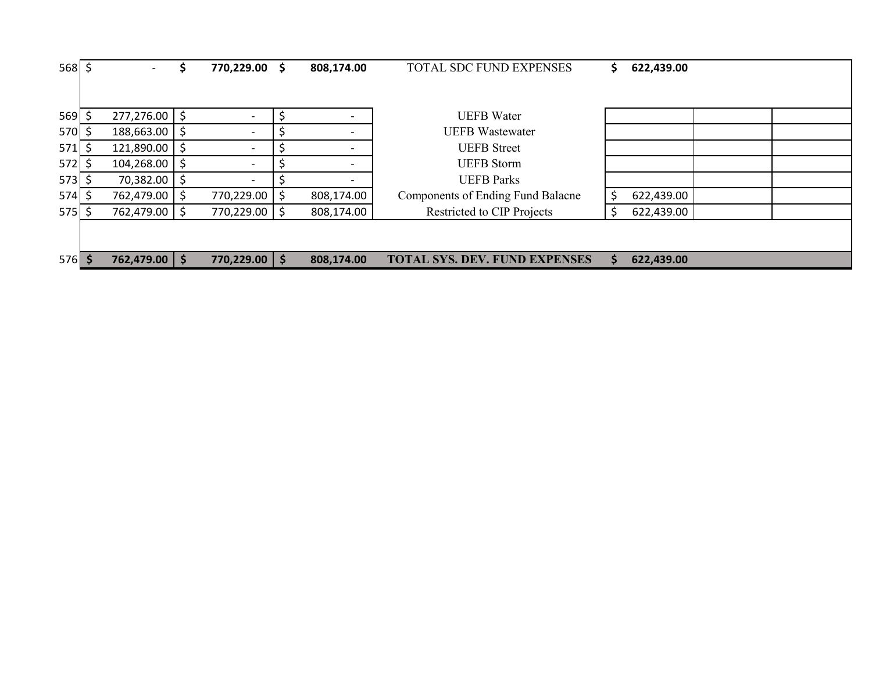| $568$ \$ |    |                   | 770,229.00               |         | 808,174.00               | TOTAL SDC FUND EXPENSES                  | 622,439.00       |  |
|----------|----|-------------------|--------------------------|---------|--------------------------|------------------------------------------|------------------|--|
|          |    |                   |                          |         |                          |                                          |                  |  |
| 569      | S  | $277,276.00$   \$ | $\overline{\phantom{a}}$ |         | $\overline{\phantom{a}}$ | <b>UEFB</b> Water                        |                  |  |
| 570      |    | 188,663.00 \$     | $\overline{\phantom{a}}$ |         |                          | <b>UEFB</b> Wastewater                   |                  |  |
| 571      | Ś  | $121,890.00$   \$ | $\overline{\phantom{a}}$ |         | $\overline{\phantom{0}}$ | <b>UEFB</b> Street                       |                  |  |
| 572      | -S | $104,268.00$   \$ | $\overline{\phantom{a}}$ |         | $\overline{\phantom{0}}$ | <b>UEFB</b> Storm                        |                  |  |
| $573$ \$ |    | 70,382.00 \$      | $\overline{\phantom{a}}$ |         | $\overline{\phantom{a}}$ | <b>UEFB</b> Parks                        |                  |  |
| 574      | Ŝ. | 762,479.00 \$     | 770,229.00               | S       | 808,174.00               | <b>Components of Ending Fund Balacne</b> | 622,439.00       |  |
| $575$ \$ |    | 762,479.00 \$     | 770,229.00               | Ŝ.      | 808,174.00               | Restricted to CIP Projects               | \$<br>622,439.00 |  |
|          |    |                   |                          |         |                          |                                          |                  |  |
|          |    |                   |                          |         |                          |                                          |                  |  |
| $576$ \$ |    | 762,479.00 \$     | 770,229.00               | $\zeta$ | 808,174.00               | <b>TOTAL SYS. DEV. FUND EXPENSES</b>     | 622,439.00       |  |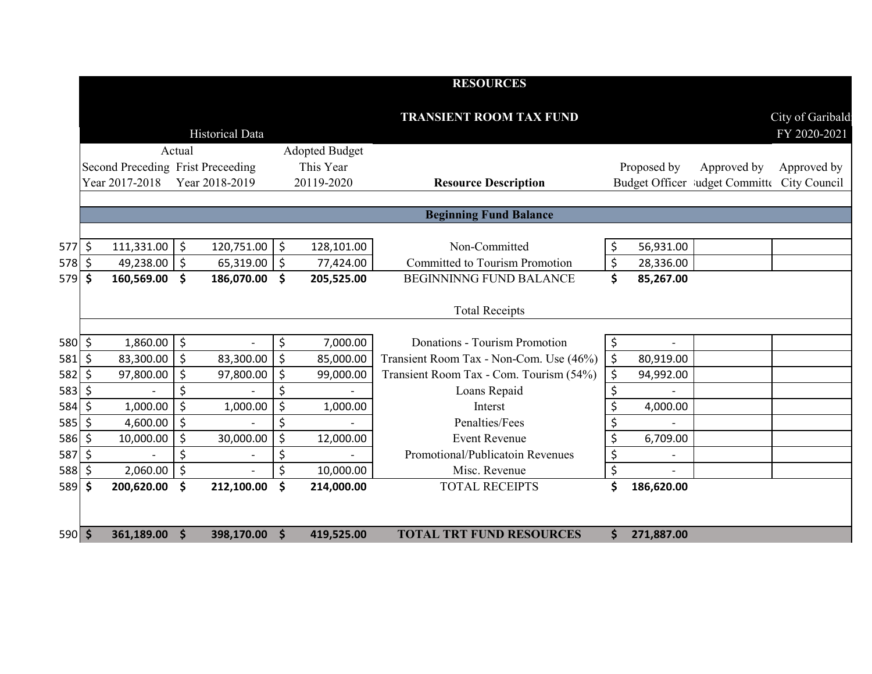|          |               |                                   |                     |                          |         |                       | <b>RESOURCES</b>                        |    |                   |                                             |                                  |
|----------|---------------|-----------------------------------|---------------------|--------------------------|---------|-----------------------|-----------------------------------------|----|-------------------|---------------------------------------------|----------------------------------|
|          |               |                                   |                     | <b>Historical Data</b>   |         |                       | <b>TRANSIENT ROOM TAX FUND</b>          |    |                   |                                             | City of Garibald<br>FY 2020-2021 |
|          |               |                                   | Actual              |                          |         | <b>Adopted Budget</b> |                                         |    |                   |                                             |                                  |
|          |               | Second Preceding Frist Preceeding |                     |                          |         | This Year             |                                         |    | Proposed by       | Approved by                                 | Approved by                      |
|          |               | Year 2017-2018                    |                     | Year 2018-2019           |         | 20119-2020            | <b>Resource Description</b>             |    |                   | Budget Officer ludget Committe City Council |                                  |
|          |               |                                   |                     |                          |         |                       |                                         |    |                   |                                             |                                  |
|          |               |                                   |                     |                          |         |                       | <b>Beginning Fund Balance</b>           |    |                   |                                             |                                  |
| $577$ \$ |               | 111,331.00                        | $\ddot{\mathsf{S}}$ | 120,751.00               | $\zeta$ | 128,101.00            | Non-Committed                           | \$ | 56,931.00         |                                             |                                  |
| $578$ \$ |               | 49,238.00                         | $\zeta$             | 65,319.00                | \$      | 77,424.00             | <b>Committed to Tourism Promotion</b>   | \$ | 28,336.00         |                                             |                                  |
| 579      | $\mathsf{\$}$ | 160,569.00                        | $\mathsf{\hat{S}}$  | 186,070.00               | \$      | 205,525.00            | <b>BEGINNINNG FUND BALANCE</b>          | \$ | 85,267.00         |                                             |                                  |
|          |               |                                   |                     |                          |         |                       | <b>Total Receipts</b>                   |    |                   |                                             |                                  |
| 580 \$   |               | 1,860.00                          | \$ ا                | $\overline{\phantom{a}}$ | \$      | 7,000.00              | Donations - Tourism Promotion           | \$ |                   |                                             |                                  |
| 581      | Š.            | 83,300.00                         | $\zeta$             | 83,300.00                | \$      | 85,000.00             | Transient Room Tax - Non-Com. Use (46%) | \$ | 80,919.00         |                                             |                                  |
| 582      | $\zeta$       | 97,800.00                         | \$                  | 97,800.00                | \$      | 99,000.00             | Transient Room Tax - Com. Tourism (54%) | \$ | 94,992.00         |                                             |                                  |
| 583      | Ś.            |                                   | \$                  |                          | \$      |                       | Loans Repaid                            | \$ |                   |                                             |                                  |
| 584      | \$            | 1,000.00                          | $\zeta$             | 1,000.00                 | \$      | 1,000.00              | Interst                                 | \$ | 4,000.00          |                                             |                                  |
| 585      | Š.            | 4,600.00                          | $\zeta$             |                          | \$      |                       | Penalties/Fees                          | \$ |                   |                                             |                                  |
| 586      | Š.            | 10,000.00                         | $\zeta$             | 30,000.00                | \$      | 12,000.00             | <b>Event Revenue</b>                    | \$ | 6,709.00          |                                             |                                  |
| 587      | $\zeta$       |                                   | \$                  |                          | \$      |                       | Promotional/Publicatoin Revenues        | \$ | $\qquad \qquad -$ |                                             |                                  |
| 588      | \$            | 2,060.00                          | $\zeta$             |                          | \$      | 10,000.00             | Misc. Revenue                           | \$ |                   |                                             |                                  |
| 589 \$   |               | 200,620.00                        | \$                  | 212,100.00               | \$      | 214,000.00            | <b>TOTAL RECEIPTS</b>                   | \$ | 186,620.00        |                                             |                                  |
|          |               |                                   |                     |                          |         |                       |                                         |    |                   |                                             |                                  |
| 590 \$   |               | 361,189.00                        | $\mathsf{S}$        | 398,170.00               | Ŝ.      | 419,525.00            | <b>TOTAL TRT FUND RESOURCES</b>         | Ś. | 271,887.00        |                                             |                                  |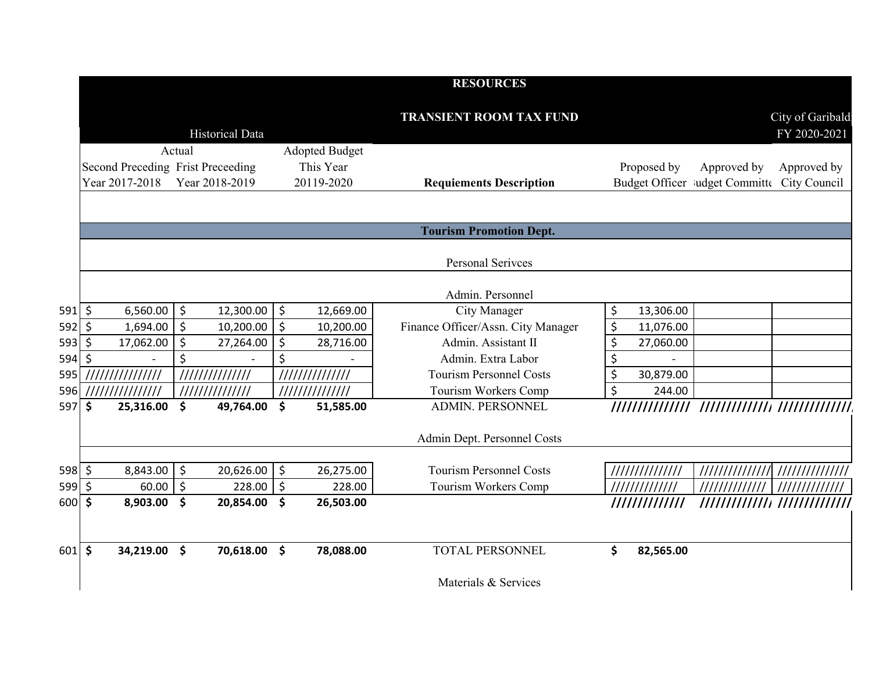|          |                                                     |                      |                 |                                           | <b>RESOURCES</b>                   |                 |                                                            |                                  |
|----------|-----------------------------------------------------|----------------------|-----------------|-------------------------------------------|------------------------------------|-----------------|------------------------------------------------------------|----------------------------------|
|          |                                                     |                      | Historical Data |                                           | <b>TRANSIENT ROOM TAX FUND</b>     |                 |                                                            | City of Garibald<br>FY 2020-2021 |
|          | Second Preceding Frist Preceeding<br>Year 2017-2018 | Actual               | Year 2018-2019  | Adopted Budget<br>This Year<br>20119-2020 | <b>Requiements Description</b>     | Proposed by     | Approved by<br>Budget Officer Judget Committe City Council | Approved by                      |
|          |                                                     |                      |                 |                                           | <b>Tourism Promotion Dept.</b>     |                 |                                                            |                                  |
|          |                                                     |                      |                 |                                           | <b>Personal Serivces</b>           |                 |                                                            |                                  |
|          |                                                     |                      |                 |                                           | Admin. Personnel                   |                 |                                                            |                                  |
| $591$ \$ | 6,560.00                                            | $\ddot{\circ}$       | 12,300.00       | \$<br>12,669.00                           | City Manager                       | \$<br>13,306.00 |                                                            |                                  |
| $592$ \$ | 1,694.00                                            | \$ ا                 | 10,200.00       | \$<br>10,200.00                           | Finance Officer/Assn. City Manager | \$<br>11,076.00 |                                                            |                                  |
| 593      | $\zeta$<br>17,062.00                                | $\zeta$              | 27,264.00       | \$<br>28,716.00                           | Admin. Assistant II                | \$<br>27,060.00 |                                                            |                                  |
| 594      | \$                                                  | \$                   |                 | \$                                        | Admin. Extra Labor                 | \$              |                                                            |                                  |
| 595      | ////////////////                                    |                      |                 | 111111111111111                           | <b>Tourism Personnel Costs</b>     | \$<br>30,879.00 |                                                            |                                  |
| 596      | ///////////////                                     |                      | //////////////  | //////////////                            | Tourism Workers Comp               | \$<br>244.00    |                                                            |                                  |
| 597      | \$<br>25,316.00                                     | $\boldsymbol{\zeta}$ | 49,764.00       | \$<br>51,585.00                           | <b>ADMIN. PERSONNEL</b>            |                 |                                                            |                                  |
|          |                                                     |                      |                 |                                           | Admin Dept. Personnel Costs        |                 |                                                            |                                  |
| $598$ \$ | 8,843.00                                            | l \$                 | 20,626.00       | \$<br>26,275.00                           | <b>Tourism Personnel Costs</b>     |                 | /////////////// ///////////////                            |                                  |
| 599      | $\zeta$<br>60.00                                    | $\zeta$              | 228.00          | \$<br>228.00                              | Tourism Workers Comp               | /////////////   | ////////////                                               |                                  |
| 600 \$   | 8,903.00                                            | \$                   | 20,854.00       | \$<br>26,503.00                           |                                    | /////////////   |                                                            |                                  |
| $601$ \$ | 34,219.00                                           | $\mathsf{\$}$        | 70,618.00       | \$<br>78,088.00                           | <b>TOTAL PERSONNEL</b>             | \$<br>82,565.00 |                                                            |                                  |
|          |                                                     |                      |                 |                                           | Materials & Services               |                 |                                                            |                                  |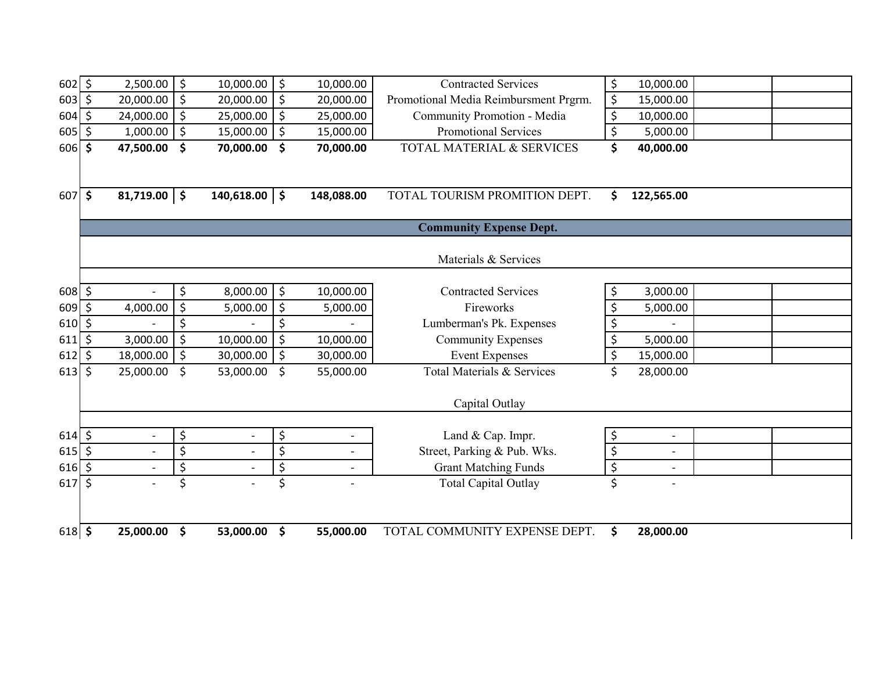| $602 \leq$        | 2,500.00                       | \$                              | 10,000.00                | \$            | 10,000.00  | <b>Contracted Services</b>                            | \$                              | 10,000.00                |  |
|-------------------|--------------------------------|---------------------------------|--------------------------|---------------|------------|-------------------------------------------------------|---------------------------------|--------------------------|--|
| $603 \mid 5$      | 20,000.00                      | \$                              | 20,000.00                | $\zeta$       | 20,000.00  | Promotional Media Reimbursment Prgrm.                 | $\zeta$                         | 15,000.00                |  |
| $604 \;$ \$       | 24,000.00                      | \$                              | 25,000.00                | \$            | 25,000.00  | Community Promotion - Media                           | \$                              | 10,000.00                |  |
| 605               | \$<br>1,000.00                 | \$                              | 15,000.00                | $\zeta$       | 15,000.00  | <b>Promotional Services</b>                           | \$                              | 5,000.00                 |  |
| $606$ \$          | 47,500.00                      | \$                              | 70,000.00                | \$            | 70,000.00  | TOTAL MATERIAL & SERVICES                             | \$                              | 40,000.00                |  |
|                   |                                |                                 |                          |               |            |                                                       |                                 |                          |  |
|                   |                                |                                 |                          |               |            |                                                       |                                 |                          |  |
| 607               | \$<br>$81,719.00$ \$           |                                 | $140,618.00$ \$          |               | 148,088.00 | TOTAL TOURISM PROMITION DEPT.                         | \$                              | 122,565.00               |  |
|                   |                                |                                 |                          |               |            |                                                       |                                 |                          |  |
|                   |                                |                                 |                          |               |            | <b>Community Expense Dept.</b>                        |                                 |                          |  |
|                   |                                |                                 |                          |               |            |                                                       |                                 |                          |  |
|                   |                                |                                 |                          |               |            | Materials & Services                                  |                                 |                          |  |
|                   |                                |                                 |                          |               |            | <b>Contracted Services</b>                            |                                 |                          |  |
| $608 \,$ \$       |                                | \$                              | 8,000.00                 | \$            | 10,000.00  | Fireworks                                             | \$                              | 3,000.00                 |  |
| $609$ \$          | 4,000.00                       | \$<br>\$                        | 5,000.00                 | \$            | 5,000.00   |                                                       | \$                              | 5,000.00                 |  |
| $610 \div$<br>611 | \$<br>3,000.00                 | \$                              | 10,000.00                | \$<br>$\zeta$ | 10,000.00  | Lumberman's Pk. Expenses<br><b>Community Expenses</b> | \$<br>\$                        | 5,000.00                 |  |
| 612               | \$<br>18,000.00                | \$                              | 30,000.00                | \$            | 30,000.00  | <b>Event Expenses</b>                                 | \$                              | 15,000.00                |  |
| 613               | \$<br>25,000.00                | \$                              | 53,000.00                | \$            | 55,000.00  | Total Materials & Services                            | \$                              | 28,000.00                |  |
|                   |                                |                                 |                          |               |            |                                                       |                                 |                          |  |
|                   |                                |                                 |                          |               |            | Capital Outlay                                        |                                 |                          |  |
|                   |                                |                                 |                          |               |            |                                                       |                                 |                          |  |
| $614$ \$          | $\overline{a}$                 | \$                              |                          | \$            |            | Land & Cap. Impr.                                     | \$                              | $\overline{\phantom{0}}$ |  |
| $615$ \$          | $\overline{\phantom{a}}$       | \$                              | $\overline{\phantom{a}}$ | \$            |            | Street, Parking & Pub. Wks.                           | \$                              | $\overline{\phantom{0}}$ |  |
| $616$ \$          | $\overline{\phantom{a}}$       | $\overline{\boldsymbol{\zeta}}$ |                          | \$            |            | <b>Grant Matching Funds</b>                           | $\overline{\boldsymbol{\zeta}}$ | $\overline{\phantom{0}}$ |  |
| 617               | \$<br>$\overline{\phantom{a}}$ | \$                              |                          | \$            |            | <b>Total Capital Outlay</b>                           | \$                              | $\overline{\phantom{0}}$ |  |
|                   |                                |                                 |                          |               |            |                                                       |                                 |                          |  |
|                   |                                |                                 |                          |               |            |                                                       |                                 |                          |  |
| $618$ \$          | 25,000.00                      | \$                              | 53,000.00                | \$            | 55,000.00  | TOTAL COMMUNITY EXPENSE DEPT.                         | \$                              | 28,000.00                |  |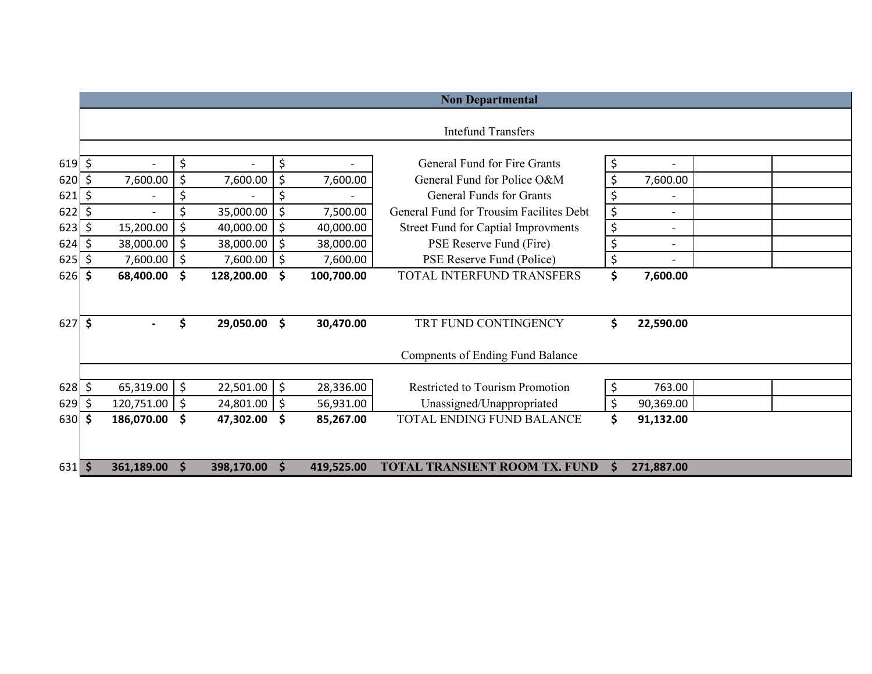|          | <b>Non Departmental</b>        |    |                          |          |                          |                                            |    |                          |  |  |  |  |
|----------|--------------------------------|----|--------------------------|----------|--------------------------|--------------------------------------------|----|--------------------------|--|--|--|--|
|          |                                |    |                          |          |                          | <b>Intefund Transfers</b>                  |    |                          |  |  |  |  |
|          |                                |    |                          |          |                          |                                            |    |                          |  |  |  |  |
| $619$ \$ | $\overline{\phantom{a}}$       | \$ | $\overline{\phantom{a}}$ | \$       | $-$                      | General Fund for Fire Grants               | \$ | $\overline{\phantom{a}}$ |  |  |  |  |
| 620      | \$<br>7,600.00                 | \$ | 7,600.00                 | \$       | 7,600.00                 | General Fund for Police O&M                | \$ | 7,600.00                 |  |  |  |  |
| 621      | \$<br>$\overline{\phantom{a}}$ | \$ |                          | \$       | $\overline{\phantom{0}}$ | <b>General Funds for Grants</b>            | \$ | $\overline{\phantom{a}}$ |  |  |  |  |
| 622      | \$                             | \$ | 35,000.00                | \$       | 7,500.00                 | General Fund for Trousim Facilites Debt    | \$ | $\overline{\phantom{0}}$ |  |  |  |  |
| 623      | \$<br>15,200.00                | \$ | 40,000.00                | $\zeta$  | 40,000.00                | <b>Street Fund for Captial Improvments</b> | \$ | $\overline{\phantom{a}}$ |  |  |  |  |
| 624      | \$<br>38,000.00                | \$ | 38,000.00                | $\zeta$  | 38,000.00                | PSE Reserve Fund (Fire)                    | \$ | $\overline{\phantom{a}}$ |  |  |  |  |
| 625      | \$<br>7,600.00                 | \$ | 7,600.00                 | $\zeta$  | 7,600.00                 | PSE Reserve Fund (Police)                  | \$ | $\overline{\phantom{a}}$ |  |  |  |  |
| 626      | \$<br>68,400.00                | \$ | 128,200.00               | \$       | 100,700.00               | TOTAL INTERFUND TRANSFERS                  | \$ | 7,600.00                 |  |  |  |  |
|          |                                |    |                          |          |                          |                                            |    |                          |  |  |  |  |
| 627      | \$                             | \$ | 29,050.00                | \$       | 30,470.00                | TRT FUND CONTINGENCY                       | \$ | 22,590.00                |  |  |  |  |
|          |                                |    |                          |          |                          | <b>Compnents of Ending Fund Balance</b>    |    |                          |  |  |  |  |
|          |                                |    |                          |          |                          |                                            |    |                          |  |  |  |  |
| 628      | \$<br>65,319.00                | \$ | 22,501.00                | \$       | 28,336.00                | <b>Restricted to Tourism Promotion</b>     | \$ | 763.00                   |  |  |  |  |
| 629      | \$<br>120,751.00               | \$ | 24,801.00                | \$       | 56,931.00                | Unassigned/Unappropriated                  | \$ | 90,369.00                |  |  |  |  |
| 630      | \$<br>186,070.00               | \$ | 47,302.00                | \$       | 85,267.00                | <b>TOTAL ENDING FUND BALANCE</b>           | \$ | 91,132.00                |  |  |  |  |
|          |                                |    |                          |          |                          |                                            |    |                          |  |  |  |  |
| 631      | \$<br>361,189.00               | S  | 398,170.00               | <b>S</b> | 419,525.00               | <b>TOTAL TRANSIENT ROOM TX. FUND</b>       | Ŝ. | 271,887.00               |  |  |  |  |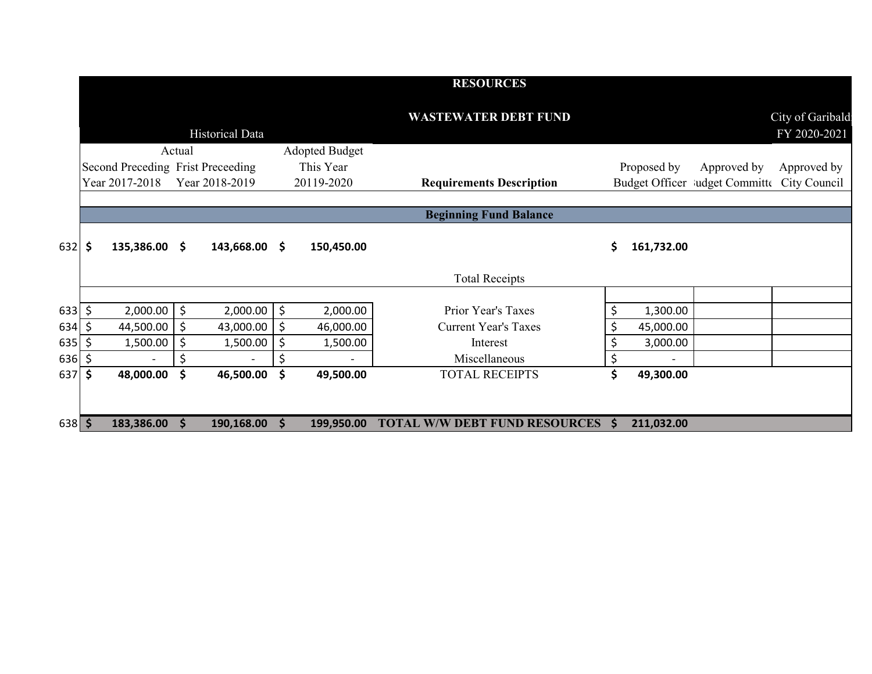|          |     |                                   |        |                        |                       | <b>RESOURCES</b>                     |               |             |                                             |                                  |
|----------|-----|-----------------------------------|--------|------------------------|-----------------------|--------------------------------------|---------------|-------------|---------------------------------------------|----------------------------------|
|          |     |                                   |        | <b>Historical Data</b> |                       | <b>WASTEWATER DEBT FUND</b>          |               |             |                                             | City of Garibald<br>FY 2020-2021 |
|          |     |                                   | Actual |                        | <b>Adopted Budget</b> |                                      |               |             |                                             |                                  |
|          |     | Second Preceding Frist Preceeding |        |                        | This Year             |                                      |               | Proposed by | Approved by                                 | Approved by                      |
|          |     | Year 2017-2018                    |        | Year 2018-2019         | 20119-2020            | <b>Requirements Description</b>      |               |             | Budget Officer Judget Committe City Council |                                  |
|          |     |                                   |        |                        |                       |                                      |               |             |                                             |                                  |
|          |     |                                   |        |                        |                       | <b>Beginning Fund Balance</b>        |               |             |                                             |                                  |
| $632$ \$ |     | 135,386.00 \$                     |        | $143,668.00$ \$        | 150,450.00            |                                      | \$            | 161,732.00  |                                             |                                  |
|          |     |                                   |        |                        |                       | <b>Total Receipts</b>                |               |             |                                             |                                  |
|          |     |                                   |        |                        |                       |                                      |               |             |                                             |                                  |
| 633      | \$  | 2,000.00                          | \$     | 2,000.00               | \$<br>2,000.00        | Prior Year's Taxes                   |               | 1,300.00    |                                             |                                  |
| 634      | \$. | 44,500.00                         | l \$   | 43,000.00              | \$<br>46,000.00       | <b>Current Year's Taxes</b>          |               | 45,000.00   |                                             |                                  |
| 635      | \$. | 1,500.00                          | \$     | 1,500.00               | \$<br>1,500.00        | Interest                             |               | 3,000.00    |                                             |                                  |
| 636      | \$  |                                   | \$     |                        | \$                    | Miscellaneous                        | \$            |             |                                             |                                  |
| 637 \$   |     | 48,000.00                         | \$     | 46,500.00              | \$<br>49,500.00       | <b>TOTAL RECEIPTS</b>                | \$            | 49,300.00   |                                             |                                  |
|          |     |                                   |        |                        |                       |                                      |               |             |                                             |                                  |
| $638$ \$ |     | 183,386.00                        | S      | 190,168.00             | 199,950.00            | <b>TOTAL W/W DEBT FUND RESOURCES</b> | <sup>\$</sup> | 211,032.00  |                                             |                                  |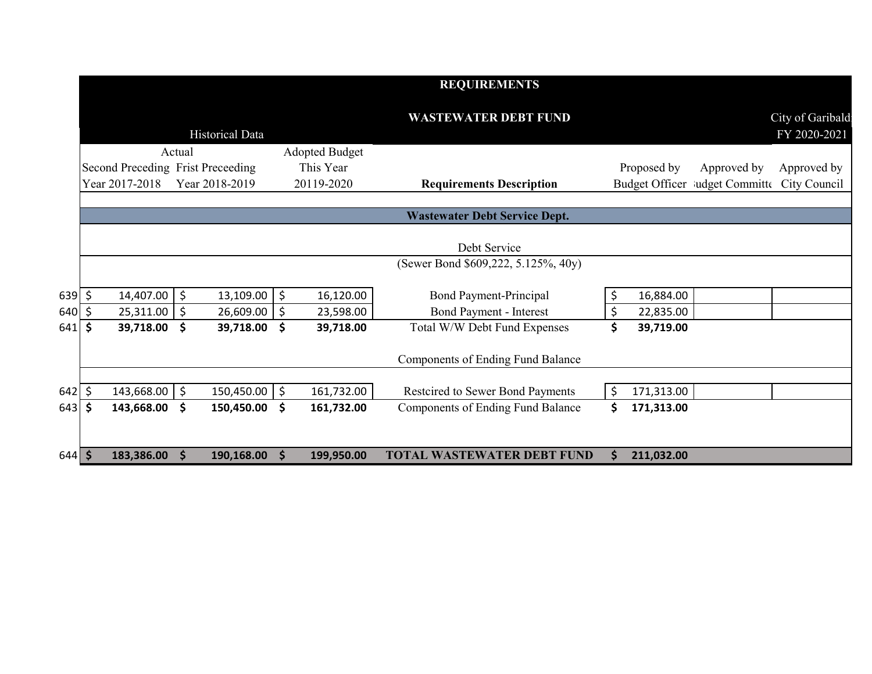|            |                                   |                |                 |         |                       | <b>REQUIREMENTS</b>                      |         |             |                                             |                                  |
|------------|-----------------------------------|----------------|-----------------|---------|-----------------------|------------------------------------------|---------|-------------|---------------------------------------------|----------------------------------|
|            |                                   |                | Historical Data |         |                       | <b>WASTEWATER DEBT FUND</b>              |         |             |                                             | City of Garibald<br>FY 2020-2021 |
|            |                                   | Actual         |                 |         | <b>Adopted Budget</b> |                                          |         |             |                                             |                                  |
|            | Second Preceding Frist Preceeding |                |                 |         | This Year             |                                          |         | Proposed by | Approved by                                 | Approved by                      |
|            | Year 2017-2018                    |                | Year 2018-2019  |         | 20119-2020            | <b>Requirements Description</b>          |         |             | Budget Officer ludget Committe City Council |                                  |
|            |                                   |                |                 |         |                       |                                          |         |             |                                             |                                  |
|            |                                   |                |                 |         |                       | <b>Wastewater Debt Service Dept.</b>     |         |             |                                             |                                  |
|            |                                   |                |                 |         |                       | Debt Service                             |         |             |                                             |                                  |
|            |                                   |                |                 |         |                       | (Sewer Bond \$609,222, 5.125%, 40y)      |         |             |                                             |                                  |
|            |                                   |                |                 |         |                       |                                          |         |             |                                             |                                  |
| $639$ \$   | 14,407.00                         | $\ddot{\zeta}$ | 13,109.00       | $\zeta$ | 16,120.00             | Bond Payment-Principal                   | \$      | 16,884.00   |                                             |                                  |
| 640        | \$<br>25,311.00                   | \$             | 26,609.00       | \$      | 23,598.00             | <b>Bond Payment - Interest</b>           | \$      | 22,835.00   |                                             |                                  |
| 641        | \$<br>39,718.00                   | \$             | 39,718.00       | \$      | 39,718.00             | Total W/W Debt Fund Expenses             | \$      | 39,719.00   |                                             |                                  |
|            |                                   |                |                 |         |                       | <b>Components of Ending Fund Balance</b> |         |             |                                             |                                  |
|            |                                   |                |                 |         |                       |                                          |         |             |                                             |                                  |
| $642 \div$ | 143,668.00                        | \$             | 150,450.00      | \$      | 161,732.00            | Restcired to Sewer Bond Payments         | $\zeta$ | 171,313.00  |                                             |                                  |
| 643        | \$<br>143,668.00                  | \$             | 150,450.00      | \$      | 161,732.00            | <b>Components of Ending Fund Balance</b> | \$      | 171,313.00  |                                             |                                  |
|            |                                   |                |                 |         |                       |                                          |         |             |                                             |                                  |
| $644$ \$   | 183,386.00                        | S              | 190,168.00      | Ŝ.      | 199,950.00            | <b>TOTAL WASTEWATER DEBT FUND</b>        | S       | 211,032.00  |                                             |                                  |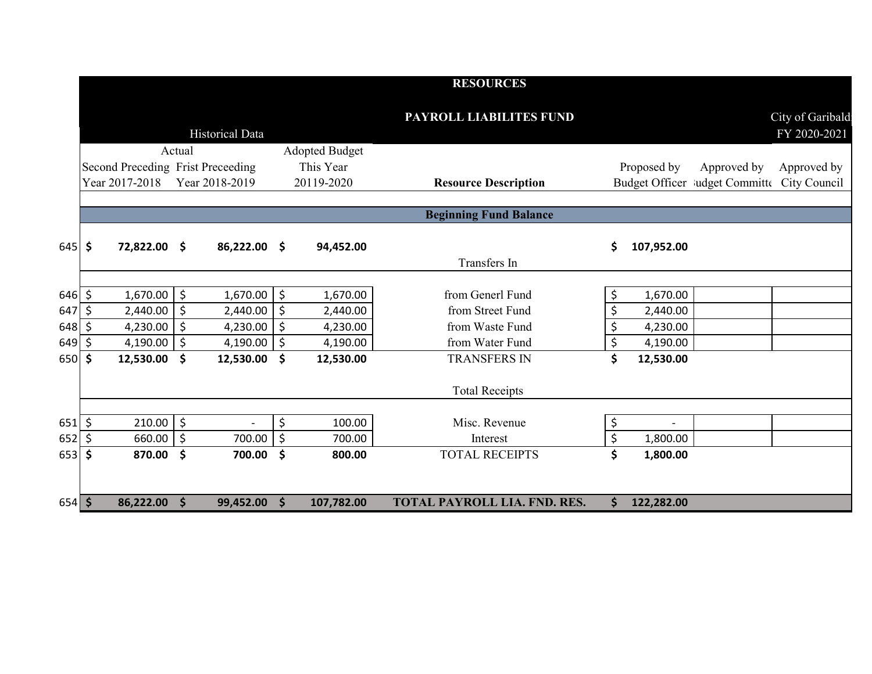|              |                                   |                     |                        |               |                       | <b>RESOURCES</b>                    |                  |                                             |                                  |
|--------------|-----------------------------------|---------------------|------------------------|---------------|-----------------------|-------------------------------------|------------------|---------------------------------------------|----------------------------------|
|              |                                   |                     | <b>Historical Data</b> |               |                       | PAYROLL LIABILITES FUND             |                  |                                             | City of Garibald<br>FY 2020-2021 |
|              |                                   | Actual              |                        |               | <b>Adopted Budget</b> |                                     |                  |                                             |                                  |
|              | Second Preceding Frist Preceeding |                     |                        |               | This Year             |                                     | Proposed by      | Approved by                                 | Approved by                      |
|              | Year 2017-2018                    |                     | Year 2018-2019         |               | 20119-2020            | <b>Resource Description</b>         |                  | Budget Officer Mudget Committe City Council |                                  |
|              |                                   |                     |                        |               |                       | <b>Beginning Fund Balance</b>       |                  |                                             |                                  |
| $645$ \$     | 72,822.00 \$                      |                     | 86,222.00 \$           |               | 94,452.00             | Transfers In                        | \$<br>107,952.00 |                                             |                                  |
|              |                                   |                     |                        |               |                       |                                     |                  |                                             |                                  |
| $646$ \$     | 1,670.00                          | $\zeta$             | 1,670.00               | \$            | 1,670.00              | from Generl Fund                    | \$<br>1,670.00   |                                             |                                  |
| 647          | \$<br>2,440.00                    | $\zeta$             | 2,440.00               | \$            | 2,440.00              | from Street Fund                    | \$<br>2,440.00   |                                             |                                  |
| 648          | \$<br>4,230.00                    | \$                  | 4,230.00               | \$            | 4,230.00              | from Waste Fund                     | \$<br>4,230.00   |                                             |                                  |
| $649$ \$     | 4,190.00   \$                     |                     | 4,190.00               | \$            | 4,190.00              | from Water Fund                     | \$<br>4,190.00   |                                             |                                  |
| 650 \$       | 12,530.00                         | -\$                 | 12,530.00              | \$            | 12,530.00             | <b>TRANSFERS IN</b>                 | \$<br>12,530.00  |                                             |                                  |
|              |                                   |                     |                        |               |                       | <b>Total Receipts</b>               |                  |                                             |                                  |
| $651$ \$     | $210.00$ \$                       |                     |                        | \$            | 100.00                | Misc. Revenue                       | \$               |                                             |                                  |
| $652 \mid 5$ | 660.00                            | \$                  | 700.00                 | \$            | 700.00                | Interest                            | \$<br>1,800.00   |                                             |                                  |
| $653$ \$     | 870.00                            | $\ddot{\bm{\zeta}}$ | 700.00                 | \$            | 800.00                | <b>TOTAL RECEIPTS</b>               | \$<br>1,800.00   |                                             |                                  |
| $654$ \$     | 86,222.00                         | $\mathsf{S}$        | 99,452.00              | $\mathsf{\$}$ | 107,782.00            | <b>TOTAL PAYROLL LIA. FND. RES.</b> | \$<br>122,282.00 |                                             |                                  |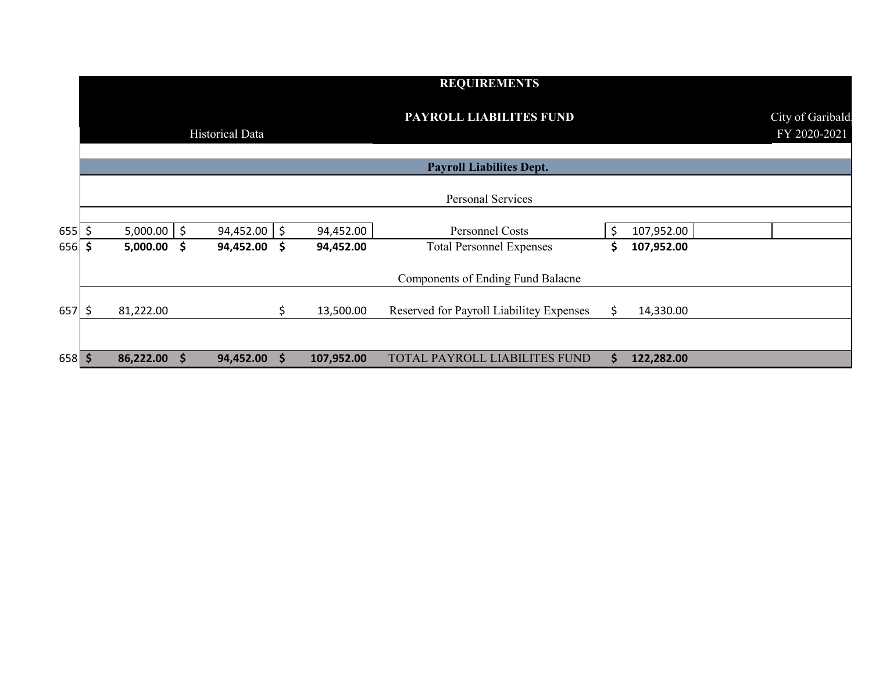|          |               |                      |                        |    |            | <b>REQUIREMENTS</b>                      |     |            |                                  |
|----------|---------------|----------------------|------------------------|----|------------|------------------------------------------|-----|------------|----------------------------------|
|          |               |                      | <b>Historical Data</b> |    |            | PAYROLL LIABILITES FUND                  |     |            | City of Garibald<br>FY 2020-2021 |
|          |               |                      |                        |    |            | <b>Payroll Liabilites Dept.</b>          |     |            |                                  |
|          |               |                      |                        |    |            | Personal Services                        |     |            |                                  |
| $655$ \$ | $5,000.00$ \$ |                      | 94,452.00              | \$ | 94,452.00  | Personnel Costs                          |     | 107,952.00 |                                  |
| $656$ \$ | $5,000.00$ \$ |                      | 94,452.00 \$           |    | 94,452.00  | <b>Total Personnel Expenses</b>          | S   | 107,952.00 |                                  |
|          |               |                      |                        |    |            | Components of Ending Fund Balacne        |     |            |                                  |
| $657$ \$ | 81,222.00     |                      |                        | \$ | 13,500.00  | Reserved for Payroll Liabilitey Expenses | \$. | 14,330.00  |                                  |
|          |               |                      |                        |    |            |                                          |     |            |                                  |
| $658$ \$ | 86,222.00     | $\blacktriangledown$ | 94,452.00              | S  | 107,952.00 | TOTAL PAYROLL LIABILITES FUND            | S   | 122,282.00 |                                  |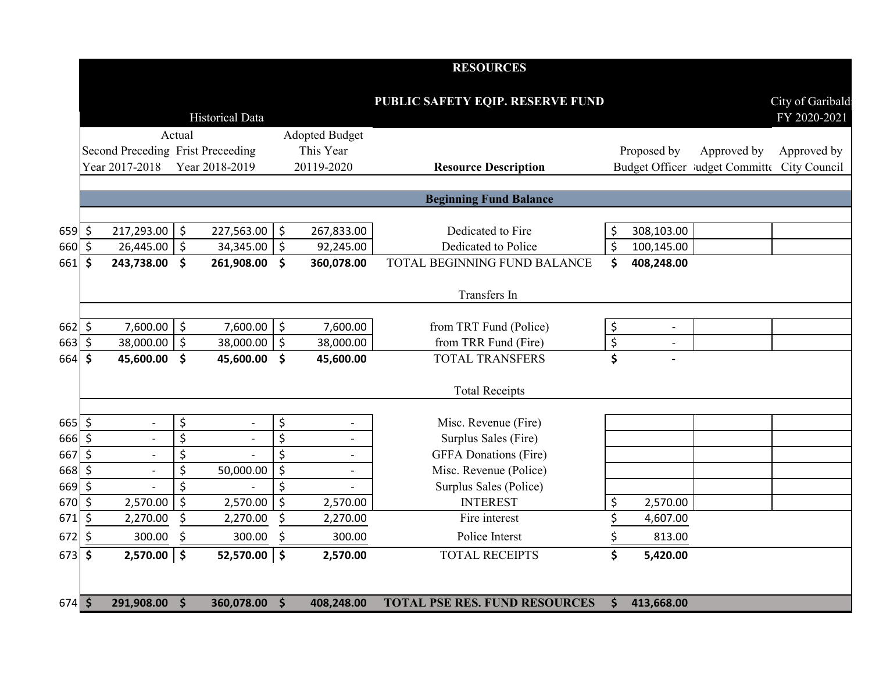|              |                    |                                   |               |                          |              |                          | <b>RESOURCES</b>                     |                                       |                          |                                             |                                  |
|--------------|--------------------|-----------------------------------|---------------|--------------------------|--------------|--------------------------|--------------------------------------|---------------------------------------|--------------------------|---------------------------------------------|----------------------------------|
|              |                    |                                   |               | <b>Historical Data</b>   |              |                          | PUBLIC SAFETY EQIP. RESERVE FUND     |                                       |                          |                                             | City of Garibald<br>FY 2020-2021 |
|              |                    |                                   | Actual        |                          |              | <b>Adopted Budget</b>    |                                      |                                       |                          |                                             |                                  |
|              |                    | Second Preceding Frist Preceeding |               |                          |              | This Year                |                                      |                                       | Proposed by              | Approved by                                 | Approved by                      |
|              |                    | Year 2017-2018                    |               | Year 2018-2019           |              | 20119-2020               | <b>Resource Description</b>          |                                       |                          | Budget Officer ludget Committe City Council |                                  |
|              |                    |                                   |               |                          |              |                          |                                      |                                       |                          |                                             |                                  |
|              |                    |                                   |               |                          |              |                          | <b>Beginning Fund Balance</b>        |                                       |                          |                                             |                                  |
|              |                    |                                   |               |                          |              |                          |                                      |                                       |                          |                                             |                                  |
| $659$ \$     |                    | 217,293.00                        | $\zeta$       | 227,563.00               | $\zeta$      | 267,833.00               | Dedicated to Fire                    | \$                                    | 308,103.00               |                                             |                                  |
| 660 \$       |                    | 26,445.00                         | $\zeta$       | 34,345.00                | $\zeta$      | 92,245.00                | Dedicated to Police                  | $\zeta$                               | 100,145.00               |                                             |                                  |
| $661$ \$     |                    | 243,738.00                        | Ŝ.            | 261,908.00               | \$           | 360,078.00               | TOTAL BEGINNING FUND BALANCE         | \$                                    | 408,248.00               |                                             |                                  |
|              |                    |                                   |               |                          |              |                          | Transfers In                         |                                       |                          |                                             |                                  |
| $662 \mid 5$ |                    | 7,600.00                          |               | 7,600.00                 |              | 7,600.00                 | from TRT Fund (Police)               |                                       |                          |                                             |                                  |
| 663          | $\zeta$            | 38,000.00                         | \$<br>$\zeta$ | 38,000.00                | \$<br>\$     | 38,000.00                | from TRR Fund (Fire)                 | \$<br>$\overline{\boldsymbol{\zeta}}$ | $\overline{\phantom{a}}$ |                                             |                                  |
| 664          | \$                 | 45,600.00                         | \$            | 45,600.00                | \$           | 45,600.00                | <b>TOTAL TRANSFERS</b>               | \$                                    | $\overline{\phantom{a}}$ |                                             |                                  |
|              |                    |                                   |               |                          |              |                          |                                      |                                       |                          |                                             |                                  |
|              |                    |                                   |               |                          |              |                          | <b>Total Receipts</b>                |                                       |                          |                                             |                                  |
| $665$ \$     |                    |                                   | \$            | $\overline{\phantom{a}}$ | \$           |                          | Misc. Revenue (Fire)                 |                                       |                          |                                             |                                  |
| 666 \$       |                    |                                   | \$            |                          | \$           |                          | Surplus Sales (Fire)                 |                                       |                          |                                             |                                  |
| 667          | $\ddot{\varsigma}$ |                                   | \$            |                          | \$           |                          | <b>GFFA</b> Donations (Fire)         |                                       |                          |                                             |                                  |
| 668          | $\zeta$            | $\overline{\phantom{a}}$          | \$            | 50,000.00                | \$           | $\overline{\phantom{a}}$ | Misc. Revenue (Police)               |                                       |                          |                                             |                                  |
| 669          | \$                 |                                   | \$            |                          | \$           |                          | Surplus Sales (Police)               |                                       |                          |                                             |                                  |
| 670          | $\zeta$            | 2,570.00                          | $\zeta$       | 2,570.00                 | \$           | 2,570.00                 | <b>INTEREST</b>                      | \$                                    | 2,570.00                 |                                             |                                  |
| 671          | \$                 | 2,270.00                          | \$            | 2,270.00                 | \$           | 2,270.00                 | Fire interest                        | \$                                    | 4,607.00                 |                                             |                                  |
| 672          | \$                 | 300.00                            | \$            | 300.00                   | \$           | 300.00                   | Police Interst                       | \$                                    | 813.00                   |                                             |                                  |
| $673$ \$     |                    | 2,570.00                          | \$            | $52,570.00$ \$           |              | 2,570.00                 | <b>TOTAL RECEIPTS</b>                | \$                                    | 5,420.00                 |                                             |                                  |
|              |                    |                                   |               |                          |              |                          |                                      |                                       |                          |                                             |                                  |
| $674$ \$     |                    | 291,908.00 \$                     |               | 360,078.00               | $\mathsf{S}$ | 408,248.00               | <b>TOTAL PSE RES. FUND RESOURCES</b> | Ŝ.                                    | 413,668.00               |                                             |                                  |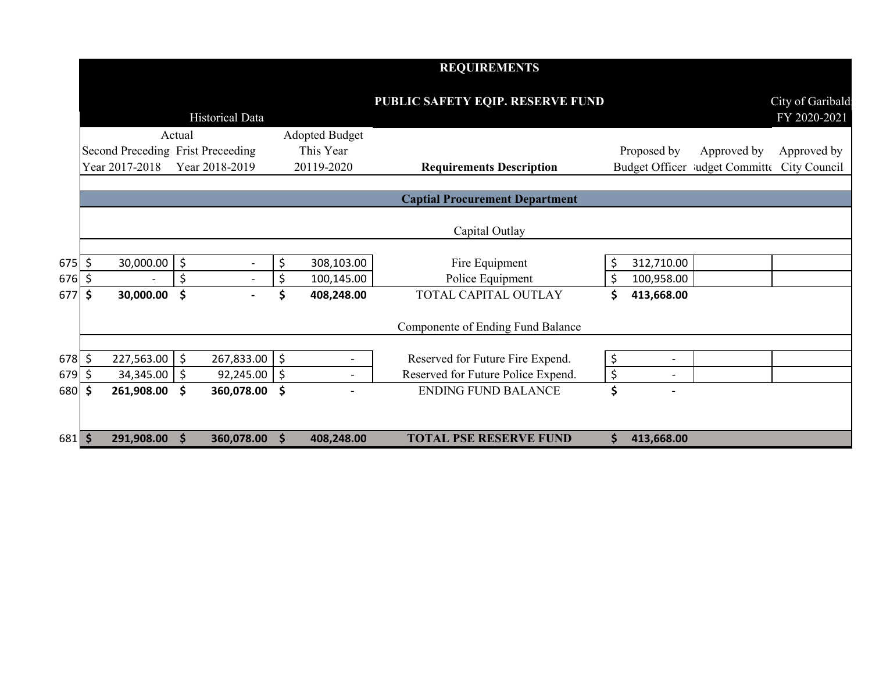|          |                                   |                     |                          |         |                          | <b>REQUIREMENTS</b>                   |    |                          |                                             |                   |
|----------|-----------------------------------|---------------------|--------------------------|---------|--------------------------|---------------------------------------|----|--------------------------|---------------------------------------------|-------------------|
|          |                                   |                     |                          |         |                          | PUBLIC SAFETY EQIP. RESERVE FUND      |    |                          |                                             | City of Garibald: |
|          |                                   |                     | <b>Historical Data</b>   |         |                          |                                       |    |                          |                                             | FY 2020-2021      |
|          |                                   | Actual              |                          |         | <b>Adopted Budget</b>    |                                       |    |                          |                                             |                   |
|          | Second Preceding Frist Preceeding |                     |                          |         | This Year                |                                       |    | Proposed by              | Approved by                                 | Approved by       |
|          | Year 2017-2018                    |                     | Year 2018-2019           |         | 20119-2020               | <b>Requirements Description</b>       |    |                          | Budget Officer ludget Committe City Council |                   |
|          |                                   |                     |                          |         |                          |                                       |    |                          |                                             |                   |
|          |                                   |                     |                          |         |                          | <b>Captial Procurement Department</b> |    |                          |                                             |                   |
|          |                                   |                     |                          |         |                          | Capital Outlay                        |    |                          |                                             |                   |
| \$  675  | 30,000.00                         | $\zeta$             | $\overline{\phantom{a}}$ | \$      | 308,103.00               | Fire Equipment                        |    | 312,710.00               |                                             |                   |
| 676 \$   |                                   | \$                  | $\overline{\phantom{a}}$ | \$      | 100,145.00               | Police Equipment                      | \$ | 100,958.00               |                                             |                   |
| 677 \$   | 30,000.00                         | \$                  |                          |         | 408,248.00               | TOTAL CAPITAL OUTLAY                  | Ś  | 413,668.00               |                                             |                   |
|          |                                   |                     |                          |         |                          | Componente of Ending Fund Balance     |    |                          |                                             |                   |
| 678 \$   | 227,563.00                        | $\ddot{\mathsf{S}}$ | 267,833.00 \$            |         | $\overline{\phantom{a}}$ | Reserved for Future Fire Expend.      | \$ | $\blacksquare$           |                                             |                   |
| 679 \$   | 34,345.00                         | $\zeta$             | 92,245.00                | $\zeta$ | $\overline{a}$           | Reserved for Future Police Expend.    | \$ | $\overline{\phantom{a}}$ |                                             |                   |
| 680 \$   | 261,908.00                        | \$                  | 360,078.00 \$            |         |                          | <b>ENDING FUND BALANCE</b>            | \$ |                          |                                             |                   |
|          |                                   |                     |                          |         |                          |                                       |    |                          |                                             |                   |
| 681   \$ | 291,908.00                        | \$                  | 360,078.00               | S.      | 408,248.00               | <b>TOTAL PSE RESERVE FUND</b>         | Ś. | 413,668.00               |                                             |                   |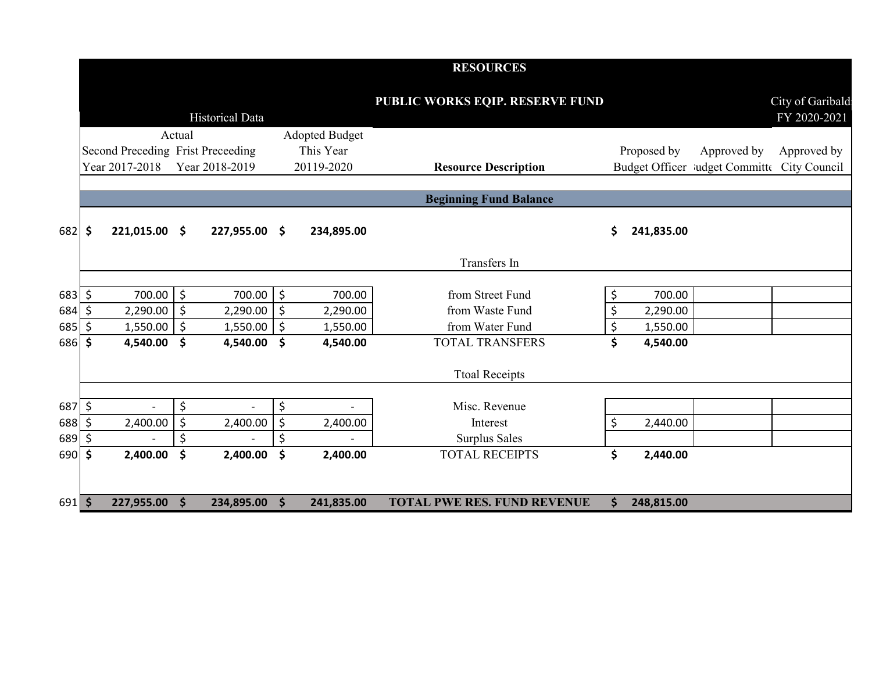|             |                     |                                   |             |                        |         |                       | <b>RESOURCES</b>                   |                  |                                             |                                  |
|-------------|---------------------|-----------------------------------|-------------|------------------------|---------|-----------------------|------------------------------------|------------------|---------------------------------------------|----------------------------------|
|             |                     |                                   |             | <b>Historical Data</b> |         |                       | PUBLIC WORKS EQIP. RESERVE FUND    |                  |                                             | City of Garibald<br>FY 2020-2021 |
|             |                     |                                   | Actual      |                        |         | <b>Adopted Budget</b> |                                    |                  |                                             |                                  |
|             |                     | Second Preceding Frist Preceeding |             |                        |         | This Year             |                                    | Proposed by      | Approved by                                 | Approved by                      |
|             |                     | Year 2017-2018                    |             | Year 2018-2019         |         | 20119-2020            | <b>Resource Description</b>        |                  | Budget Officer ludget Committe City Council |                                  |
|             |                     |                                   |             |                        |         |                       |                                    |                  |                                             |                                  |
|             |                     |                                   |             |                        |         |                       | <b>Beginning Fund Balance</b>      |                  |                                             |                                  |
| 682         | $\ddot{\bm{\zeta}}$ | 221,015.00 \$                     |             | 227,955.00             | \$      | 234,895.00            |                                    | \$<br>241,835.00 |                                             |                                  |
|             |                     |                                   |             |                        |         |                       | Transfers In                       |                  |                                             |                                  |
| $683 \,$ \$ |                     | $700.00$ \$                       |             | 700.00                 | $\zeta$ | 700.00                | from Street Fund                   | \$<br>700.00     |                                             |                                  |
| $684$ \$    |                     | $2,290.00$ \$                     |             | 2,290.00               | \$      | 2,290.00              | from Waste Fund                    | \$<br>2,290.00   |                                             |                                  |
| 685         | \$                  | 1,550.00                          | $\vert \xi$ | 1,550.00               | \$      | 1,550.00              | from Water Fund                    | \$<br>1,550.00   |                                             |                                  |
| 686 \$      |                     | 4,540.00                          | \$          | 4,540.00               | \$      | 4,540.00              | <b>TOTAL TRANSFERS</b>             | \$<br>4,540.00   |                                             |                                  |
|             |                     |                                   |             |                        |         |                       | <b>Ttoal Receipts</b>              |                  |                                             |                                  |
| 687 \$      |                     |                                   | \$          |                        | \$      |                       | Misc. Revenue                      |                  |                                             |                                  |
| $688$ \$    |                     | 2,400.00                          | \$          | 2,400.00               | \$      | 2,400.00              | Interest                           | \$<br>2,440.00   |                                             |                                  |
| $689$ \$    |                     |                                   | \$          |                        | Ś       |                       | Surplus Sales                      |                  |                                             |                                  |
| $690$ \$    |                     | 2,400.00                          | \$          | 2,400.00               | \$      | 2,400.00              | <b>TOTAL RECEIPTS</b>              | \$<br>2,440.00   |                                             |                                  |
| $691$ \$    |                     | 227,955.00 \$                     |             | 234,895.00             | \$      | 241,835.00            | <b>TOTAL PWE RES. FUND REVENUE</b> | \$<br>248,815.00 |                                             |                                  |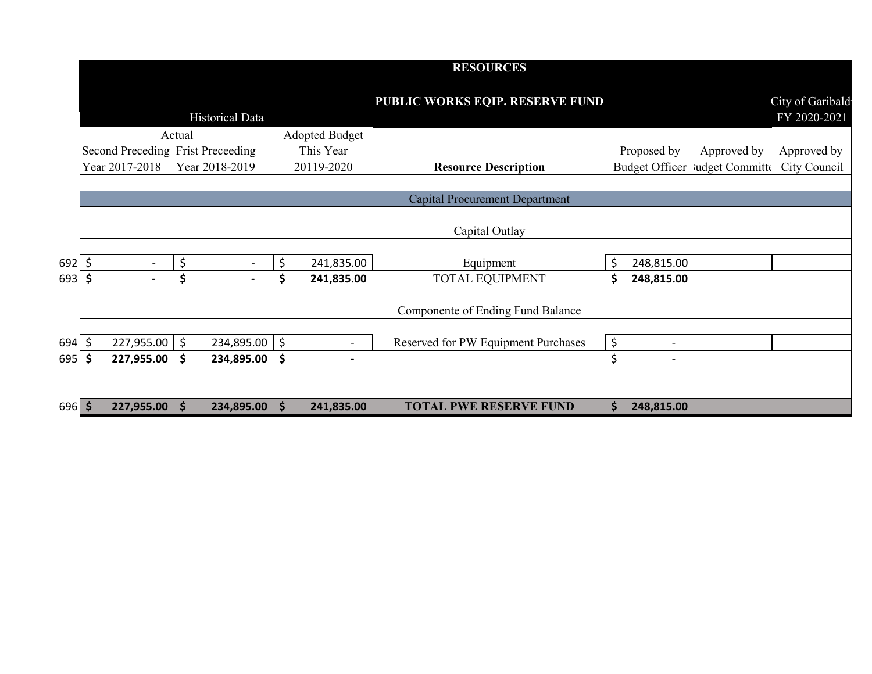|          |                                   |                     |                 |    |                          | <b>RESOURCES</b>                      |         |                          |                                |                                   |
|----------|-----------------------------------|---------------------|-----------------|----|--------------------------|---------------------------------------|---------|--------------------------|--------------------------------|-----------------------------------|
|          |                                   |                     | Historical Data |    |                          | PUBLIC WORKS EQIP. RESERVE FUND       |         |                          |                                | City of Garibald:<br>FY 2020-2021 |
|          |                                   | Actual              |                 |    | <b>Adopted Budget</b>    |                                       |         |                          |                                |                                   |
|          | Second Preceding Frist Preceeding |                     |                 |    | This Year                |                                       |         | Proposed by              | Approved by                    | Approved by                       |
|          | Year 2017-2018                    |                     | Year 2018-2019  |    | 20119-2020               | <b>Resource Description</b>           |         |                          | Budget Officer ludget Committe | City Council                      |
|          |                                   |                     |                 |    |                          | <b>Capital Procurement Department</b> |         |                          |                                |                                   |
|          |                                   |                     |                 |    |                          | Capital Outlay                        |         |                          |                                |                                   |
| 692 \$   |                                   | \$                  |                 | \$ | 241,835.00               | Equipment                             |         | 248,815.00               |                                |                                   |
| 693 \$   | $\overline{\phantom{a}}$          | \$                  |                 | \$ | 241,835.00               | <b>TOTAL EQUIPMENT</b>                | S       | 248,815.00               |                                |                                   |
|          |                                   |                     |                 |    |                          | Componente of Ending Fund Balance     |         |                          |                                |                                   |
| 694 \$   | 227,955.00                        | $\ddot{\mathsf{S}}$ | 234,895.00 \$   |    |                          | Reserved for PW Equipment Purchases   | $\zeta$ | $\overline{\phantom{0}}$ |                                |                                   |
| 695   \$ | 227,955.00                        | \$                  | 234,895.00      | \$ | $\overline{\phantom{0}}$ |                                       | \$      | $\overline{\phantom{a}}$ |                                |                                   |
|          |                                   |                     |                 |    |                          |                                       |         |                          |                                |                                   |
| 696 \$   | 227,955.00                        | <b>S</b>            | 234,895.00      | S. | 241,835.00               | <b>TOTAL PWE RESERVE FUND</b>         | S       | 248,815.00               |                                |                                   |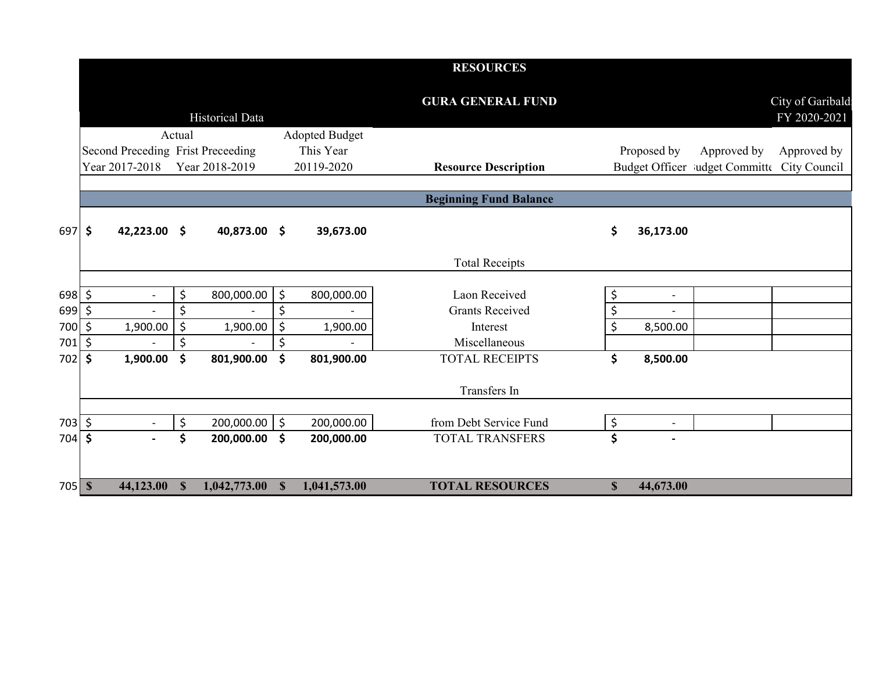|                             |                                   |        |                        |                       | <b>RESOURCES</b>              |                           |                |                                             |                                  |
|-----------------------------|-----------------------------------|--------|------------------------|-----------------------|-------------------------------|---------------------------|----------------|---------------------------------------------|----------------------------------|
|                             |                                   |        | <b>Historical Data</b> |                       | <b>GURA GENERAL FUND</b>      |                           |                |                                             | City of Garibald<br>FY 2020-2021 |
|                             |                                   | Actual |                        | <b>Adopted Budget</b> |                               |                           |                |                                             |                                  |
|                             | Second Preceding Frist Preceeding |        |                        | This Year             |                               |                           | Proposed by    | Approved by                                 | Approved by                      |
|                             | Year 2017-2018                    |        | Year 2018-2019         | 20119-2020            | <b>Resource Description</b>   |                           |                | Budget Officer ludget Committe City Council |                                  |
|                             |                                   |        |                        |                       |                               |                           |                |                                             |                                  |
|                             |                                   |        |                        |                       | <b>Beginning Fund Balance</b> |                           |                |                                             |                                  |
| $697$ \$                    | 42,223.00 \$                      |        | 40,873.00 \$           | 39,673.00             |                               | \$                        | 36,173.00      |                                             |                                  |
|                             |                                   |        |                        |                       | <b>Total Receipts</b>         |                           |                |                                             |                                  |
| $698 \div$                  |                                   | \$     | 800,000.00             | \$<br>800,000.00      | Laon Received                 | \$                        | $\blacksquare$ |                                             |                                  |
| $699$ \$                    |                                   | \$     | $\sim$                 | \$                    | <b>Grants Received</b>        | \$                        | $\overline{a}$ |                                             |                                  |
| 700 \$                      | 1,900.00                          | \$     | 1,900.00               | \$<br>1,900.00        | Interest                      | \$                        | 8,500.00       |                                             |                                  |
| 701                         | \$                                | \$     |                        | \$                    | Miscellaneous                 |                           |                |                                             |                                  |
| 702                         | \$<br>1,900.00                    | \$     | 801,900.00             | \$<br>801,900.00      | <b>TOTAL RECEIPTS</b>         | \$                        | 8,500.00       |                                             |                                  |
|                             |                                   |        |                        |                       | Transfers In                  |                           |                |                                             |                                  |
|                             |                                   |        |                        |                       |                               |                           |                |                                             |                                  |
| $703 \mid 5$                |                                   | \$     | 200,000.00             | \$<br>200,000.00      | from Debt Service Fund        | \$                        | $\blacksquare$ |                                             |                                  |
| 704                         | \$                                | \$     | 200,000.00             | \$<br>200,000.00      | <b>TOTAL TRANSFERS</b>        | \$                        |                |                                             |                                  |
|                             |                                   |        |                        |                       |                               |                           |                |                                             |                                  |
| $705$ $\overline{\text{S}}$ | 44,123.00 \$                      |        | $1,042,773.00$ \$      | 1,041,573.00          | <b>TOTAL RESOURCES</b>        | $\boldsymbol{\mathsf{S}}$ | 44,673.00      |                                             |                                  |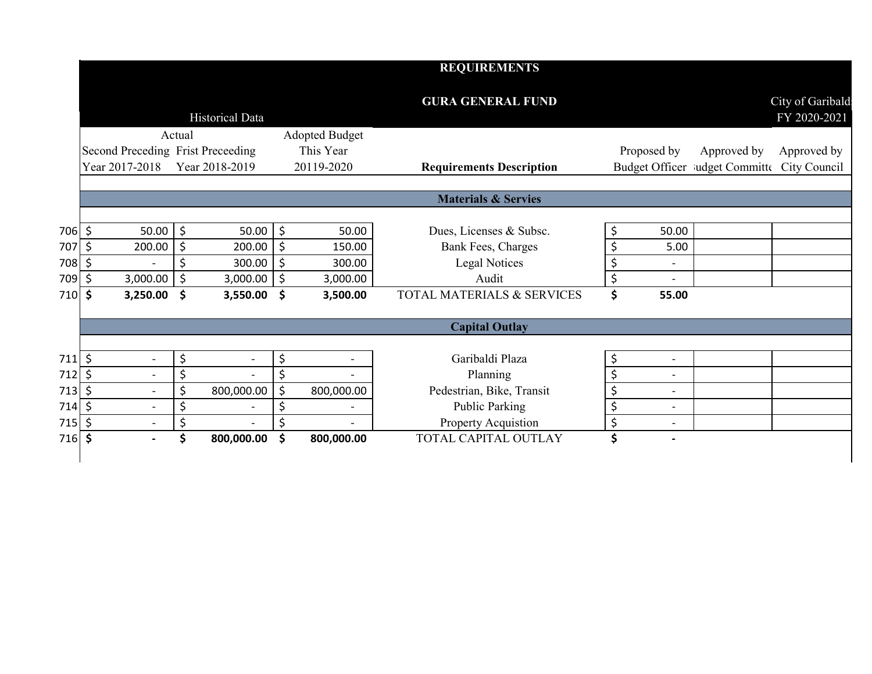|          |         |                                   |                    |                          |                                | <b>REQUIREMENTS</b>             |                                |                                             |                                  |
|----------|---------|-----------------------------------|--------------------|--------------------------|--------------------------------|---------------------------------|--------------------------------|---------------------------------------------|----------------------------------|
|          |         |                                   |                    | Historical Data          |                                | <b>GURA GENERAL FUND</b>        |                                |                                             | City of Garibald<br>FY 2020-2021 |
|          |         |                                   | Actual             |                          | <b>Adopted Budget</b>          |                                 |                                |                                             |                                  |
|          |         | Second Preceding Frist Preceeding |                    |                          | This Year                      |                                 | Proposed by                    | Approved by                                 | Approved by                      |
|          |         | Year 2017-2018                    |                    | Year 2018-2019           | 20119-2020                     | <b>Requirements Description</b> |                                | Budget Officer Mudget Committe City Council |                                  |
|          |         |                                   |                    |                          |                                | <b>Materials &amp; Servies</b>  |                                |                                             |                                  |
| 706 \$   |         | 50.00                             | $\zeta$            | 50.00                    | \$<br>50.00                    | Dues, Licenses & Subsc.         | \$<br>50.00                    |                                             |                                  |
| 707 \$   |         | 200.00                            | $\ddot{\varsigma}$ | 200.00                   | \$<br>150.00                   | Bank Fees, Charges              | \$<br>5.00                     |                                             |                                  |
| 708 \$   |         |                                   | \$                 | 300.00                   | \$<br>300.00                   | Legal Notices                   | \$<br>$\overline{\phantom{a}}$ |                                             |                                  |
| 709      | \$      | 3,000.00                          | $\zeta$            | 3,000.00                 | \$<br>3,000.00                 | Audit                           | \$<br>$\overline{a}$           |                                             |                                  |
| 710      | \$      | 3,250.00                          | \$                 | $3,550.00$ \$            | 3,500.00                       | TOTAL MATERIALS & SERVICES      | \$<br>55.00                    |                                             |                                  |
|          |         |                                   |                    |                          |                                | <b>Capital Outlay</b>           |                                |                                             |                                  |
| $711$ \$ |         | $\overline{\phantom{a}}$          | \$                 | $\overline{\phantom{a}}$ | \$<br>$\overline{\phantom{a}}$ | Garibaldi Plaza                 | \$<br>$\overline{\phantom{a}}$ |                                             |                                  |
| 712      | $\zeta$ | $\overline{\phantom{a}}$          | \$                 | $\blacksquare$           | \$                             | Planning                        | \$<br>$\overline{\phantom{a}}$ |                                             |                                  |
| 713      | \$      |                                   | \$                 | 800,000.00               | \$<br>800,000.00               | Pedestrian, Bike, Transit       | \$<br>$\overline{\phantom{a}}$ |                                             |                                  |
| 714      | $\zeta$ |                                   | \$                 | $\blacksquare$           | \$<br>$\overline{a}$           | <b>Public Parking</b>           | \$<br>$\overline{\phantom{a}}$ |                                             |                                  |
| 715      | \$      |                                   | \$                 |                          | \$                             | Property Acquistion             | \$<br>$\overline{\phantom{a}}$ |                                             |                                  |
| 716      | \$      |                                   | \$                 | 800,000.00               | \$<br>800,000.00               | TOTAL CAPITAL OUTLAY            | \$<br>$\overline{\phantom{0}}$ |                                             |                                  |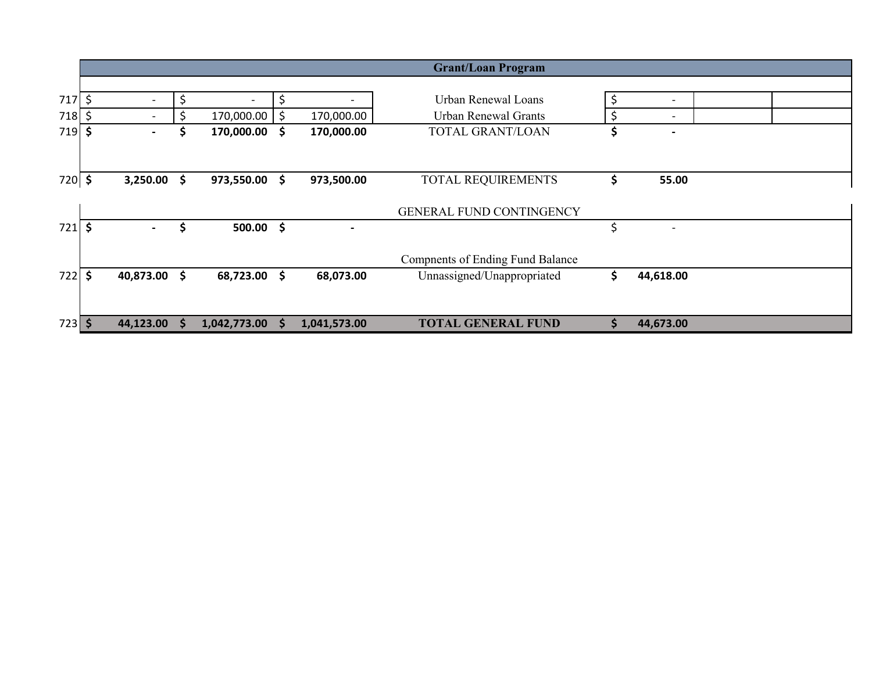|          |                                |                  |               |                          | <b>Grant/Loan Program</b>               |                                |  |
|----------|--------------------------------|------------------|---------------|--------------------------|-----------------------------------------|--------------------------------|--|
|          |                                |                  |               |                          |                                         |                                |  |
| 717      | \$                             | \$               | \$            |                          | <b>Urban Renewal Loans</b>              | $\overline{\phantom{a}}$       |  |
| 718      | \$<br>$\overline{\phantom{a}}$ | \$<br>170,000.00 | \$            | 170,000.00               | Urban Renewal Grants                    | \$<br>$\overline{\phantom{a}}$ |  |
| $719$ \$ | $\blacksquare$                 | \$<br>170,000.00 | \$            | 170,000.00               | TOTAL GRANT/LOAN                        | \$<br>$\overline{\phantom{a}}$ |  |
|          |                                |                  |               |                          |                                         |                                |  |
|          |                                |                  |               |                          |                                         |                                |  |
| 720 \$   | 3,250.00                       | \$<br>973,550.00 | \$            | 973,500.00               | TOTAL REQUIREMENTS                      | \$<br>55.00                    |  |
|          |                                |                  |               |                          |                                         |                                |  |
|          |                                |                  |               |                          | GENERAL FUND CONTINGENCY                |                                |  |
| 721      | \$<br>$\blacksquare$           | \$<br>500.00     | $\mathsf{\$}$ | $\overline{\phantom{0}}$ |                                         | \$                             |  |
|          |                                |                  |               |                          |                                         |                                |  |
|          |                                |                  |               |                          | <b>Compnents of Ending Fund Balance</b> |                                |  |
| 722      | \$<br>40,873.00                | \$<br>68,723.00  | \$            | 68,073.00                | Unnassigned/Unappropriated              | \$<br>44,618.00                |  |
|          |                                |                  |               |                          |                                         |                                |  |
|          |                                |                  |               |                          |                                         |                                |  |
| $723$ \$ | 44,123.00                      | 1,042,773.00     | S             | 1,041,573.00             | <b>TOTAL GENERAL FUND</b>               | \$<br>44,673.00                |  |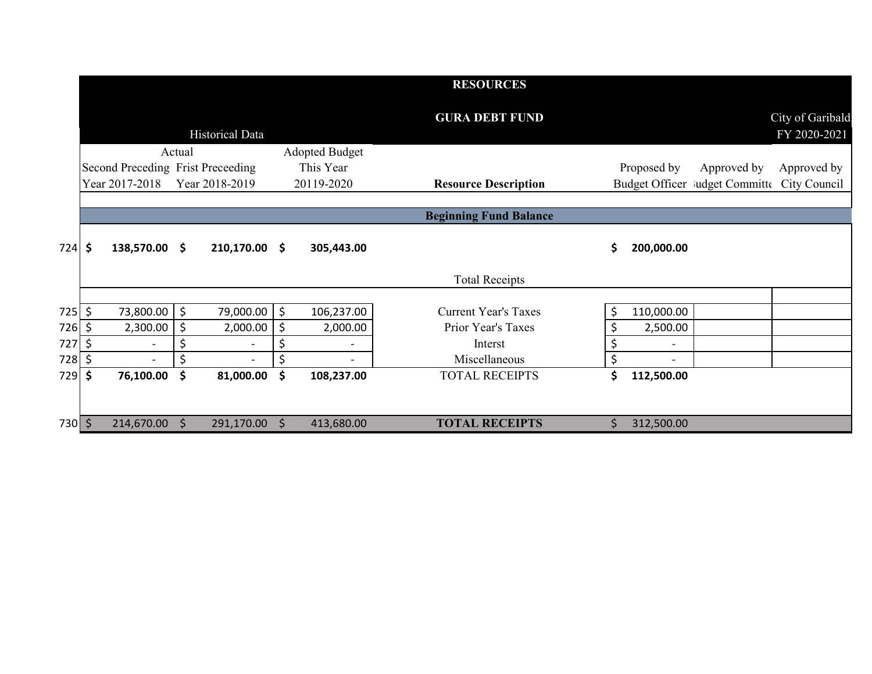|          |                |               |         |                                   |                       | <b>RESOURCES</b>              |    |             |                                             |                                  |
|----------|----------------|---------------|---------|-----------------------------------|-----------------------|-------------------------------|----|-------------|---------------------------------------------|----------------------------------|
|          |                |               |         | Historical Data                   |                       | <b>GURA DEBT FUND</b>         |    |             |                                             | City of Garibald<br>FY 2020-2021 |
|          |                |               | Actual  |                                   | <b>Adopted Budget</b> |                               |    |             |                                             |                                  |
|          |                |               |         | Second Preceding Frist Preceeding | This Year             |                               |    | Proposed by | Approved by                                 | Approved by                      |
|          | Year 2017-2018 |               |         | Year 2018-2019                    | 20119-2020            | <b>Resource Description</b>   |    |             | Budget Officer Mudget Committe City Council |                                  |
|          |                |               |         |                                   |                       |                               |    |             |                                             |                                  |
|          |                |               |         |                                   |                       | <b>Beginning Fund Balance</b> |    |             |                                             |                                  |
| $724$ \$ |                | 138,570.00 \$ |         | $210,170.00$ \$                   | 305,443.00            |                               | \$ | 200,000.00  |                                             |                                  |
|          |                |               |         |                                   |                       | <b>Total Receipts</b>         |    |             |                                             |                                  |
|          |                |               |         |                                   |                       |                               |    |             |                                             |                                  |
| $725$ \$ |                | 73,800.00     | $\zeta$ | 79,000.00                         | \$<br>106,237.00      | <b>Current Year's Taxes</b>   |    | 110,000.00  |                                             |                                  |
| 726 \$   |                | 2,300.00      | $\zeta$ | 2,000.00                          | \$<br>2,000.00        | Prior Year's Taxes            |    | 2,500.00    |                                             |                                  |
| 727 \$   |                |               | \$      | $\overline{a}$                    | \$                    | Interst                       | \$ |             |                                             |                                  |
| 728      | \$             |               |         |                                   |                       | Miscellaneous                 | Ś  |             |                                             |                                  |
| 729      | \$             | 76,100.00     | \$      | 81,000.00                         | \$<br>108,237.00      | <b>TOTAL RECEIPTS</b>         | \$ | 112,500.00  |                                             |                                  |
|          |                |               |         |                                   |                       |                               |    |             |                                             |                                  |
| 730 \$   |                | 214,670.00    | $\zeta$ | 291,170.00                        | \$<br>413,680.00      | <b>TOTAL RECEIPTS</b>         | \$ | 312,500.00  |                                             |                                  |